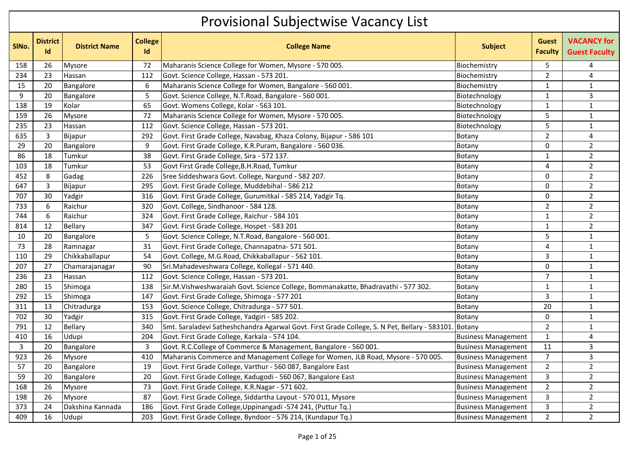## Provisional Subjectwise Vacancy List

| SINo. | <b>District</b><br><b>Id</b> | <b>District Name</b> | <b>College</b><br>Id | <b>College Name</b>                                                                          | <b>Subject</b>             | <b>Guest</b><br><b>Faculty</b> | <b>VACANCY for</b><br><b>Guest Faculty</b> |  |  |  |
|-------|------------------------------|----------------------|----------------------|----------------------------------------------------------------------------------------------|----------------------------|--------------------------------|--------------------------------------------|--|--|--|
| 158   | 26                           | Mysore               | 72                   | Maharanis Science College for Women, Mysore - 570 005.                                       | Biochemistry               | 5                              | 4                                          |  |  |  |
| 234   | 23                           | Hassan               | 112                  | Govt. Science College, Hassan - 573 201.                                                     | Biochemistry               | $\overline{2}$                 | 4                                          |  |  |  |
| 15    | 20                           | Bangalore            | 6                    | Maharanis Science College for Women, Bangalore - 560 001.                                    | Biochemistry               | 1                              | $\mathbf{1}$                               |  |  |  |
| 9     | 20                           | Bangalore            | 5                    | Govt. Science College, N.T.Road, Bangalore - 560 001.                                        | Biotechnology              | 1                              | $\mathsf{3}$                               |  |  |  |
| 138   | 19                           | Kolar                | 65                   | Govt. Womens College, Kolar - 563 101.                                                       | Biotechnology              | 1                              | $\mathbf{1}$                               |  |  |  |
| 159   | 26                           | Mysore               | 72                   | Maharanis Science College for Women, Mysore - 570 005.                                       | Biotechnology              | 5                              | $\mathbf{1}$                               |  |  |  |
| 235   | 23                           | Hassan               | 112                  | Govt. Science College, Hassan - 573 201.                                                     | Biotechnology              | 5                              | $\mathbf{1}$                               |  |  |  |
| 635   | 3                            | Bijapur              | 292                  | Govt. First Grade College, Navabag, Khaza Colony, Bijapur - 586 101                          | Botany                     | $\overline{2}$                 | 4                                          |  |  |  |
| 29    | 20                           | Bangalore            | 9                    | Govt. First Grade College, K.R.Puram, Bangalore - 560 036.                                   | Botany                     | 0                              | $\overline{2}$                             |  |  |  |
| 86    | 18                           | Tumkur               | 38                   | Govt. First Grade College, Sira - 572 137.                                                   | Botany                     | 1                              | $\overline{2}$                             |  |  |  |
| 103   | 18                           | Tumkur               | 53                   | Govt First Grade College, B.H. Road, Tumkur                                                  | Botany                     | 4                              | $\overline{2}$                             |  |  |  |
| 452   | 8                            | Gadag                | 226                  | Sree Siddeshwara Govt. College, Nargund - 582 207.                                           | Botany                     | 0                              | $\overline{2}$                             |  |  |  |
| 647   | 3                            | Bijapur              | 295                  | Govt. First Grade College, Muddebihal - 586 212                                              | Botany                     | $\mathbf{0}$                   | $\overline{2}$                             |  |  |  |
| 707   | 30                           | Yadgir               | 316                  | Govt. First Grade College, Gurumitkal - 585 214, Yadgir Tq.                                  | Botany                     | 0                              | $\overline{2}$                             |  |  |  |
| 733   | 6                            | Raichur              | 320                  | Govt. College, Sindhanoor - 584 128.                                                         | Botany                     | $\overline{2}$                 | $\overline{2}$                             |  |  |  |
| 744   | 6                            | Raichur              | 324                  | Govt. First Grade College, Raichur - 584 101                                                 | Botany                     | 1                              | $\overline{2}$                             |  |  |  |
| 814   | 12                           | Bellary              | 347                  | Govt. First Grade College, Hospet - 583 201                                                  | Botany                     | 1                              | $\overline{2}$                             |  |  |  |
| 10    | 20                           | Bangalore            | 5                    | Govt. Science College, N.T.Road, Bangalore - 560 001.                                        | Botany                     | 5                              | $\mathbf{1}$                               |  |  |  |
| 73    | 28                           | Ramnagar             | 31                   | Govt. First Grade College, Channapatna- 571 501.                                             | Botany                     | 4                              | $\mathbf{1}$                               |  |  |  |
| 110   | 29                           | Chikkaballapur       | 54                   | Govt. College, M.G.Road, Chikkaballapur - 562 101.                                           | Botany                     | 3                              | $\mathbf{1}$                               |  |  |  |
| 207   | 27                           | Chamarajanagar       | 90                   | Sri.Mahadeveshwara College, Kollegal - 571 440.                                              | Botany                     | 0                              | $\mathbf{1}$                               |  |  |  |
| 236   | 23                           | Hassan               | 112                  | Govt. Science College, Hassan - 573 201.                                                     | Botany                     | $\overline{7}$                 | $\mathbf{1}$                               |  |  |  |
| 280   | 15                           | Shimoga              | 138                  | Sir.M.Vishweshwaraiah Govt. Science College, Bommanakatte, Bhadravathi - 577 302.            | Botany                     | 1                              | $\mathbf 1$                                |  |  |  |
| 292   | 15                           | Shimoga              | 147                  | Govt. First Grade College, Shimoga - 577 201                                                 | Botany                     | 3                              | $\mathbf 1$                                |  |  |  |
| 311   | 13                           | Chitradurga          | 153                  | Govt. Science College, Chitradurga - 577 501.                                                | Botany                     | 20                             | $\mathbf{1}$                               |  |  |  |
| 702   | 30                           | Yadgir               | 315                  | Govt. First Grade College, Yadgiri - 585 202.                                                | Botany                     | 0                              | $\mathbf{1}$                               |  |  |  |
| 791   | 12                           | <b>Bellary</b>       | 340                  | Smt. Saraladevi Satheshchandra Agarwal Govt. First Grade College, S. N Pet, Bellary - 583101 | Botany                     | $\overline{a}$                 | $\mathbf{1}$                               |  |  |  |
| 410   | 16                           | Udupi                | 204                  | Govt. First Grade College, Karkala - 574 104.                                                | <b>Business Management</b> | 1                              | $\overline{4}$                             |  |  |  |
| 3     | 20                           | Bangalore            | 3                    | Govt. R.C.College of Commerce & Management, Bangalore - 560 001.                             | <b>Business Management</b> | 11                             | 3                                          |  |  |  |
| 923   | 26                           | Mysore               | 410                  | Maharanis Commerce and Management College for Women, JLB Road, Mysore - 570 005.             | <b>Business Management</b> | $\overline{7}$                 | $\overline{3}$                             |  |  |  |
| 57    | 20                           | Bangalore            | 19                   | Govt. First Grade College, Varthur - 560 087, Bangalore East                                 | <b>Business Management</b> | 2                              | 2                                          |  |  |  |
| 59    | 20                           | Bangalore            | 20                   | Govt. First Grade College, Kadugodi - 560 067, Bangalore East                                | <b>Business Management</b> | 3                              | $\overline{2}$                             |  |  |  |
| 168   | 26                           | <b>Mysore</b>        | 73                   | Govt. First Grade College, K.R.Nagar - 571 602.                                              | <b>Business Management</b> | $\overline{2}$                 | $\overline{2}$                             |  |  |  |
| 198   | 26                           | <b>Mysore</b>        | 87                   | Govt. First Grade College, Siddartha Layout - 570 011, Mysore                                | <b>Business Management</b> | 3                              | $\overline{2}$                             |  |  |  |
| 373   | 24                           | Dakshina Kannada     | 186                  | Govt. First Grade College, Uppinangadi -574 241, (Puttur Tq.)                                | <b>Business Management</b> | $\mathbf{3}$                   | $\overline{2}$                             |  |  |  |
| 409   | 16                           | Udupi                | 203                  | Govt. First Grade College, Byndoor - 576 214, (Kundapur Tq.)                                 | <b>Business Management</b> | $\overline{2}$                 | $\overline{2}$                             |  |  |  |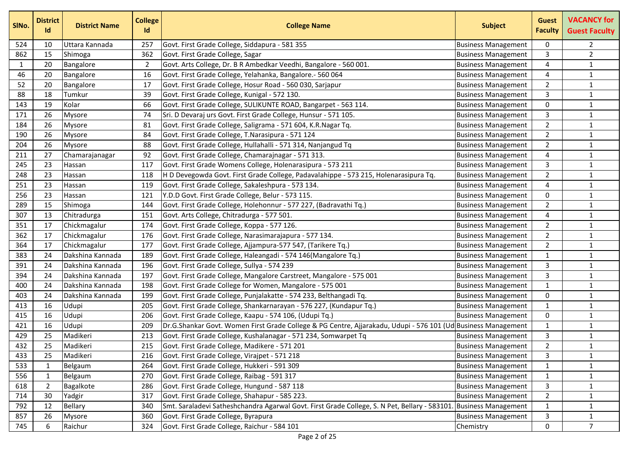| SIN <sub>o</sub> . | <b>District</b><br>Id | <b>District Name</b> | <b>College</b><br>Id | <b>College Name</b>                                                                                           | <b>Subject</b>             | <b>Guest</b><br><b>Faculty</b> | <b>VACANCY for</b><br><b>Guest Faculty</b> |
|--------------------|-----------------------|----------------------|----------------------|---------------------------------------------------------------------------------------------------------------|----------------------------|--------------------------------|--------------------------------------------|
| 524                | 10                    | Uttara Kannada       | 257                  | Govt. First Grade College, Siddapura - 581 355                                                                | <b>Business Management</b> | 0                              | 2                                          |
| 862                | 15                    | Shimoga              | 362                  | Govt. First Grade College, Sagar                                                                              | <b>Business Management</b> | 3                              | $\overline{2}$                             |
| $\mathbf{1}$       | 20                    | Bangalore            | $\overline{2}$       | Govt. Arts College, Dr. B R Ambedkar Veedhi, Bangalore - 560 001.                                             | <b>Business Management</b> | 4                              | $\mathbf{1}$                               |
| 46                 | 20                    | Bangalore            | 16                   | Govt. First Grade College, Yelahanka, Bangalore.- 560 064                                                     | <b>Business Management</b> | 4                              | $\mathbf{1}$                               |
| 52                 | 20                    | Bangalore            | 17                   | Govt. First Grade College, Hosur Road - 560 030, Sarjapur                                                     | <b>Business Management</b> | $\overline{2}$                 | $\mathbf{1}$                               |
| 88                 | 18                    | Tumkur               | 39                   | Govt. First Grade College, Kunigal - 572 130.                                                                 | <b>Business Management</b> | 3                              | $\mathbf{1}$                               |
| 143                | 19                    | Kolar                | 66                   | Govt. First Grade College, SULIKUNTE ROAD, Bangarpet - 563 114.                                               | <b>Business Management</b> | 0                              | $\mathbf 1$                                |
| 171                | 26                    | Mysore               | 74                   | Sri. D Devaraj urs Govt. First Grade College, Hunsur - 571 105.                                               | <b>Business Management</b> | 3                              | $\mathbf{1}$                               |
| 184                | 26                    | Mysore               | 81                   | Govt. First Grade College, Saligrama - 571 604, K.R.Nagar Tq.                                                 | <b>Business Management</b> | $\overline{2}$                 | $\mathbf{1}$                               |
| 190                | 26                    | <b>Mysore</b>        | 84                   | Govt. First Grade College, T.Narasipura - 571 124                                                             | <b>Business Management</b> | $\overline{2}$                 | $\mathbf 1$                                |
| 204                | 26                    | <b>Mysore</b>        | 88                   | Govt. First Grade College, Hullahalli - 571 314, Nanjangud Tq                                                 | <b>Business Management</b> | $\overline{2}$                 | $\mathbf{1}$                               |
| 211                | 27                    | Chamarajanagar       | 92                   | Govt. First Grade College, Chamarajnagar - 571 313.                                                           | <b>Business Management</b> | 4                              | $\mathbf 1$                                |
| 245                | 23                    | Hassan               | 117                  | Govt. First Grade Womens College, Holenarasipura - 573 211                                                    | <b>Business Management</b> | 3                              | $\mathbf 1$                                |
| 248                | 23                    | Hassan               | 118                  | H D Devegowda Govt. First Grade College, Padavalahippe - 573 215, Holenarasipura Tq.                          | <b>Business Management</b> | $\overline{2}$                 | $\mathbf{1}$                               |
| 251                | 23                    | Hassan               | 119                  | Govt. First Grade College, Sakaleshpura - 573 134.                                                            | <b>Business Management</b> | 4                              | $\mathbf{1}$                               |
| 256                | 23                    | Hassan               | 121                  | Y.D.D Govt. First Grade College, Belur - 573 115.                                                             | <b>Business Management</b> | $\mathbf 0$                    | $\mathbf 1$                                |
| 289                | 15                    | Shimoga              | 144                  | Govt. First Grade College, Holehonnur - 577 227, (Badravathi Tq.)                                             | <b>Business Management</b> | $\overline{2}$                 | $\mathbf{1}$                               |
| 307                | 13                    | Chitradurga          | 151                  | Govt. Arts College, Chitradurga - 577 501.                                                                    | <b>Business Management</b> | 4                              | $\mathbf 1$                                |
| 351                | 17                    | Chickmagalur         | 174                  | Govt. First Grade College, Koppa - 577 126.                                                                   | <b>Business Management</b> | $\overline{2}$                 | $\mathbf{1}$                               |
| 362                | 17                    | Chickmagalur         | 176                  | Govt. First Grade College, Narasimarajapura - 577 134.                                                        | <b>Business Management</b> | $\overline{2}$                 | $\mathbf{1}$                               |
| 364                | 17                    | Chickmagalur         | 177                  | Govt. First Grade College, Ajjampura-577 547, (Tarikere Tq.)                                                  | <b>Business Management</b> | $\overline{2}$                 | $\mathbf{1}$                               |
| 383                | 24                    | Dakshina Kannada     | 189                  | Govt. First Grade College, Haleangadi - 574 146(Mangalore Tq.)                                                | <b>Business Management</b> | $\mathbf{1}$                   | $\mathbf{1}$                               |
| 391                | 24                    | Dakshina Kannada     | 196                  | Govt. First Grade College, Sullya - 574 239                                                                   | <b>Business Management</b> | 3                              | $\mathbf{1}$                               |
| 394                | 24                    | Dakshina Kannada     | 197                  | Govt. First Grade College, Mangalore Carstreet, Mangalore - 575 001                                           | <b>Business Management</b> | 3                              | $\mathbf{1}$                               |
| 400                | 24                    | Dakshina Kannada     | 198                  | Govt. First Grade College for Women, Mangalore - 575 001                                                      | <b>Business Management</b> | $\mathbf{1}$                   | $\mathbf 1$                                |
| 403                | 24                    | Dakshina Kannada     | 199                  | Govt. First Grade College, Punjalakatte - 574 233, Belthangadi Tq.                                            | <b>Business Management</b> | 0                              | $\mathbf{1}$                               |
| 413                | 16                    | Udupi                | 205                  | Govt. First Grade College, Shankarnarayan - 576 227, (Kundapur Tq.)                                           | <b>Business Management</b> | $\mathbf{1}$                   | $\mathbf{1}$                               |
| 415                | 16                    | Udupi                | 206                  | Govt. First Grade College, Kaapu - 574 106, (Udupi Tq.)                                                       | <b>Business Management</b> | 0                              | $\mathbf{1}$                               |
| 421                | 16                    | Udupi                | 209                  | Dr.G.Shankar Govt. Women First Grade College & PG Centre, Ajjarakadu, Udupi - 576 101 (Ud Business Management |                            | $\mathbf{1}$                   | $\mathbf 1$                                |
| 429                | 25                    | Madikeri             | 213                  | Govt. First Grade College, Kushalanagar - 571 234, Somwarpet Tq                                               | <b>Business Management</b> | 3                              | $\mathbf{1}$                               |
| 432                | 25                    | Madikeri             | 215                  | Govt. First Grade College, Madikere - 571 201                                                                 | <b>Business Management</b> | $\mathfrak{D}$                 | $\mathbf{1}$                               |
| 433                | 25                    | Madikeri             | 216                  | Govt. First Grade College, Virajpet - 571 218                                                                 | <b>Business Management</b> | 3                              | $\mathbf{1}$                               |
| 533                | 1                     | Belgaum              | 264                  | Govt. First Grade College, Hukkeri - 591 309                                                                  | <b>Business Management</b> | $\mathbf{1}$                   | $\mathbf{1}$                               |
| 556                | 1                     | Belgaum              | 270                  | Govt. First Grade College, Raibag - 591 317                                                                   | <b>Business Management</b> | $\mathbf{1}$                   | $\mathbf{1}$                               |
| 618                | $\overline{2}$        | Bagalkote            | 286                  | Govt. First Grade College, Hungund - 587 118                                                                  | <b>Business Management</b> | 3                              | $\mathbf{1}$                               |
| 714                | 30                    | Yadgir               | 317                  | Govt. First Grade College, Shahapur - 585 223.                                                                | <b>Business Management</b> | $\overline{2}$                 | $\mathbf{1}$                               |
| 792                | 12                    | Bellary              | 340                  | Smt. Saraladevi Satheshchandra Agarwal Govt. First Grade College, S. N Pet, Bellary - 583101                  | <b>Business Management</b> | $\mathbf{1}$                   | $\mathbf{1}$                               |
| 857                | 26                    | Mysore               | 360                  | Govt. First Grade College, Byrapura                                                                           | <b>Business Management</b> | 3                              | $\mathbf 1$                                |
| 745                | 6                     | Raichur              | 324                  | Govt. First Grade College, Raichur - 584 101                                                                  | Chemistry                  | 0                              | $\overline{7}$                             |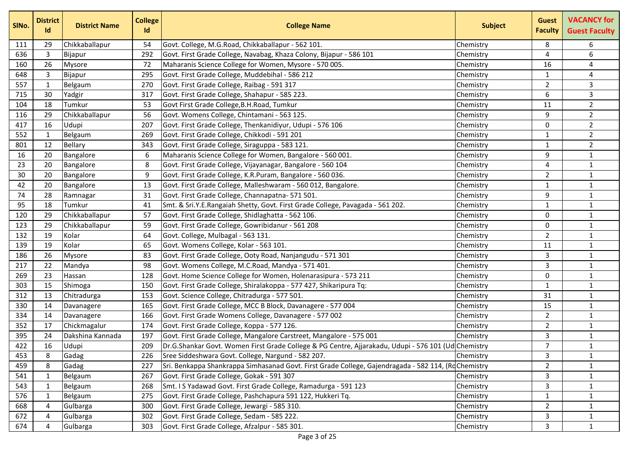| SINo. | <b>District</b><br>Id | <b>District Name</b> | <b>College</b><br>Id | <b>College Name</b>                                                                                 | <b>Subject</b> | <b>Guest</b><br><b>Faculty</b> | <b>VACANCY for</b><br><b>Guest Faculty</b> |
|-------|-----------------------|----------------------|----------------------|-----------------------------------------------------------------------------------------------------|----------------|--------------------------------|--------------------------------------------|
| 111   | 29                    | Chikkaballapur       | 54                   | Govt. College, M.G.Road, Chikkaballapur - 562 101.                                                  | Chemistry      | 8                              | 6                                          |
| 636   | 3                     | Bijapur              | 292                  | Govt. First Grade College, Navabag, Khaza Colony, Bijapur - 586 101                                 | Chemistry      | 4                              | 6                                          |
| 160   | 26                    | Mysore               | 72                   | Maharanis Science College for Women, Mysore - 570 005.                                              | Chemistry      | 16                             | 4                                          |
| 648   | 3                     | Bijapur              | 295                  | Govt. First Grade College, Muddebihal - 586 212                                                     | Chemistry      | $\mathbf{1}$                   | 4                                          |
| 557   | 1                     | Belgaum              | 270                  | Govt. First Grade College, Raibag - 591 317                                                         | Chemistry      | $\overline{2}$                 | 3                                          |
| 715   | 30                    | Yadgir               | 317                  | Govt. First Grade College, Shahapur - 585 223.                                                      | Chemistry      | 6                              | 3                                          |
| 104   | 18                    | Tumkur               | 53                   | Govt First Grade College, B.H. Road, Tumkur                                                         | Chemistry      | 11                             | $\overline{2}$                             |
| 116   | 29                    | Chikkaballapur       | 56                   | Govt. Womens College, Chintamani - 563 125.                                                         | Chemistry      | 9                              | $\overline{2}$                             |
| 417   | 16                    | Udupi                | 207                  | Govt. First Grade College, Thenkanidiyur, Udupi - 576 106                                           | Chemistry      | $\Omega$                       | $\overline{2}$                             |
| 552   | $\mathbf{1}$          | Belgaum              | 269                  | Govt. First Grade College, Chikkodi - 591 201                                                       | Chemistry      | $\mathbf{1}$                   | $\overline{2}$                             |
| 801   | 12                    | <b>Bellary</b>       | 343                  | Govt. First Grade College, Siraguppa - 583 121.                                                     | Chemistry      | 1                              | $\overline{2}$                             |
| 16    | 20                    | Bangalore            | 6                    | Maharanis Science College for Women, Bangalore - 560 001.                                           | Chemistry      | 9                              | $\mathbf{1}$                               |
| 23    | 20                    | Bangalore            | 8                    | Govt. First Grade College, Vijayanagar, Bangalore - 560 104                                         | Chemistry      | 4                              | $\mathbf{1}$                               |
| 30    | 20                    | Bangalore            | 9                    | Govt. First Grade College, K.R.Puram, Bangalore - 560 036.                                          | Chemistry      | $\overline{2}$                 | $\mathbf{1}$                               |
| 42    | 20                    | Bangalore            | 13                   | Govt. First Grade College, Malleshwaram - 560 012, Bangalore.                                       | Chemistry      | 1                              | $\mathbf 1$                                |
| 74    | 28                    | Ramnagar             | 31                   | Govt. First Grade College, Channapatna- 571 501.                                                    | Chemistry      | 9                              | $\mathbf 1$                                |
| 95    | 18                    | Tumkur               | 41                   | Smt. & Sri.Y.E.Rangaiah Shetty, Govt. First Grade College, Pavagada - 561 202.                      | Chemistry      | 1                              | $\mathbf{1}$                               |
| 120   | 29                    | Chikkaballapur       | 57                   | Govt. First Grade College, Shidlaghatta - 562 106.                                                  | Chemistry      | 0                              | $\mathbf 1$                                |
| 123   | 29                    | Chikkaballapur       | 59                   | Govt. First Grade College, Gowribidanur - 561 208                                                   | Chemistry      | 0                              | $\mathbf{1}$                               |
| 132   | 19                    | Kolar                | 64                   | Govt. College, Mulbagal - 563 131.                                                                  | Chemistry      | $\overline{2}$                 | $\mathbf{1}$                               |
| 139   | 19                    | Kolar                | 65                   | Govt. Womens College, Kolar - 563 101.                                                              | Chemistry      | 11                             | $\mathbf{1}$                               |
| 186   | 26                    | Mysore               | 83                   | Govt. First Grade College, Ooty Road, Nanjangudu - 571 301                                          | Chemistry      | 3                              | $\mathbf 1$                                |
| 217   | 22                    | Mandya               | 98                   | Govt. Womens College, M.C.Road, Mandya - 571 401.                                                   | Chemistry      | 3                              | $\mathbf{1}$                               |
| 269   | 23                    | Hassan               | 128                  | Govt. Home Science College for Women, Holenarasipura - 573 211                                      | Chemistry      | $\mathbf{0}$                   | $\mathbf 1$                                |
| 303   | 15                    | Shimoga              | 150                  | Govt. First Grade College, Shiralakoppa - 577 427, Shikaripura Tq:                                  | Chemistry      | 1                              | $\mathbf{1}$                               |
| 312   | 13                    | Chitradurga          | 153                  | Govt. Science College, Chitradurga - 577 501.                                                       | Chemistry      | 31                             | $\mathbf{1}$                               |
| 330   | 14                    | Davanagere           | 165                  | Govt. First Grade College, MCC B Block, Davanagere - 577 004                                        | Chemistry      | 15                             | $\mathbf 1$                                |
| 334   | 14                    | Davanagere           | 166                  | Govt. First Grade Womens College, Davanagere - 577 002                                              | Chemistry      | $\overline{2}$                 | $\mathbf{1}$                               |
| 352   | 17                    | Chickmagalur         | 174                  | Govt. First Grade College, Koppa - 577 126.                                                         | Chemistry      | $\overline{2}$                 | $\mathbf{1}$                               |
| 395   | 24                    | Dakshina Kannada     | 197                  | Govt. First Grade College, Mangalore Carstreet, Mangalore - 575 001                                 | Chemistry      | 3                              | $\mathbf{1}$                               |
| 422   | 16                    | Udupi                | 209                  | Dr.G.Shankar Govt. Women First Grade College & PG Centre, Ajjarakadu, Udupi - 576 101 (Ud Chemistry |                | $\overline{7}$                 | $\mathbf{1}$                               |
| 453   | 8                     | Gadag                | 226                  | Sree Siddeshwara Govt. College, Nargund - 582 207.                                                  | Chemistry      | 3                              | 1                                          |
| 459   | 8                     | Gadag                | 227                  | Sri. Benkappa Shankrappa Simhasanad Govt. First Grade College, Gajendragada - 582 114, (RdChemistry |                | $\overline{2}$                 | $\mathbf{1}$                               |
| 541   | $\mathbf 1$           | Belgaum              | 267                  | Govt. First Grade College, Gokak - 591 307                                                          | Chemistry      | 3                              | $\mathbf 1$                                |
| 543   | 1                     | Belgaum              | 268                  | Smt. I S Yadawad Govt. First Grade College, Ramadurga - 591 123                                     | Chemistry      | 3                              | $\mathbf{1}$                               |
| 576   | 1                     | Belgaum              | 275                  | Govt. First Grade College, Pashchapura 591 122, Hukkeri Tq.                                         | Chemistry      | $\mathbf{1}$                   | $\mathbf{1}$                               |
| 668   | 4                     | Gulbarga             | 300                  | Govt. First Grade College, Jewargi - 585 310.                                                       | Chemistry      | $\overline{2}$                 | $\mathbf{1}$                               |
| 672   | $\overline{4}$        | Gulbarga             | 302                  | Govt. First Grade College, Sedam - 585 222.                                                         | Chemistry      | 3                              | $\mathbf{1}$                               |
| 674   | 4                     | Gulbarga             | 303                  | Govt. First Grade College, Afzalpur - 585 301.                                                      | Chemistry      | 3                              | $\mathbf{1}$                               |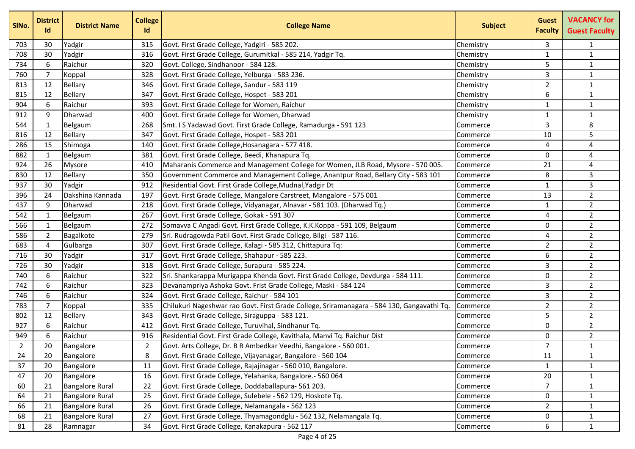| SIN <sub>o</sub> . | <b>District</b><br>Id | <b>District Name</b>   | <b>College</b><br>Id | <b>College Name</b>                                                                        | <b>Subject</b> | <b>Guest</b><br><b>Faculty</b> | <b>VACANCY for</b><br><b>Guest Faculty</b> |
|--------------------|-----------------------|------------------------|----------------------|--------------------------------------------------------------------------------------------|----------------|--------------------------------|--------------------------------------------|
| 703                | 30                    | Yadgir                 | 315                  | Govt. First Grade College, Yadgiri - 585 202.                                              | Chemistry      | 3                              | 1                                          |
| 708                | 30                    | Yadgir                 | 316                  | Govt. First Grade College, Gurumitkal - 585 214, Yadgir Tq.                                | Chemistry      | $\mathbf{1}$                   | $\mathbf{1}$                               |
| 734                | 6                     | Raichur                | 320                  | Govt. College, Sindhanoor - 584 128.                                                       | Chemistry      | 5                              | $\mathbf{1}$                               |
| 760                | 7                     | Koppal                 | 328                  | Govt. First Grade College, Yelburga - 583 236.                                             | Chemistry      | 3                              | $\mathbf{1}$                               |
| 813                | 12                    | Bellary                | 346                  | Govt. First Grade College, Sandur - 583 119                                                | Chemistry      | $\overline{2}$                 | $\mathbf{1}$                               |
| 815                | 12                    | Bellary                | 347                  | Govt. First Grade College, Hospet - 583 201                                                | Chemistry      | 6                              | $\mathbf{1}$                               |
| 904                | 6                     | Raichur                | 393                  | Govt. First Grade College for Women, Raichur                                               | Chemistry      | 1                              | $\mathbf{1}$                               |
| 912                | 9                     | Dharwad                | 400                  | Govt. First Grade College for Women, Dharwad                                               | Chemistry      | 1                              | $\mathbf{1}$                               |
| 544                | 1                     | Belgaum                | 268                  | Smt. I S Yadawad Govt. First Grade College, Ramadurga - 591 123                            | Commerce       | 3                              | 8                                          |
| 816                | 12                    | <b>Bellary</b>         | 347                  | Govt. First Grade College, Hospet - 583 201                                                | Commerce       | 10                             | 5                                          |
| 286                | 15                    | Shimoga                | 140                  | Govt. First Grade College, Hosanagara - 577 418.                                           | Commerce       | 4                              | 4                                          |
| 882                | 1                     | Belgaum                | 381                  | Govt. First Grade College, Beedi, Khanapura Tq.                                            | Commerce       | $\mathbf 0$                    | 4                                          |
| 924                | 26                    | <b>Mysore</b>          | 410                  | Maharanis Commerce and Management College for Women, JLB Road, Mysore - 570 005.           | Commerce       | 21                             | 4                                          |
| 830                | 12                    | Bellary                | 350                  | Government Commerce and Management College, Anantpur Road, Bellary City - 583 101          | Commerce       | 8                              | 3                                          |
| 937                | 30                    | Yadgir                 | 912                  | Residential Govt. First Grade College, Mudnal, Yadgir Dt                                   | Commerce       | $\mathbf{1}$                   | 3                                          |
| 396                | 24                    | Dakshina Kannada       | 197                  | Govt. First Grade College, Mangalore Carstreet, Mangalore - 575 001                        | Commerce       | 13                             | $\overline{2}$                             |
| 437                | 9                     | Dharwad                | 218                  | Govt. First Grade College, Vidyanagar, Alnavar - 581 103. (Dharwad Tq.)                    | Commerce       | 1                              | $\overline{2}$                             |
| 542                | $\mathbf 1$           | Belgaum                | 267                  | Govt. First Grade College, Gokak - 591 307                                                 | Commerce       | 4                              | $\overline{2}$                             |
| 566                | $\mathbf 1$           | Belgaum                | 272                  | Somavva C Angadi Govt. First Grade College, K.K.Koppa - 591 109, Belgaum                   | Commerce       | 0                              | $\overline{2}$                             |
| 586                | $\overline{2}$        | Bagalkote              | 279                  | Sri. Rudragowda Patil Govt. First Grade College, Bilgi - 587 116.                          | Commerce       | 4                              | $\overline{2}$                             |
| 683                | 4                     | Gulbarga               | 307                  | Govt. First Grade College, Kalagi - 585 312, Chittapura Tq:                                | Commerce       | $\overline{2}$                 | $\overline{2}$                             |
| 716                | 30                    | Yadgir                 | 317                  | Govt. First Grade College, Shahapur - 585 223.                                             | Commerce       | 6                              | $\overline{2}$                             |
| 726                | 30                    | Yadgir                 | 318                  | Govt. First Grade College, Surapura - 585 224.                                             | Commerce       | 3                              | $\overline{2}$                             |
| 740                | 6                     | Raichur                | 322                  | Sri. Shankarappa Murigappa Khenda Govt. First Grade College, Devdurga - 584 111.           | Commerce       | $\mathbf{0}$                   | $\overline{2}$                             |
| 742                | 6                     | Raichur                | 323                  | Devanampriya Ashoka Govt. Frist Grade College, Maski - 584 124                             | Commerce       | 3                              | $\overline{2}$                             |
| 746                | 6                     | Raichur                | 324                  | Govt. First Grade College, Raichur - 584 101                                               | Commerce       | 3                              | $\overline{2}$                             |
| 783                | 7                     | Koppal                 | 335                  | Chilukuri Nageshwar rao Govt. First Grade College, Sriramanagara - 584 130, Gangavathi Tq. | Commerce       | $\overline{2}$                 | $\overline{2}$                             |
| 802                | 12                    | Bellary                | 343                  | Govt. First Grade College, Siraguppa - 583 121.                                            | Commerce       | 5                              | $\overline{2}$                             |
| 927                | 6                     | Raichur                | 412                  | Govt. First Grade College, Turuvihal, Sindhanur Tq.                                        | Commerce       | 0                              | $\overline{2}$                             |
| 949                | 6                     | Raichur                | 916                  | Residential Govt. First Grade College, Kavithala, Manvi Tq. Raichur Dist                   | Commerce       | 0                              | $\overline{2}$                             |
| $\overline{2}$     | 20                    | Bangalore              | 2                    | Govt. Arts College, Dr. B R Ambedkar Veedhi, Bangalore - 560 001                           | Commerce       | $\overline{7}$                 | $\mathbf{1}$                               |
| 24                 | 20                    | Bangalore              | 8                    | Govt. First Grade College, Vijayanagar, Bangalore - 560 104                                | Commerce       | 11                             | $\mathbf{1}$                               |
| 37                 | 20                    | Bangalore              | 11                   | Govt. First Grade College, Rajajinagar - 560 010, Bangalore.                               | Commerce       | $\mathbf{1}$                   | $\mathbf{1}$                               |
| 47                 | 20                    | Bangalore              | 16                   | Govt. First Grade College, Yelahanka, Bangalore.- 560 064                                  | Commerce       | 20                             | $\mathbf{1}$                               |
| 60                 | 21                    | <b>Bangalore Rural</b> | 22                   | Govt. First Grade College, Doddaballapura- 561 203.                                        | Commerce       | $\overline{7}$                 | $\mathbf{1}$                               |
| 64                 | 21                    | <b>Bangalore Rural</b> | 25                   | Govt. First Grade College, Sulebele - 562 129, Hoskote Tq.                                 | Commerce       | 0                              | $\mathbf{1}$                               |
| 66                 | 21                    | <b>Bangalore Rural</b> | 26                   | Govt. First Grade College, Nelamangala - 562 123                                           | Commerce       | $\overline{2}$                 | $\mathbf{1}$                               |
| 68                 | 21                    | <b>Bangalore Rural</b> | 27                   | Govt. First Grade College, Thyamagondglu - 562 132, Nelamangala Tq.                        | Commerce       | 0                              | $\mathbf{1}$                               |
| 81                 | 28                    | Ramnagar               | 34                   | Govt. First Grade College, Kanakapura - 562 117                                            | Commerce       | 6                              | $\mathbf{1}$                               |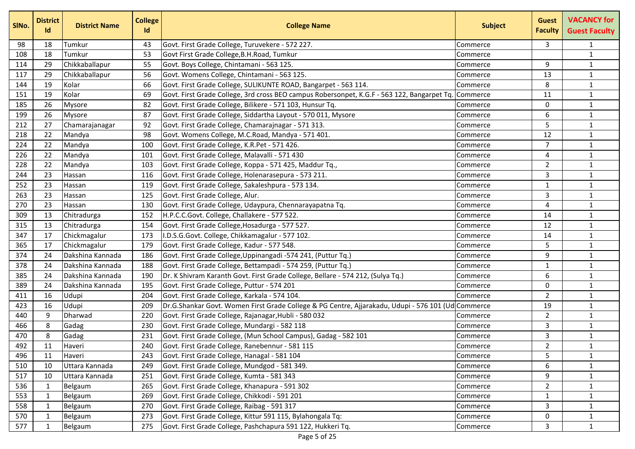| SINo. | <b>District</b><br>Id | <b>District Name</b> | <b>College</b><br>Id | <b>College Name</b>                                                                                | <b>Subject</b> | <b>Guest</b><br><b>Faculty</b> | <b>VACANCY for</b><br><b>Guest Faculty</b> |
|-------|-----------------------|----------------------|----------------------|----------------------------------------------------------------------------------------------------|----------------|--------------------------------|--------------------------------------------|
| 98    | 18                    | Tumkur               | 43                   | Govt. First Grade College, Turuvekere - 572 227.                                                   | Commerce       | 3                              | 1                                          |
| 108   | 18                    | Tumkur               | 53                   | Govt First Grade College, B.H. Road, Tumkur                                                        | Commerce       |                                | $\mathbf{1}$                               |
| 114   | 29                    | Chikkaballapur       | 55                   | Govt. Boys College, Chintamani - 563 125.                                                          | Commerce       | 9                              | $\mathbf{1}$                               |
| 117   | 29                    | Chikkaballapur       | 56                   | Govt. Womens College, Chintamani - 563 125.                                                        | Commerce       | 13                             | $\mathbf{1}$                               |
| 144   | 19                    | Kolar                | 66                   | Govt. First Grade College, SULIKUNTE ROAD, Bangarpet - 563 114.                                    | Commerce       | 8                              | $\mathbf{1}$                               |
| 151   | 19                    | Kolar                | 69                   | Govt. First Grade College, 3rd cross BEO campus Robersonpet, K.G.F - 563 122, Bangarpet Tq         | Commerce       | 11                             | $\mathbf{1}$                               |
| 185   | 26                    | <b>Mysore</b>        | 82                   | Govt. First Grade College, Bilikere - 571 103, Hunsur Tq.                                          | Commerce       | $\mathbf{0}$                   | $\mathbf 1$                                |
| 199   | 26                    | <b>Mysore</b>        | 87                   | Govt. First Grade College, Siddartha Layout - 570 011, Mysore                                      | Commerce       | 6                              | $\mathbf{1}$                               |
| 212   | 27                    | Chamarajanagar       | 92                   | Govt. First Grade College, Chamarajnagar - 571 313.                                                | Commerce       | 5                              | $\mathbf{1}$                               |
| 218   | 22                    | Mandya               | 98                   | Govt. Womens College, M.C.Road, Mandya - 571 401.                                                  | Commerce       | 12                             | $\mathbf{1}$                               |
| 224   | 22                    | Mandya               | 100                  | Govt. First Grade College, K.R.Pet - 571 426.                                                      | Commerce       | $\overline{7}$                 | $\mathbf{1}$                               |
| 226   | 22                    | Mandya               | 101                  | Govt. First Grade College, Malavalli - 571 430                                                     | Commerce       | 4                              | $\mathbf{1}$                               |
| 228   | 22                    | Mandya               | 103                  | Govt. First Grade College, Koppa - 571 425, Maddur Tq.,                                            | Commerce       | $\overline{2}$                 | $\mathbf{1}$                               |
| 244   | 23                    | Hassan               | 116                  | Govt. First Grade College, Holenarasepura - 573 211.                                               | Commerce       | 3                              | $\mathbf{1}$                               |
| 252   | 23                    | Hassan               | 119                  | Govt. First Grade College, Sakaleshpura - 573 134.                                                 | Commerce       | $\mathbf{1}$                   | $\mathbf{1}$                               |
| 263   | 23                    | Hassan               | 125                  | Govt. First Grade College, Alur.                                                                   | Commerce       | 3                              | $\mathbf 1$                                |
| 270   | 23                    | Hassan               | 130                  | Govt. First Grade College, Udaypura, Chennarayapatna Tq.                                           | Commerce       | 4                              | $\mathbf{1}$                               |
| 309   | 13                    | Chitradurga          | 152                  | H.P.C.C.Govt. College, Challakere - 577 522.                                                       | Commerce       | 14                             | $\mathbf{1}$                               |
| 315   | 13                    | Chitradurga          | 154                  | Govt. First Grade College, Hosadurga - 577 527.                                                    | Commerce       | 12                             | $\mathbf{1}$                               |
| 347   | 17                    | Chickmagalur         | 173                  | I.D.S.G.Govt. College, Chikkamagalur - 577 102.                                                    | Commerce       | 14                             | $\mathbf{1}$                               |
| 365   | 17                    | Chickmagalur         | 179                  | Govt. First Grade College, Kadur - 577 548.                                                        | Commerce       | 5.                             | $\mathbf{1}$                               |
| 374   | 24                    | Dakshina Kannada     | 186                  | Govt. First Grade College, Uppinangadi - 574 241, (Puttur Tq.)                                     | Commerce       | 9                              | $\mathbf{1}$                               |
| 378   | 24                    | Dakshina Kannada     | 188                  | Govt. First Grade College, Bettampadi - 574 259, (Puttur Tq.)                                      | Commerce       | $\mathbf{1}$                   | $\mathbf{1}$                               |
| 385   | 24                    | Dakshina Kannada     | 190                  | Dr. K Shivram Karanth Govt. First Grade College, Bellare - 574 212, (Sulya Tq.)                    | Commerce       | 6                              | $\mathbf{1}$                               |
| 389   | 24                    | Dakshina Kannada     | 195                  | Govt. First Grade College, Puttur - 574 201                                                        | Commerce       | $\mathbf 0$                    | $\mathbf 1$                                |
| 411   | 16                    | Udupi                | 204                  | Govt. First Grade College, Karkala - 574 104.                                                      | Commerce       | 2                              | $\mathbf{1}$                               |
| 423   | 16                    | Udupi                | 209                  | Dr.G.Shankar Govt. Women First Grade College & PG Centre, Ajjarakadu, Udupi - 576 101 (Ud Commerce |                | 19                             | $\mathbf{1}$                               |
| 440   | 9                     | Dharwad              | 220                  | Govt. First Grade College, Rajanagar, Hubli - 580 032                                              | Commerce       | $\overline{2}$                 | $\mathbf{1}$                               |
| 466   | 8                     | Gadag                | 230                  | Govt. First Grade College, Mundargi - 582 118                                                      | Commerce       | 3                              | $\mathbf{1}$                               |
| 470   | 8                     | Gadag                | 231                  | Govt. First Grade College, (Mun School Campus), Gadag - 582 101                                    | Commerce       | 3                              | $\mathbf{1}$                               |
| 492   | 11                    | Haveri               | 240                  | Govt. First Grade College, Ranebennur - 581 115                                                    | Commerce       | $\overline{2}$                 | $\mathbf{1}$                               |
| 496   | 11                    | Haveri               | 243                  | Govt. First Grade College, Hanagal - 581 104                                                       | Commerce       | 5                              | $\mathbf{1}$                               |
| 510   | 10                    | Uttara Kannada       | 249                  | Govt. First Grade College, Mundgod - 581 349.                                                      | Commerce       | 6                              | $\mathbf{1}$                               |
| 517   | 10                    | Uttara Kannada       | 251                  | Govt. First Grade College, Kumta - 581 343                                                         | Commerce       | 9                              | $\mathbf{1}$                               |
| 536   | 1                     | Belgaum              | 265                  | Govt. First Grade College, Khanapura - 591 302                                                     | Commerce       | $\overline{2}$                 | $\mathbf{1}$                               |
| 553   | 1                     | Belgaum              | 269                  | Govt. First Grade College, Chikkodi - 591 201                                                      | Commerce       | $\mathbf{1}$                   | $\mathbf{1}$                               |
| 558   | 1                     | Belgaum              | 270                  | Govt. First Grade College, Raibag - 591 317                                                        | Commerce       | 3                              | $\mathbf{1}$                               |
| 570   | 1                     | Belgaum              | 273                  | Govt. First Grade College, Kittur 591 115, Bylahongala Tq:                                         | Commerce       | 0                              | $\mathbf{1}$                               |
| 577   | -1                    | Belgaum              | 275                  | Govt. First Grade College, Pashchapura 591 122, Hukkeri Tq.                                        | Commerce       | 3                              | $\mathbf{1}$                               |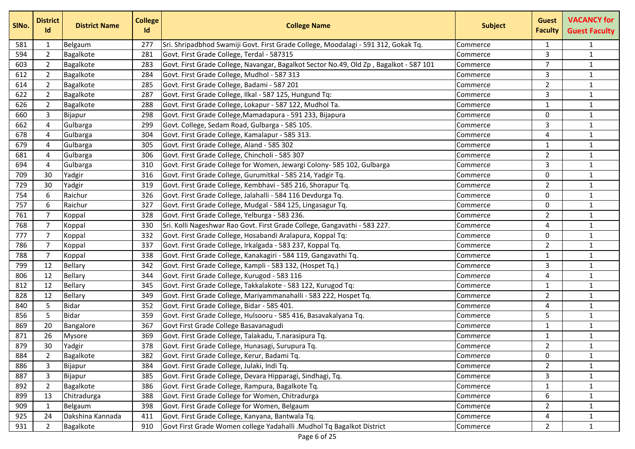| SINo. | <b>District</b><br>Id | <b>District Name</b> | <b>College</b><br>Id | <b>College Name</b>                                                                    | <b>Subject</b> | <b>Guest</b><br><b>Faculty</b> | <b>VACANCY for</b><br><b>Guest Faculty</b> |
|-------|-----------------------|----------------------|----------------------|----------------------------------------------------------------------------------------|----------------|--------------------------------|--------------------------------------------|
| 581   | 1                     | Belgaum              | 277                  | Sri. Shripadbhod Swamiji Govt. First Grade College, Moodalagi - 591 312, Gokak Tq.     | Commerce       | $\mathbf{1}$                   | $\mathbf{1}$                               |
| 594   | $\overline{2}$        | Bagalkote            | 281                  | Govt. First Grade College, Terdal - 587315                                             | Commerce       | 3                              | $\mathbf{1}$                               |
| 603   | $\overline{2}$        | Bagalkote            | 283                  | Govt. First Grade College, Navangar, Bagalkot Sector No.49, Old Zp, Bagalkot - 587 101 | Commerce       | $\overline{7}$                 | $\mathbf{1}$                               |
| 612   | $\overline{2}$        | Bagalkote            | 284                  | Govt. First Grade College, Mudhol - 587 313                                            | Commerce       | 3                              | $\mathbf{1}$                               |
| 614   | $\overline{2}$        | Bagalkote            | 285                  | Govt. First Grade College, Badami - 587 201                                            | Commerce       | $\overline{2}$                 | $\mathbf{1}$                               |
| 622   | $\overline{2}$        | Bagalkote            | 287                  | Govt. First Grade College, Ilkal - 587 125, Hungund Tq:                                | Commerce       | 3                              | $\mathbf{1}$                               |
| 626   | $\overline{2}$        | Bagalkote            | 288                  | Govt. First Grade College, Lokapur - 587 122, Mudhol Ta.                               | Commerce       | 1                              | $\mathbf{1}$                               |
| 660   | 3                     | Bijapur              | 298                  | Govt. First Grade College, Mamadapura - 591 233, Bijapura                              | Commerce       | $\mathbf{0}$                   | $\mathbf{1}$                               |
| 662   | $\overline{4}$        | Gulbarga             | 299                  | Govt. College, Sedam Road, Gulbarga - 585 105.                                         | Commerce       | 3                              | $\mathbf{1}$                               |
| 678   | $\overline{4}$        | Gulbarga             | 304                  | Govt. First Grade College, Kamalapur - 585 313.                                        | Commerce       | 4                              | $\mathbf{1}$                               |
| 679   | 4                     | Gulbarga             | 305                  | Govt. First Grade College, Aland - 585 302                                             | Commerce       | $\mathbf{1}$                   | $\mathbf{1}$                               |
| 681   | 4                     | Gulbarga             | 306                  | Govt. First Grade College, Chincholi - 585 307                                         | Commerce       | $\overline{2}$                 | $\mathbf{1}$                               |
| 694   | $\overline{4}$        | Gulbarga             | 310                  | Govt. First Grade College for Women, Jewargi Colony- 585 102, Gulbarga                 | Commerce       | 3                              | $\mathbf{1}$                               |
| 709   | 30                    | Yadgir               | 316                  | Govt. First Grade College, Gurumitkal - 585 214, Yadgir Tq.                            | Commerce       | 0                              | $\mathbf{1}$                               |
| 729   | 30                    | Yadgir               | 319                  | Govt. First Grade College, Kembhavi - 585 216, Shorapur Tq.                            | Commerce       | $\overline{2}$                 | $\mathbf{1}$                               |
| 754   | 6                     | Raichur              | 326                  | Govt. First Grade College, Jalahalli - 584 116 Devdurga Tq.                            | Commerce       | $\mathbf{0}$                   | $\mathbf{1}$                               |
| 757   | 6                     | Raichur              | 327                  | Govt. First Grade College, Mudgal - 584 125, Lingasagur Tq.                            | Commerce       | $\mathbf{0}$                   | $\mathbf{1}$                               |
| 761   | 7                     | Koppal               | 328                  | Govt. First Grade College, Yelburga - 583 236.                                         | Commerce       | $\overline{2}$                 | $\mathbf{1}$                               |
| 768   | $\overline{7}$        | Koppal               | 330                  | Sri. Kolli Nageshwar Rao Govt. First Grade College, Gangavathi - 583 227.              | Commerce       | 4                              | $\mathbf{1}$                               |
| 777   | $\overline{7}$        | Koppal               | 332                  | Govt. First Grade College, Hosabandi Aralapura, Koppal Tq:                             | Commerce       | $\mathbf 0$                    | $\mathbf{1}$                               |
| 786   | 7                     | Koppal               | 337                  | Govt. First Grade College, Irkalgada - 583 237, Koppal Tq.                             | Commerce       | $\overline{2}$                 | $\mathbf{1}$                               |
| 788   | 7                     | Koppal               | 338                  | Govt. First Grade College, Kanakagiri - 584 119, Gangavathi Tq.                        | Commerce       | $\mathbf{1}$                   | $\mathbf{1}$                               |
| 799   | 12                    | Bellary              | 342                  | Govt. First Grade College, Kampli - 583 132, (Hospet Tq.)                              | Commerce       | 3                              | $\mathbf{1}$                               |
| 806   | 12                    | Bellary              | 344                  | Govt. First Grade College, Kurugod - 583 116                                           | Commerce       | 4                              | $\mathbf{1}$                               |
| 812   | 12                    | Bellary              | 345                  | Govt. First Grade College, Takkalakote - 583 122, Kurugod Tq:                          | Commerce       | 1                              | $\mathbf{1}$                               |
| 828   | 12                    | <b>Bellary</b>       | 349                  | Govt. First Grade College, Mariyammanahalli - 583 222, Hospet Tq.                      | Commerce       | $\overline{2}$                 | $\mathbf{1}$                               |
| 840   | 5                     | <b>Bidar</b>         | 352                  | Govt. First Grade College, Bidar - 585 401.                                            | Commerce       | 4                              | $\mathbf{1}$                               |
| 856   | 5                     | <b>Bidar</b>         | 359                  | Govt. First Grade College, Hulsooru - 585 416, Basavakalyana Tq.                       | Commerce       | 5                              | $\mathbf{1}$                               |
| 869   | 20                    | Bangalore            | 367                  | Govt First Grade College Basavanagudi                                                  | Commerce       | $\mathbf{1}$                   | $\mathbf{1}$                               |
| 871   | 26                    | <b>Mysore</b>        | 369                  | Govt. First Grade College, Talakadu, T.narasipura Tq.                                  | Commerce       | 1                              | $\mathbf{1}$                               |
| 879   | 30                    | Yadgir               | 378                  | Govt. First Grade College, Hunasagi, Surupura Tq.                                      | Commerce       | $\overline{2}$                 | $\mathbf{1}$                               |
| 884   | 2                     | Bagalkote            | 382                  | Govt. First Grade College, Kerur, Badami Tq.                                           | Commerce       | 0                              | $\mathbf{1}$                               |
| 886   | 3                     | Bijapur              | 384                  | Govt. First Grade College, Julaki, Indi Tq.                                            | Commerce       | $\overline{2}$                 | $\mathbf{1}$                               |
| 887   | $\mathsf{3}$          | Bijapur              | 385                  | Govt. First Grade College, Devara Hipparagi, Sindhagi, Tq.                             | Commerce       | 3                              | $\mathbf{1}$                               |
| 892   | $\overline{2}$        | Bagalkote            | 386                  | Govt. First Grade College, Rampura, Bagalkote Tq.                                      | Commerce       | $\mathbf{1}$                   | $\mathbf{1}$                               |
| 899   | 13                    | Chitradurga          | 388                  | Govt. First Grade College for Women, Chitradurga                                       | Commerce       | 6                              | $\mathbf{1}$                               |
| 909   | 1                     | Belgaum              | 398                  | Govt. First Grade College for Women, Belgaum                                           | Commerce       | $\overline{2}$                 | $\mathbf{1}$                               |
| 925   | 24                    | Dakshina Kannada     | 411                  | Govt. First Grade College, Kanyana, Bantwala Tq.                                       | Commerce       | 4                              | $\mathbf{1}$                               |
| 931   | 2                     | Bagalkote            | 910                  | Govt First Grade Women college Yadahalli .Mudhol Tq Bagalkot District                  | Commerce       | $\mathbf{2}$                   | $\mathbf{1}$                               |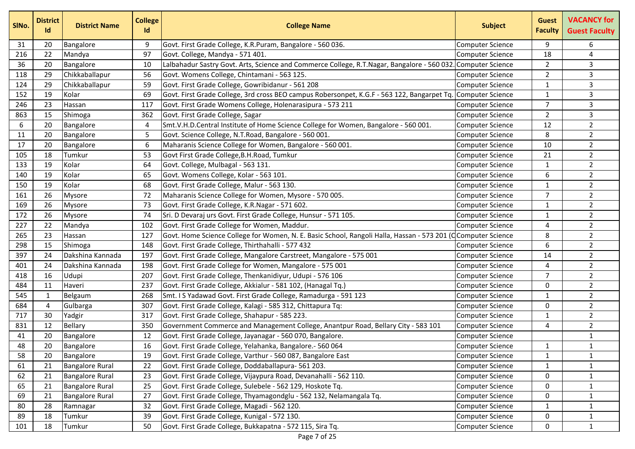| SINo. | <b>District</b><br>Id | <b>District Name</b>   | <b>College</b><br>Id | <b>College Name</b>                                                                                         | <b>Subject</b>          | <b>Guest</b><br><b>Faculty</b> | <b>VACANCY for</b><br><b>Guest Faculty</b> |
|-------|-----------------------|------------------------|----------------------|-------------------------------------------------------------------------------------------------------------|-------------------------|--------------------------------|--------------------------------------------|
| 31    | 20                    | Bangalore              | 9                    | Govt. First Grade College, K.R.Puram, Bangalore - 560 036.                                                  | Computer Science        | 9                              | 6                                          |
| 216   | 22                    | Mandya                 | 97                   | Govt. College, Mandya - 571 401.                                                                            | Computer Science        | 18                             | 4                                          |
| 36    | 20                    | Bangalore              | 10                   | Lalbahadur Sastry Govt. Arts, Science and Commerce College, R.T.Nagar, Bangalore - 560 032                  | Computer Science        | $\overline{2}$                 | 3                                          |
| 118   | 29                    | Chikkaballapur         | 56                   | Govt. Womens College, Chintamani - 563 125.                                                                 | <b>Computer Science</b> | $\overline{2}$                 | 3                                          |
| 124   | 29                    | Chikkaballapur         | 59                   | Govt. First Grade College, Gowribidanur - 561 208                                                           | <b>Computer Science</b> | 1                              | 3                                          |
| 152   | 19                    | Kolar                  | 69                   | Govt. First Grade College, 3rd cross BEO campus Robersonpet, K.G.F - 563 122, Bangarpet Tq.                 | Computer Science        | $\mathbf{1}$                   | 3                                          |
| 246   | 23                    | Hassan                 | 117                  | Govt. First Grade Womens College, Holenarasipura - 573 211                                                  | Computer Science        | $\overline{7}$                 | 3                                          |
| 863   | 15                    | Shimoga                | 362                  | Govt. First Grade College, Sagar                                                                            | <b>Computer Science</b> | $\overline{2}$                 | 3                                          |
| 6     | 20                    | Bangalore              | 4                    | Smt.V.H.D.Central Institute of Home Science College for Women, Bangalore - 560 001.                         | Computer Science        | 12                             | $\overline{2}$                             |
| 11    | 20                    | Bangalore              | 5                    | Govt. Science College, N.T.Road, Bangalore - 560 001.                                                       | <b>Computer Science</b> | 8                              | $\overline{2}$                             |
| 17    | 20                    | Bangalore              | 6                    | Maharanis Science College for Women, Bangalore - 560 001.                                                   | Computer Science        | 10                             | $\overline{2}$                             |
| 105   | 18                    | Tumkur                 | 53                   | Govt First Grade College, B.H. Road, Tumkur                                                                 | Computer Science        | 21                             | $\overline{2}$                             |
| 133   | 19                    | Kolar                  | 64                   | Govt. College, Mulbagal - 563 131.                                                                          | <b>Computer Science</b> | 1                              | $\overline{2}$                             |
| 140   | 19                    | Kolar                  | 65                   | Govt. Womens College, Kolar - 563 101.                                                                      | Computer Science        | 6                              | $\overline{2}$                             |
| 150   | 19                    | Kolar                  | 68                   | Govt. First Grade College, Malur - 563 130.                                                                 | Computer Science        | $\mathbf{1}$                   | $\overline{2}$                             |
| 161   | 26                    | <b>Mysore</b>          | 72                   | Maharanis Science College for Women, Mysore - 570 005.                                                      | Computer Science        | 7                              | $\overline{2}$                             |
| 169   | 26                    | <b>Mysore</b>          | 73                   | Govt. First Grade College, K.R.Nagar - 571 602.                                                             | <b>Computer Science</b> | 1                              | $\overline{2}$                             |
| 172   | 26                    | Mysore                 | 74                   | Sri. D Devaraj urs Govt. First Grade College, Hunsur - 571 105.                                             | Computer Science        | 1                              | $\overline{2}$                             |
| 227   | 22                    | Mandya                 | 102                  | Govt. First Grade College for Women, Maddur.                                                                | <b>Computer Science</b> | 4                              | $\overline{2}$                             |
| 265   | 23                    | Hassan                 | 127                  | Govt. Home Science College for Women, N. E. Basic School, Rangoli Halla, Hassan - 573 201 (Computer Science |                         | 8                              | $\overline{2}$                             |
| 298   | 15                    | Shimoga                | 148                  | Govt. First Grade College, Thirthahalli - 577 432                                                           | Computer Science        | 6                              | $\overline{2}$                             |
| 397   | 24                    | Dakshina Kannada       | 197                  | Govt. First Grade College, Mangalore Carstreet, Mangalore - 575 001                                         | <b>Computer Science</b> | 14                             | $\overline{2}$                             |
| 401   | 24                    | Dakshina Kannada       | 198                  | Govt. First Grade College for Women, Mangalore - 575 001                                                    | Computer Science        | 4                              | $\overline{2}$                             |
| 418   | 16                    | Udupi                  | 207                  | Govt. First Grade College, Thenkanidiyur, Udupi - 576 106                                                   | Computer Science        | $\overline{7}$                 | $\overline{2}$                             |
| 484   | 11                    | Haveri                 | 237                  | Govt. First Grade College, Akkialur - 581 102, (Hanagal Tq.)                                                | <b>Computer Science</b> | 0                              | $\overline{2}$                             |
| 545   | 1                     | Belgaum                | 268                  | Smt. I S Yadawad Govt. First Grade College, Ramadurga - 591 123                                             | <b>Computer Science</b> | $\mathbf{1}$                   | $\overline{2}$                             |
| 684   | 4                     | Gulbarga               | 307                  | Govt. First Grade College, Kalagi - 585 312, Chittapura Tq:                                                 | <b>Computer Science</b> | $\mathbf 0$                    | $\overline{2}$                             |
| 717   | 30                    | Yadgir                 | 317                  | Govt. First Grade College, Shahapur - 585 223.                                                              | Computer Science        | 1                              | $\overline{2}$                             |
| 831   | 12                    | Bellary                | 350                  | Government Commerce and Management College, Anantpur Road, Bellary City - 583 101                           | <b>Computer Science</b> | 4                              | $\overline{2}$                             |
| 41    | 20                    | Bangalore              | 12                   | Govt. First Grade College, Jayanagar - 560 070, Bangalore.                                                  | Computer Science        |                                | $\mathbf{1}$                               |
| 48    | 20                    | Bangalore              | 16                   | Govt. First Grade College, Yelahanka, Bangalore.- 560 064                                                   | Computer Science        | 1                              | $\mathbf{1}$                               |
| 58    | 20                    | Bangalore              | 19                   | Govt. First Grade College, Varthur - 560 087, Bangalore East                                                | Computer Science        | $\mathbf{1}$                   | $\mathbf{1}$                               |
| 61    | 21                    | <b>Bangalore Rural</b> | 22                   | Govt. First Grade College, Doddaballapura- 561 203.                                                         | Computer Science        | $\mathbf{1}$                   | 1                                          |
| 62    | 21                    | <b>Bangalore Rural</b> | 23                   | Govt. First Grade College, Vijaypura Road, Devanahalli - 562 110.                                           | <b>Computer Science</b> | 0                              | $\mathbf{1}$                               |
| 65    | 21                    | <b>Bangalore Rural</b> | 25                   | Govt. First Grade College, Sulebele - 562 129, Hoskote Tq.                                                  | <b>Computer Science</b> | 0                              | $\mathbf{1}$                               |
| 69    | 21                    | <b>Bangalore Rural</b> | 27                   | Govt. First Grade College, Thyamagondglu - 562 132, Nelamangala Tq.                                         | <b>Computer Science</b> | 0                              | $\mathbf{1}$                               |
| 80    | 28                    | Ramnagar               | 32                   | Govt. First Grade College, Magadi - 562 120.                                                                | Computer Science        | $\mathbf{1}$                   | $\mathbf{1}$                               |
| 89    | 18                    | Tumkur                 | 39                   | Govt. First Grade College, Kunigal - 572 130.                                                               | <b>Computer Science</b> | 0                              | $\mathbf{1}$                               |
| 101   | 18                    | Tumkur                 | 50                   | Govt. First Grade College, Bukkapatna - 572 115, Sira Tq.                                                   | Computer Science        | $\mathbf{0}$                   | $\mathbf{1}$                               |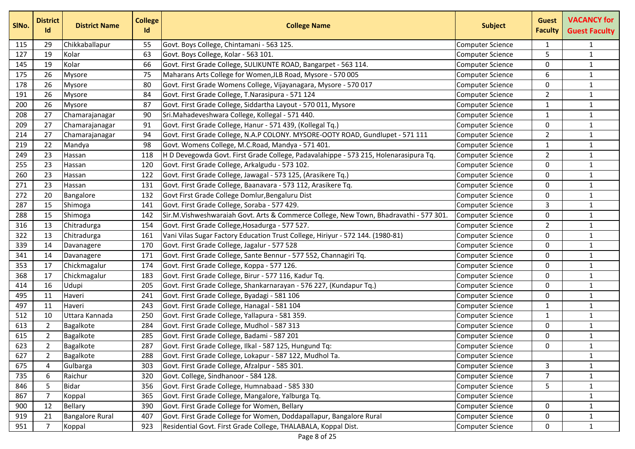| SINo. | <b>District</b><br>Id | <b>District Name</b>   | <b>College</b><br><b>Id</b> | <b>College Name</b>                                                                   | <b>Subject</b>          | <b>Guest</b><br><b>Faculty</b> | <b>VACANCY for</b><br><b>Guest Faculty</b> |
|-------|-----------------------|------------------------|-----------------------------|---------------------------------------------------------------------------------------|-------------------------|--------------------------------|--------------------------------------------|
| 115   | 29                    | Chikkaballapur         | 55                          | Govt. Boys College, Chintamani - 563 125.                                             | <b>Computer Science</b> | $\mathbf{1}$                   | 1                                          |
| 127   | 19                    | Kolar                  | 63                          | Govt. Boys College, Kolar - 563 101.                                                  | <b>Computer Science</b> | 5                              | $\mathbf{1}$                               |
| 145   | 19                    | Kolar                  | 66                          | Govt. First Grade College, SULIKUNTE ROAD, Bangarpet - 563 114.                       | Computer Science        | 0                              | $\mathbf{1}$                               |
| 175   | 26                    | Mysore                 | 75                          | Maharans Arts College for Women, JLB Road, Mysore - 570 005                           | <b>Computer Science</b> | 6                              | $\mathbf{1}$                               |
| 178   | 26                    | <b>Mysore</b>          | 80                          | Govt. First Grade Womens College, Vijayanagara, Mysore - 570 017                      | <b>Computer Science</b> | 0                              | $\mathbf{1}$                               |
| 191   | 26                    | <b>Mysore</b>          | 84                          | Govt. First Grade College, T.Narasipura - 571 124                                     | <b>Computer Science</b> | $\overline{2}$                 | $\mathbf{1}$                               |
| 200   | 26                    | <b>Mysore</b>          | 87                          | Govt. First Grade College, Siddartha Layout - 570 011, Mysore                         | <b>Computer Science</b> | 1                              | $\mathbf 1$                                |
| 208   | 27                    | Chamarajanagar         | 90                          | Sri.Mahadeveshwara College, Kollegal - 571 440.                                       | <b>Computer Science</b> | 1                              | $\mathbf{1}$                               |
| 209   | 27                    | Chamarajanagar         | 91                          | Govt. First Grade College, Hanur - 571 439, (Kollegal Tq.)                            | <b>Computer Science</b> | 0                              | $\mathbf{1}$                               |
| 214   | 27                    | Chamarajanagar         | 94                          | Govt. First Grade College, N.A.P COLONY. MYSORE-OOTY ROAD, Gundlupet - 571 111        | <b>Computer Science</b> | $\overline{2}$                 | $\mathbf{1}$                               |
| 219   | 22                    | Mandya                 | 98                          | Govt. Womens College, M.C.Road, Mandya - 571 401.                                     | <b>Computer Science</b> | 1                              | $\mathbf 1$                                |
| 249   | 23                    | Hassan                 | 118                         | H D Devegowda Govt. First Grade College, Padavalahippe - 573 215, Holenarasipura Tq.  | <b>Computer Science</b> | $\overline{2}$                 | $\mathbf{1}$                               |
| 255   | 23                    | Hassan                 | 120                         | Govt. First Grade College, Arkalgudu - 573 102.                                       | <b>Computer Science</b> | 0                              | $\mathbf{1}$                               |
| 260   | 23                    | Hassan                 | 122                         | Govt. First Grade College, Jawagal - 573 125, (Arasikere Tq.)                         | <b>Computer Science</b> | 0                              | $\mathbf{1}$                               |
| 271   | 23                    | Hassan                 | 131                         | Govt. First Grade College, Baanavara - 573 112, Arasikere Tq.                         | <b>Computer Science</b> | 0                              | $\mathbf{1}$                               |
| 272   | 20                    | Bangalore              | 132                         | Govt First Grade College Domlur, Bengaluru Dist                                       | <b>Computer Science</b> | 0                              | $\mathbf{1}$                               |
| 287   | 15                    | Shimoga                | 141                         | Govt. First Grade College, Soraba - 577 429.                                          | <b>Computer Science</b> | 3                              | $\mathbf{1}$                               |
| 288   | 15                    | Shimoga                | 142                         | Sir.M.Vishweshwaraiah Govt. Arts & Commerce College, New Town, Bhadravathi - 577 301. | Computer Science        | 0                              | $\mathbf{1}$                               |
| 316   | 13                    | Chitradurga            | 154                         | Govt. First Grade College, Hosadurga - 577 527.                                       | <b>Computer Science</b> | $\overline{2}$                 | $\mathbf{1}$                               |
| 322   | 13                    | Chitradurga            | 161                         | Vani Vilas Sugar Factory Education Trust College, Hiriyur - 572 144. (1980-81)        | <b>Computer Science</b> | 0                              | $\mathbf 1$                                |
| 339   | 14                    | Davanagere             | 170                         | Govt. First Grade College, Jagalur - 577 528                                          | <b>Computer Science</b> | 0                              | $\mathbf 1$                                |
| 341   | 14                    | Davanagere             | 171                         | Govt. First Grade College, Sante Bennur - 577 552, Channagiri Tq.                     | <b>Computer Science</b> | 0                              | $\mathbf{1}$                               |
| 353   | 17                    | Chickmagalur           | 174                         | Govt. First Grade College, Koppa - 577 126.                                           | <b>Computer Science</b> | 0                              | $\mathbf{1}$                               |
| 368   | 17                    | Chickmagalur           | 183                         | Govt. First Grade College, Birur - 577 116, Kadur Tq.                                 | <b>Computer Science</b> | 0                              | $\mathbf{1}$                               |
| 414   | 16                    | Udupi                  | 205                         | Govt. First Grade College, Shankarnarayan - 576 227, (Kundapur Tq.)                   | <b>Computer Science</b> | 0                              | $\mathbf{1}$                               |
| 495   | 11                    | Haveri                 | 241                         | Govt. First Grade College, Byadagi - 581 106                                          | <b>Computer Science</b> | 0                              | $\mathbf{1}$                               |
| 497   | 11                    | Haveri                 | 243                         | Govt. First Grade College, Hanagal - 581 104                                          | <b>Computer Science</b> | 1                              | $\mathbf{1}$                               |
| 512   | 10                    | Uttara Kannada         | 250                         | Govt. First Grade College, Yallapura - 581 359.                                       | <b>Computer Science</b> | 1                              | $\mathbf{1}$                               |
| 613   | $\overline{2}$        | Bagalkote              | 284                         | Govt. First Grade College, Mudhol - 587 313                                           | <b>Computer Science</b> | 0                              | $\mathbf{1}$                               |
| 615   | $\overline{2}$        | Bagalkote              | 285                         | Govt. First Grade College, Badami - 587 201                                           | <b>Computer Science</b> | 0                              | $\mathbf{1}$                               |
| 623   | $\overline{2}$        | Bagalkote              | 287                         | Govt. First Grade College, Ilkal - 587 125, Hungund Tq:                               | <b>Computer Science</b> | 0                              | $\mathbf{1}$                               |
| 627   | $\overline{2}$        | Bagalkote              | 288                         | Govt. First Grade College, Lokapur - 587 122, Mudhol Ta.                              | <b>Computer Science</b> |                                | $\mathbf{1}$                               |
| 675   | 4                     | Gulbarga               | 303                         | Govt. First Grade College, Afzalpur - 585 301.                                        | <b>Computer Science</b> | $\mathbf{3}$                   | $\mathbf{1}$                               |
| 735   | 6                     | Raichur                | 320                         | Govt. College, Sindhanoor - 584 128.                                                  | <b>Computer Science</b> | $\overline{7}$                 | $\mathbf{1}$                               |
| 846   | 5                     | Bidar                  | 356                         | Govt. First Grade College, Humnabaad - 585 330                                        | <b>Computer Science</b> | 5.                             | $\mathbf{1}$                               |
| 867   | 7                     | Koppal                 | 365                         | Govt. First Grade College, Mangalore, Yalburga Tq.                                    | <b>Computer Science</b> |                                | $\mathbf{1}$                               |
| 900   | 12                    | <b>Bellary</b>         | 390                         | Govt. First Grade College for Women, Bellary                                          | <b>Computer Science</b> | 0                              | $\mathbf{1}$                               |
| 919   | 21                    | <b>Bangalore Rural</b> | 407                         | Govt. First Grade College for Women, Doddapallapur, Bangalore Rural                   | <b>Computer Science</b> | 0                              | $\mathbf{1}$                               |
| 951   | 7                     | Koppal                 | 923                         | Residential Govt. First Grade College, THALABALA, Koppal Dist.                        | <b>Computer Science</b> | 0                              | $\mathbf{1}$                               |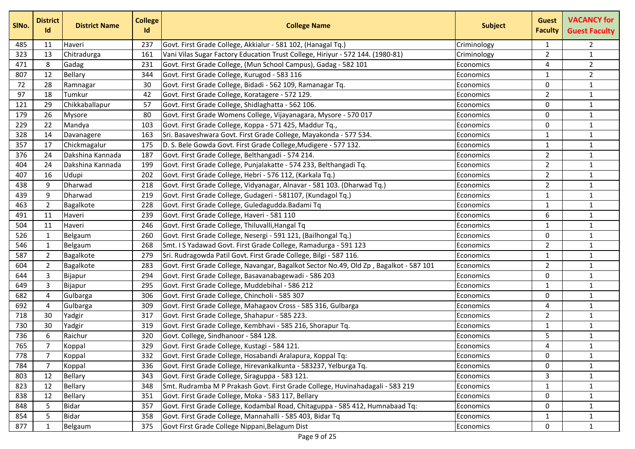| SINo. | <b>District</b><br>Id | <b>District Name</b> | <b>College</b><br>Id | <b>College Name</b>                                                                    | <b>Subject</b> | <b>Guest</b><br><b>Faculty</b> | <b>VACANCY for</b><br><b>Guest Faculty</b> |
|-------|-----------------------|----------------------|----------------------|----------------------------------------------------------------------------------------|----------------|--------------------------------|--------------------------------------------|
| 485   | 11                    | Haveri               | 237                  | Govt. First Grade College, Akkialur - 581 102, (Hanagal Tq.)                           | Criminology    | $\mathbf{1}$                   | $\overline{2}$                             |
| 323   | 13                    | Chitradurga          | 161                  | Vani Vilas Sugar Factory Education Trust College, Hiriyur - 572 144. (1980-81)         | Criminology    | $\overline{2}$                 | $\mathbf{1}$                               |
| 471   | 8                     | Gadag                | 231                  | Govt. First Grade College, (Mun School Campus), Gadag - 582 101                        | Economics      | 4                              | $\overline{2}$                             |
| 807   | 12                    | Bellary              | 344                  | Govt. First Grade College, Kurugod - 583 116                                           | Economics      | $\mathbf{1}$                   | $\overline{2}$                             |
| 72    | 28                    | Ramnagar             | 30                   | Govt. First Grade College, Bidadi - 562 109, Ramanagar Tq.                             | Economics      | 0                              | $\mathbf{1}$                               |
| 97    | 18                    | Tumkur               | 42                   | Govt. First Grade College, Koratagere - 572 129.                                       | Economics      | $\overline{2}$                 | $\mathbf{1}$                               |
| 121   | 29                    | Chikkaballapur       | 57                   | Govt. First Grade College, Shidlaghatta - 562 106.                                     | Economics      | 0                              | $\mathbf{1}$                               |
| 179   | 26                    | Mysore               | 80                   | Govt. First Grade Womens College, Vijayanagara, Mysore - 570 017                       | Economics      | $\mathbf{0}$                   | $\mathbf{1}$                               |
| 229   | 22                    | Mandya               | 103                  | Govt. First Grade College, Koppa - 571 425, Maddur Tq.,                                | Economics      | 0                              | $\mathbf{1}$                               |
| 328   | 14                    | Davanagere           | 163                  | Sri. Basaveshwara Govt. First Grade College, Mayakonda - 577 534.                      | Economics      | $\mathbf{1}$                   | $\mathbf{1}$                               |
| 357   | 17                    | Chickmagalur         | 175                  | D. S. Bele Gowda Govt. First Grade College, Mudigere - 577 132.                        | Economics      | $\mathbf{1}$                   | $\mathbf{1}$                               |
| 376   | 24                    | Dakshina Kannada     | 187                  | Govt. First Grade College, Belthangadi - 574 214.                                      | Economics      | $\overline{2}$                 | $\mathbf{1}$                               |
| 404   | 24                    | Dakshina Kannada     | 199                  | Govt. First Grade College, Punjalakatte - 574 233, Belthangadi Tq.                     | Economics      | $\overline{2}$                 | $\mathbf{1}$                               |
| 407   | 16                    | Udupi                | 202                  | Govt. First Grade College, Hebri - 576 112, (Karkala Tq.)                              | Economics      | $\overline{2}$                 | $\mathbf{1}$                               |
| 438   | 9                     | Dharwad              | 218                  | Govt. First Grade College, Vidyanagar, Alnavar - 581 103. (Dharwad Tq.)                | Economics      | $\overline{2}$                 | $\mathbf{1}$                               |
| 439   | 9                     | Dharwad              | 219                  | Govt. First Grade College, Gudageri - 581107, (Kundagol Tq.)                           | Economics      | $\mathbf{1}$                   | $\mathbf{1}$                               |
| 463   | $\overline{2}$        | Bagalkote            | 228                  | Govt. First Grade College, Guledagudda. Badami Tq                                      | Economics      | $\mathbf{1}$                   | $\mathbf{1}$                               |
| 491   | 11                    | Haveri               | 239                  | Govt. First Grade College, Haveri - 581 110                                            | Economics      | 6                              | $\mathbf{1}$                               |
| 504   | 11                    | Haveri               | 246                  | Govt. First Grade College, Thiluvalli, Hangal Tq                                       | Economics      | 1                              | $\mathbf{1}$                               |
| 526   | 1                     | Belgaum              | 260                  | Govt. First Grade College, Nesergi - 591 121, (Bailhongal Tq.)                         | Economics      | $\mathbf 0$                    | $\mathbf{1}$                               |
| 546   | 1                     | Belgaum              | 268                  | Smt. I S Yadawad Govt. First Grade College, Ramadurga - 591 123                        | Economics      | $\overline{2}$                 | $\mathbf{1}$                               |
| 587   | $\overline{2}$        | Bagalkote            | 279                  | Sri. Rudragowda Patil Govt. First Grade College, Bilgi - 587 116.                      | Economics      | $\mathbf{1}$                   | $\mathbf{1}$                               |
| 604   | $\overline{2}$        | Bagalkote            | 283                  | Govt. First Grade College, Navangar, Bagalkot Sector No.49, Old Zp, Bagalkot - 587 101 | Economics      | $\overline{2}$                 | $\mathbf{1}$                               |
| 644   | 3                     | Bijapur              | 294                  | Govt. First Grade College, Basavanabagewadi - 586 203                                  | Economics      | 0                              | $\mathbf{1}$                               |
| 649   | 3                     | Bijapur              | 295                  | Govt. First Grade College, Muddebihal - 586 212                                        | Economics      | 1                              | $\mathbf{1}$                               |
| 682   | $\overline{4}$        | Gulbarga             | 306                  | Govt. First Grade College, Chincholi - 585 307                                         | Economics      | $\mathbf{0}$                   | $\mathbf{1}$                               |
| 692   | 4                     | Gulbarga             | 309                  | Govt. First Grade College, Mahagaov Cross - 585 316, Gulbarga                          | Economics      | 4                              | $\mathbf{1}$                               |
| 718   | 30                    | Yadgir               | 317                  | Govt. First Grade College, Shahapur - 585 223.                                         | Economics      | $\overline{2}$                 | $\mathbf{1}$                               |
| 730   | 30                    | Yadgir               | 319                  | Govt. First Grade College, Kembhavi - 585 216, Shorapur Tq.                            | Economics      | $\mathbf{1}$                   | $\mathbf{1}$                               |
| 736   | 6                     | Raichur              | 320                  | Govt. College, Sindhanoor - 584 128.                                                   | Economics      | 5                              | $\mathbf{1}$                               |
| 765   | 7                     | Koppal               | 329                  | Govt. First Grade College, Kustagi - 584 121.                                          | Economics      | 4                              | $\mathbf{1}$                               |
| 778   | 7                     | Koppal               | 332                  | Govt. First Grade College, Hosabandi Aralapura, Koppal Tq:                             | Economics      | 0                              | $\mathbf{1}$                               |
| 784   | 7                     | Koppal               | 336                  | Govt. First Grade College, Hirevankalkunta - 583237, Yelburga Tq.                      | Economics      | 0                              | $\mathbf{1}$                               |
| 803   | 12                    | <b>Bellary</b>       | 343                  | Govt. First Grade College, Siraguppa - 583 121.                                        | Economics      | 3                              | $\mathbf{1}$                               |
| 823   | 12                    | <b>Bellary</b>       | 348                  | Smt. Rudramba M P Prakash Govt. First Grade College, Huvinahadagali - 583 219          | Economics      | $\mathbf{1}$                   | $\mathbf{1}$                               |
| 838   | 12                    | <b>Bellary</b>       | 351                  | Govt. First Grade College, Moka - 583 117, Bellary                                     | Economics      | 0                              | $\mathbf{1}$                               |
| 848   | 5                     | <b>Bidar</b>         | 357                  | Govt. First Grade College, Kodambal Road, Chitaguppa - 585 412, Humnabaad Tq:          | Economics      | $\Omega$                       | $\mathbf{1}$                               |
| 854   | 5                     | <b>Bidar</b>         | 358                  | Govt. First Grade College, Mannahalli - 585 403, Bidar Tq                              | Economics      | 1                              | $\mathbf{1}$                               |
| 877   | 1                     | Belgaum              | 375                  | Govt First Grade College Nippani, Belagum Dist                                         | Economics      | 0                              | $\mathbf{1}$                               |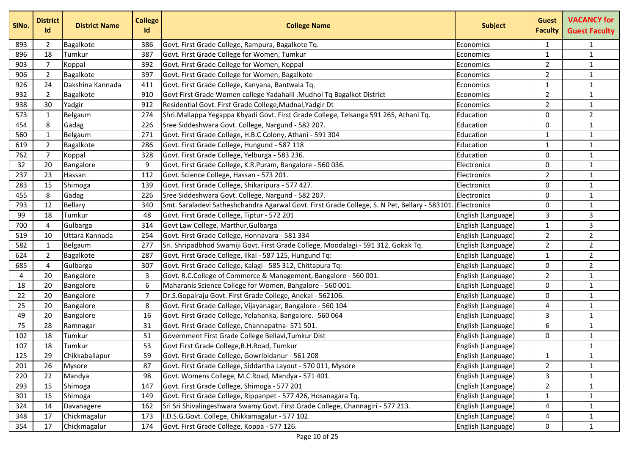| SINo. | <b>District</b><br>Id | <b>District Name</b> | <b>College</b><br>Id | <b>College Name</b>                                                                          | <b>Subject</b>     | <b>Guest</b><br><b>Faculty</b> | <b>VACANCY for</b><br><b>Guest Faculty</b> |
|-------|-----------------------|----------------------|----------------------|----------------------------------------------------------------------------------------------|--------------------|--------------------------------|--------------------------------------------|
| 893   | 2                     | Bagalkote            | 386                  | Govt. First Grade College, Rampura, Bagalkote Tq.                                            | Economics          | 1                              | 1                                          |
| 896   | 18                    | Tumkur               | 387                  | Govt. First Grade College for Women, Tumkur                                                  | Economics          | 1                              | $\mathbf{1}$                               |
| 903   | 7                     | Koppal               | 392                  | Govt. First Grade College for Women, Koppal                                                  | Economics          | $\overline{2}$                 | $\mathbf{1}$                               |
| 906   | $\overline{2}$        | Bagalkote            | 397                  | Govt. First Grade College for Women, Bagalkote                                               | Economics          | $\overline{2}$                 | $\mathbf{1}$                               |
| 926   | 24                    | Dakshina Kannada     | 411                  | Govt. First Grade College, Kanyana, Bantwala Tq.                                             | Economics          | 1                              | $\mathbf 1$                                |
| 932   | $\overline{2}$        | Bagalkote            | 910                  | Govt First Grade Women college Yadahalli .Mudhol Tq Bagalkot District                        | Economics          | $\overline{2}$                 | $\mathbf{1}$                               |
| 938   | 30                    | Yadgir               | 912                  | Residential Govt. First Grade College, Mudnal, Yadgir Dt                                     | Economics          | $\overline{2}$                 | $\mathbf{1}$                               |
| 573   | 1                     | Belgaum              | 274                  | Shri.Mallappa Yegappa Khyadi Govt. First Grade College, Telsanga 591 265, Athani Tq.         | Education          | 0                              | $\overline{2}$                             |
| 454   | 8                     | Gadag                | 226                  | Sree Siddeshwara Govt. College, Nargund - 582 207.                                           | Education          | $\mathbf{0}$                   | $\mathbf 1$                                |
| 560   | 1                     | Belgaum              | 271                  | Govt. First Grade College, H.B.C Colony, Athani - 591 304                                    | Education          | 1                              | $\mathbf{1}$                               |
| 619   | $\overline{2}$        | Bagalkote            | 286                  | Govt. First Grade College, Hungund - 587 118                                                 | Education          | 1                              | $\mathbf 1$                                |
| 762   | 7                     | Koppal               | 328                  | Govt. First Grade College, Yelburga - 583 236.                                               | Education          | $\Omega$                       | $\mathbf 1$                                |
| 32    | 20                    | Bangalore            | 9                    | Govt. First Grade College, K.R.Puram, Bangalore - 560 036.                                   | Electronics        | 0                              | $\mathbf{1}$                               |
| 237   | 23                    | Hassan               | 112                  | Govt. Science College, Hassan - 573 201.                                                     | Electronics        | $\overline{2}$                 | $\mathbf 1$                                |
| 283   | 15                    | Shimoga              | 139                  | Govt. First Grade College, Shikaripura - 577 427.                                            | Electronics        | 0                              | $\mathbf{1}$                               |
| 455   | 8                     | Gadag                | 226                  | Sree Siddeshwara Govt. College, Nargund - 582 207.                                           | Electronics        | 0                              | $\mathbf 1$                                |
| 793   | 12                    | Bellary              | 340                  | Smt. Saraladevi Satheshchandra Agarwal Govt. First Grade College, S. N Pet, Bellary - 583101 | Electronics        | 0                              | $\mathbf{1}$                               |
| 99    | 18                    | Tumkur               | 48                   | Govt. First Grade College, Tiptur - 572 201                                                  | English (Language) | 3                              | 3                                          |
| 700   | $\overline{4}$        | Gulbarga             | 314                  | Govt Law College, Marthur, Gulbarga                                                          | English (Language) | 1                              | 3                                          |
| 519   | 10                    | Uttara Kannada       | 254                  | Govt. First Grade College, Honnavara - 581 334                                               | English (Language) | $\overline{2}$                 | $\overline{2}$                             |
| 582   | $\mathbf 1$           | Belgaum              | 277                  | Sri. Shripadbhod Swamiji Govt. First Grade College, Moodalagi - 591 312, Gokak Tq.           | English (Language) | $\overline{2}$                 | $\overline{2}$                             |
| 624   | $\overline{2}$        | Bagalkote            | 287                  | Govt. First Grade College, Ilkal - 587 125, Hungund Tq:                                      | English (Language) | 1                              | $\overline{2}$                             |
| 685   | $\overline{4}$        | Gulbarga             | 307                  | Govt. First Grade College, Kalagi - 585 312, Chittapura Tq:                                  | English (Language) | 0                              | $\overline{2}$                             |
| 4     | 20                    | Bangalore            | 3                    | Govt. R.C.College of Commerce & Management, Bangalore - 560 001.                             | English (Language) | $\overline{2}$                 | $\mathbf{1}$                               |
| 18    | 20                    | Bangalore            | 6                    | Maharanis Science College for Women, Bangalore - 560 001.                                    | English (Language) | $\mathbf{0}$                   | $\mathbf 1$                                |
| 22    | 20                    | Bangalore            | 7                    | Dr.S.Gopalraju Govt. First Grade College, Anekal - 562106.                                   | English (Language) | 0                              | $\mathbf{1}$                               |
| 25    | 20                    | Bangalore            | 8                    | Govt. First Grade College, Vijayanagar, Bangalore - 560 104                                  | English (Language) | 4                              | $\mathbf 1$                                |
| 49    | 20                    | Bangalore            | 16                   | Govt. First Grade College, Yelahanka, Bangalore.- 560 064                                    | English (Language) | 3                              | $\mathbf{1}$                               |
| 75    | 28                    | Ramnagar             | 31                   | Govt. First Grade College, Channapatna- 571 501.                                             | English (Language) | 6                              | $\mathbf{1}$                               |
| 102   | 18                    | Tumkur               | 51                   | Government First Grade College Bellavi, Tumkur Dist                                          | English (Language) | 0                              | $\mathbf{1}$                               |
| 107   | 18                    | Tumkur               | 53                   | Govt First Grade College, B.H. Road, Tumkur                                                  | English (Language) |                                | $\mathbf{1}$                               |
| 125   | 29                    | Chikkaballapur       | 59                   | Govt. First Grade College, Gowribidanur - 561 208                                            | English (Language) | $\mathbf{1}$                   | $\mathbf{1}$                               |
| 201   | 26                    | Mysore               | 87                   | Govt. First Grade College, Siddartha Layout - 570 011, Mysore                                | English (Language) | $\overline{2}$                 | $\mathbf{1}$                               |
| 220   | 22                    | Mandya               | 98                   | Govt. Womens College, M.C.Road, Mandya - 571 401.                                            | English (Language) | 3                              | $\mathbf{1}$                               |
| 293   | 15                    | Shimoga              | 147                  | Govt. First Grade College, Shimoga - 577 201                                                 | English (Language) | $\overline{2}$                 | $\mathbf{1}$                               |
| 301   | 15                    | Shimoga              | 149                  | Govt. First Grade College, Rippanpet - 577 426, Hosanagara Tq.                               | English (Language) | $\mathbf{1}$                   | $\mathbf{1}$                               |
| 324   | 14                    | Davanagere           | 162                  | Sri Sri Shivalingeshwara Swamy Govt. First Grade College, Channagiri - 577 213.              | English (Language) | 4                              | $\mathbf{1}$                               |
| 348   | 17                    | Chickmagalur         | 173                  | I.D.S.G.Govt. College, Chikkamagalur - 577 102.                                              | English (Language) | 4                              | $\mathbf{1}$                               |
| 354   | 17                    | Chickmagalur         | 174                  | Govt. First Grade College, Koppa - 577 126.                                                  | English (Language) | 0                              | $\mathbf{1}$                               |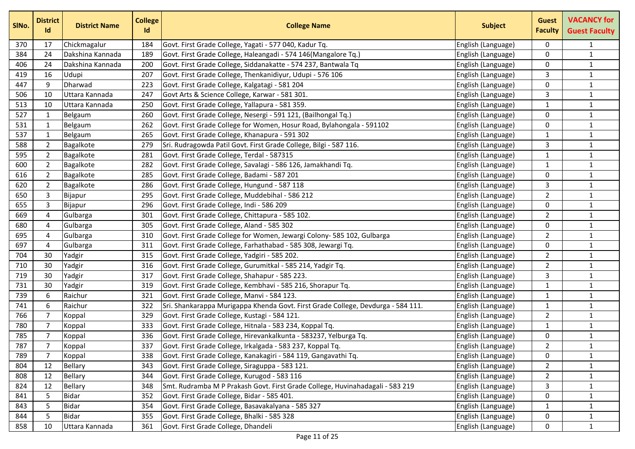| SINo. | <b>District</b><br><b>Id</b> | <b>District Name</b> | <b>College</b><br>Id | <b>College Name</b>                                                              | <b>Subject</b>     | <b>Guest</b><br><b>Faculty</b> | <b>VACANCY for</b><br><b>Guest Faculty</b> |
|-------|------------------------------|----------------------|----------------------|----------------------------------------------------------------------------------|--------------------|--------------------------------|--------------------------------------------|
| 370   | 17                           | Chickmagalur         | 184                  | Govt. First Grade College, Yagati - 577 040, Kadur Tq.                           | English (Language) | 0                              | $\mathbf{1}$                               |
| 384   | 24                           | Dakshina Kannada     | 189                  | Govt. First Grade College, Haleangadi - 574 146(Mangalore Tq.)                   | English (Language) | 0                              | $\mathbf 1$                                |
| 406   | 24                           | Dakshina Kannada     | 200                  | Govt. First Grade College, Siddanakatte - 574 237, Bantwala Tq                   | English (Language) | 0                              | $\mathbf{1}$                               |
| 419   | 16                           | Udupi                | 207                  | Govt. First Grade College, Thenkanidiyur, Udupi - 576 106                        | English (Language) | 3                              | $\mathbf{1}$                               |
| 447   | 9                            | Dharwad              | 223                  | Govt. First Grade College, Kalgatagi - 581 204                                   | English (Language) | 0                              | $\mathbf{1}$                               |
| 506   | 10                           | Uttara Kannada       | 247                  | Govt Arts & Science College, Karwar - 581 301.                                   | English (Language) | 3                              | $\mathbf 1$                                |
| 513   | 10                           | Uttara Kannada       | 250                  | Govt. First Grade College, Yallapura - 581 359.                                  | English (Language) | 1                              | $\mathbf 1$                                |
| 527   | $\mathbf{1}$                 | Belgaum              | 260                  | Govt. First Grade College, Nesergi - 591 121, (Bailhongal Tq.)                   | English (Language) | 0                              | $\mathbf{1}$                               |
| 531   | $\mathbf{1}$                 | Belgaum              | 262                  | Govt. First Grade College for Women, Hosur Road, Bylahongala - 591102            | English (Language) | $\Omega$                       | $\mathbf{1}$                               |
| 537   | $\mathbf{1}$                 | Belgaum              | 265                  | Govt. First Grade College, Khanapura - 591 302                                   | English (Language) | $\mathbf{1}$                   | $\mathbf{1}$                               |
| 588   | $\overline{2}$               | Bagalkote            | 279                  | Sri. Rudragowda Patil Govt. First Grade College, Bilgi - 587 116.                | English (Language) | 3                              | $\mathbf{1}$                               |
| 595   | $\overline{2}$               | Bagalkote            | 281                  | Govt. First Grade College, Terdal - 587315                                       | English (Language) | 1                              | $\mathbf{1}$                               |
| 600   | $\overline{2}$               | Bagalkote            | 282                  | Govt. First Grade College, Savalagi - 586 126, Jamakhandi Tq.                    | English (Language) | 1                              | $\mathbf{1}$                               |
| 616   | $\overline{2}$               | Bagalkote            | 285                  | Govt. First Grade College, Badami - 587 201                                      | English (Language) | 0                              | $\mathbf{1}$                               |
| 620   | $\overline{2}$               | Bagalkote            | 286                  | Govt. First Grade College, Hungund - 587 118                                     | English (Language) | 3                              | $\mathbf{1}$                               |
| 650   | 3                            | Bijapur              | 295                  | Govt. First Grade College, Muddebihal - 586 212                                  | English (Language) | $\overline{2}$                 | $\mathbf{1}$                               |
| 655   | 3                            | Bijapur              | 296                  | Govt. First Grade College, Indi - 586 209                                        | English (Language) | 0                              | $\mathbf{1}$                               |
| 669   | 4                            | Gulbarga             | 301                  | Govt. First Grade College, Chittapura - 585 102.                                 | English (Language) | $\overline{2}$                 | $\mathbf 1$                                |
| 680   | 4                            | Gulbarga             | 305                  | Govt. First Grade College, Aland - 585 302                                       | English (Language) | $\mathbf{0}$                   | $\mathbf{1}$                               |
| 695   | 4                            | Gulbarga             | 310                  | Govt. First Grade College for Women, Jewargi Colony- 585 102, Gulbarga           | English (Language) | $\overline{2}$                 | $\mathbf 1$                                |
| 697   | 4                            | Gulbarga             | 311                  | Govt. First Grade College, Farhathabad - 585 308, Jewargi Tq.                    | English (Language) | 0                              | $\mathbf{1}$                               |
| 704   | 30                           | Yadgir               | 315                  | Govt. First Grade College, Yadgiri - 585 202.                                    | English (Language) | $\overline{2}$                 | $\mathbf 1$                                |
| 710   | 30                           | Yadgir               | 316                  | Govt. First Grade College, Gurumitkal - 585 214, Yadgir Tq.                      | English (Language) | $\overline{2}$                 | $\mathbf{1}$                               |
| 719   | 30                           | Yadgir               | 317                  | Govt. First Grade College, Shahapur - 585 223.                                   | English (Language) | 3                              | $\mathbf{1}$                               |
| 731   | 30                           | Yadgir               | 319                  | Govt. First Grade College, Kembhavi - 585 216, Shorapur Tq.                      | English (Language) | 1                              | $\mathbf 1$                                |
| 739   | 6                            | Raichur              | 321                  | Govt. First Grade College, Manvi - 584 123.                                      | English (Language) | 1                              | $\mathbf{1}$                               |
| 741   | 6                            | Raichur              | 322                  | Sri. Shankarappa Murigappa Khenda Govt. First Grade College, Devdurga - 584 111. | English (Language) | $\mathbf{1}$                   | $\mathbf 1$                                |
| 766   | 7                            | Koppal               | 329                  | Govt. First Grade College, Kustagi - 584 121.                                    | English (Language) | $\overline{2}$                 | $\mathbf{1}$                               |
| 780   | $\overline{7}$               | Koppal               | 333                  | Govt. First Grade College, Hitnala - 583 234, Koppal Tq.                         | English (Language) | 1                              | $\mathbf{1}$                               |
| 785   | 7                            | Koppal               | 336                  | Govt. First Grade College, Hirevankalkunta - 583237, Yelburga Tq.                | English (Language) | 0                              | $\mathbf{1}$                               |
| 787   | $\overline{7}$               | Koppal               | 337                  | Govt. First Grade College, Irkalgada - 583 237, Koppal Tq.                       | English (Language) | $\overline{2}$                 | $\mathbf{1}$                               |
| 789   | 7                            | Koppal               | 338                  | Govt. First Grade College, Kanakagiri - 584 119, Gangavathi Tq.                  | English (Language) | 0                              | 1                                          |
| 804   | 12                           | <b>Bellary</b>       | 343                  | Govt. First Grade College, Siraguppa - 583 121.                                  | English (Language) | $\mathbf{2}$                   | $\mathbf{1}$                               |
| 808   | 12                           | Bellary              | 344                  | Govt. First Grade College, Kurugod - 583 116                                     | English (Language) | $\overline{2}$                 | $\mathbf{1}$                               |
| 824   | 12                           | <b>Bellary</b>       | 348                  | Smt. Rudramba M P Prakash Govt. First Grade College, Huvinahadagali - 583 219    | English (Language) | 3                              | $\mathbf{1}$                               |
| 841   | 5                            | <b>Bidar</b>         | 352                  | Govt. First Grade College, Bidar - 585 401.                                      | English (Language) | 0                              | $\mathbf{1}$                               |
| 843   | 5                            | <b>Bidar</b>         | 354                  | Govt. First Grade College, Basavakalyana - 585 327                               | English (Language) | $\mathbf{1}$                   | $\mathbf{1}$                               |
| 844   | 5                            | <b>Bidar</b>         | 355                  | Govt. First Grade College, Bhalki - 585 328                                      | English (Language) | 0                              | $\mathbf{1}$                               |
| 858   | 10                           | Uttara Kannada       | 361                  | Govt. First Grade College, Dhandeli                                              | English (Language) | 0                              | $\mathbf{1}$                               |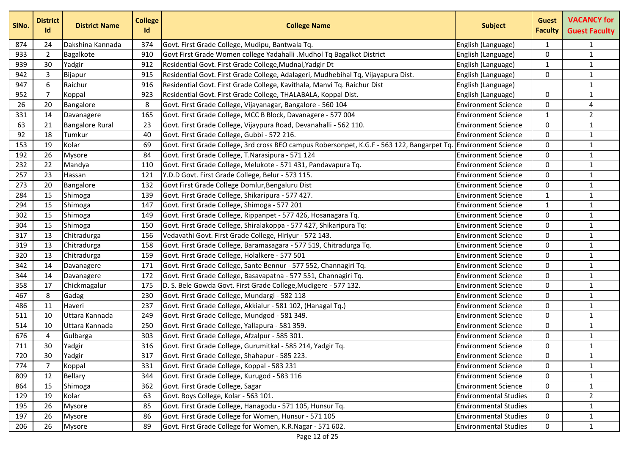| SINo. | <b>District</b><br>Id | <b>District Name</b>   | <b>College</b><br><b>Id</b> | <b>College Name</b>                                                                                             | <b>Subject</b>               | <b>Guest</b><br><b>Faculty</b> | <b>VACANCY for</b><br><b>Guest Faculty</b> |
|-------|-----------------------|------------------------|-----------------------------|-----------------------------------------------------------------------------------------------------------------|------------------------------|--------------------------------|--------------------------------------------|
| 874   | 24                    | Dakshina Kannada       | 374                         | Govt. First Grade College, Mudipu, Bantwala Tq.                                                                 | English (Language)           | 1                              | 1                                          |
| 933   | $\overline{2}$        | Bagalkote              | 910                         | Govt First Grade Women college Yadahalli .Mudhol Tq Bagalkot District                                           | English (Language)           | 0                              | $\mathbf{1}$                               |
| 939   | 30                    | Yadgir                 | 912                         | Residential Govt. First Grade College, Mudnal, Yadgir Dt                                                        | English (Language)           | 1                              | $\mathbf{1}$                               |
| 942   | 3                     | Bijapur                | 915                         | Residential Govt. First Grade College, Adalageri, Mudhebihal Tq, Vijayapura Dist.                               | English (Language)           | $\mathbf{0}$                   | $\mathbf{1}$                               |
| 947   | 6                     | Raichur                | 916                         | Residential Govt. First Grade College, Kavithala, Manvi Tq. Raichur Dist                                        | English (Language)           |                                | $\mathbf{1}$                               |
| 952   | 7                     | Koppal                 | 923                         | Residential Govt. First Grade College, THALABALA, Koppal Dist.                                                  | English (Language)           | 0                              | $\mathbf{1}$                               |
| 26    | 20                    | Bangalore              | 8                           | Govt. First Grade College, Vijayanagar, Bangalore - 560 104                                                     | <b>Environment Science</b>   | 0                              | $\overline{4}$                             |
| 331   | 14                    | Davanagere             | 165                         | Govt. First Grade College, MCC B Block, Davanagere - 577 004                                                    | <b>Environment Science</b>   | 1                              | $\overline{2}$                             |
| 63    | 21                    | <b>Bangalore Rural</b> | 23                          | Govt. First Grade College, Vijaypura Road, Devanahalli - 562 110.                                               | <b>Environment Science</b>   | 0                              | $\mathbf{1}$                               |
| 92    | 18                    | Tumkur                 | 40                          | Govt. First Grade College, Gubbi - 572 216.                                                                     | <b>Environment Science</b>   | 0                              | $\mathbf{1}$                               |
| 153   | 19                    | Kolar                  | 69                          | Govt. First Grade College, 3rd cross BEO campus Robersonpet, K.G.F - 563 122, Bangarpet Tq. Environment Science |                              | 0                              | $\mathbf{1}$                               |
| 192   | 26                    | Mysore                 | 84                          | Govt. First Grade College, T.Narasipura - 571 124                                                               | <b>Environment Science</b>   | 0                              | $\mathbf{1}$                               |
| 232   | 22                    | Mandya                 | 110                         | Govt. First Grade College, Melukote - 571 431, Pandavapura Tq.                                                  | <b>Environment Science</b>   | 0                              | $\mathbf{1}$                               |
| 257   | 23                    | Hassan                 | 121                         | Y.D.D Govt. First Grade College, Belur - 573 115.                                                               | <b>Environment Science</b>   | 0                              | $\mathbf{1}$                               |
| 273   | 20                    | Bangalore              | 132                         | Govt First Grade College Domlur, Bengaluru Dist                                                                 | <b>Environment Science</b>   | 0                              | $\mathbf{1}$                               |
| 284   | 15                    | Shimoga                | 139                         | Govt. First Grade College, Shikaripura - 577 427.                                                               | <b>Environment Science</b>   | 1                              | $\mathbf{1}$                               |
| 294   | 15                    | Shimoga                | 147                         | Govt. First Grade College, Shimoga - 577 201                                                                    | <b>Environment Science</b>   | 1                              | $\mathbf{1}$                               |
| 302   | 15                    | Shimoga                | 149                         | Govt. First Grade College, Rippanpet - 577 426, Hosanagara Tq.                                                  | <b>Environment Science</b>   | 0                              | $\mathbf{1}$                               |
| 304   | 15                    | Shimoga                | 150                         | Govt. First Grade College, Shiralakoppa - 577 427, Shikaripura Tq:                                              | <b>Environment Science</b>   | 0                              | $\mathbf{1}$                               |
| 317   | 13                    | Chitradurga            | 156                         | Vedavathi Govt. First Grade College, Hiriyur - 572 143.                                                         | <b>Environment Science</b>   | 0                              | $\mathbf{1}$                               |
| 319   | 13                    | Chitradurga            | 158                         | Govt. First Grade College, Baramasagara - 577 519, Chitradurga Tq.                                              | <b>Environment Science</b>   | 0                              | $\mathbf{1}$                               |
| 320   | 13                    | Chitradurga            | 159                         | Govt. First Grade College, Holalkere - 577 501                                                                  | <b>Environment Science</b>   | 0                              | $\mathbf{1}$                               |
| 342   | 14                    | Davanagere             | 171                         | Govt. First Grade College, Sante Bennur - 577 552, Channagiri Tq.                                               | <b>Environment Science</b>   | 0                              | $\mathbf{1}$                               |
| 344   | 14                    | Davanagere             | 172                         | Govt. First Grade College, Basavapatna - 577 551, Channagiri Tq.                                                | <b>Environment Science</b>   | 0                              | $\mathbf{1}$                               |
| 358   | 17                    | Chickmagalur           | 175                         | D. S. Bele Gowda Govt. First Grade College, Mudigere - 577 132.                                                 | <b>Environment Science</b>   | 0                              | $\mathbf{1}$                               |
| 467   | 8                     | Gadag                  | 230                         | Govt. First Grade College, Mundargi - 582 118                                                                   | <b>Environment Science</b>   | 0                              | $\mathbf{1}$                               |
| 486   | 11                    | Haveri                 | 237                         | Govt. First Grade College, Akkialur - 581 102, (Hanagal Tq.)                                                    | <b>Environment Science</b>   | 0                              | $\mathbf{1}$                               |
| 511   | 10                    | Uttara Kannada         | 249                         | Govt. First Grade College, Mundgod - 581 349.                                                                   | <b>Environment Science</b>   | 0                              | $\mathbf{1}$                               |
| 514   | 10                    | Uttara Kannada         | 250                         | Govt. First Grade College, Yallapura - 581 359.                                                                 | <b>Environment Science</b>   | 0                              | $\mathbf{1}$                               |
| 676   | 4                     | Gulbarga               | 303                         | Govt. First Grade College, Afzalpur - 585 301.                                                                  | <b>Environment Science</b>   | 0                              | $\mathbf{1}$                               |
| 711   | 30                    | Yadgir                 | 316                         | Govt. First Grade College, Gurumitkal - 585 214, Yadgir Tq.                                                     | <b>Environment Science</b>   | 0                              | $\mathbf{1}$                               |
| 720   | 30                    | Yadgir                 | 317                         | Govt. First Grade College, Shahapur - 585 223.                                                                  | <b>Environment Science</b>   | 0                              | $\mathbf{1}$                               |
| 774   | 7                     | Koppal                 | 331                         | Govt. First Grade College, Koppal - 583 231                                                                     | <b>Environment Science</b>   | 0                              | $\mathbf{1}$                               |
| 809   | 12                    | <b>Bellary</b>         | 344                         | Govt. First Grade College, Kurugod - 583 116                                                                    | <b>Environment Science</b>   | 0                              | $\mathbf{1}$                               |
| 864   | 15                    | Shimoga                | 362                         | Govt. First Grade College, Sagar                                                                                | <b>Environment Science</b>   | 0                              | $\mathbf{1}$                               |
| 129   | 19                    | Kolar                  | 63                          | Govt. Boys College, Kolar - 563 101.                                                                            | <b>Environmental Studies</b> | 0                              | $\overline{2}$                             |
| 195   | 26                    | <b>Mysore</b>          | 85                          | Govt. First Grade College, Hanagodu - 571 105, Hunsur Tq.                                                       | <b>Environmental Studies</b> |                                | $\mathbf{1}$                               |
| 197   | 26                    | Mysore                 | 86                          | Govt. First Grade College for Women, Hunsur - 571 105                                                           | <b>Environmental Studies</b> | 0                              | $\mathbf{1}$                               |
| 206   | 26                    | Mysore                 | 89                          | Govt. First Grade College for Women, K.R.Nagar - 571 602.                                                       | <b>Environmental Studies</b> | 0                              | $\mathbf{1}$                               |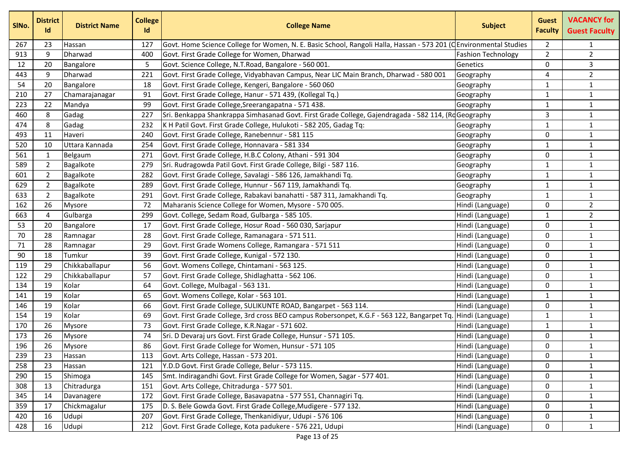| SINo. | <b>District</b><br>Id | <b>District Name</b> | <b>College</b><br>Id | <b>College Name</b>                                                                                               | <b>Subject</b>            | <b>Guest</b><br><b>Faculty</b> | <b>VACANCY for</b><br><b>Guest Faculty</b> |
|-------|-----------------------|----------------------|----------------------|-------------------------------------------------------------------------------------------------------------------|---------------------------|--------------------------------|--------------------------------------------|
| 267   | 23                    | Hassan               | 127                  | Govt. Home Science College for Women, N. E. Basic School, Rangoli Halla, Hassan - 573 201 (CEnvironmental Studies |                           | $\overline{2}$                 | $\mathbf{1}$                               |
| 913   | 9                     | Dharwad              | 400                  | Govt. First Grade College for Women, Dharwad                                                                      | <b>Fashion Technology</b> | $\overline{2}$                 | $\mathbf 2$                                |
| 12    | 20                    | Bangalore            | 5                    | Govt. Science College, N.T.Road, Bangalore - 560 001.                                                             | Genetics                  | 0                              | 3                                          |
| 443   | 9                     | Dharwad              | 221                  | Govt. First Grade College, Vidyabhavan Campus, Near LIC Main Branch, Dharwad - 580 001                            | Geography                 | 4                              | $\overline{2}$                             |
| 54    | 20                    | Bangalore            | 18                   | Govt. First Grade College, Kengeri, Bangalore - 560 060                                                           | Geography                 | 1                              | $\mathbf{1}$                               |
| 210   | 27                    | Chamarajanagar       | 91                   | Govt. First Grade College, Hanur - 571 439, (Kollegal Tq.)                                                        | Geography                 | 1                              | $\mathbf 1$                                |
| 223   | 22                    | Mandya               | 99                   | Govt. First Grade College, Sreerangapatna - 571 438.                                                              | Geography                 | 1                              | $\mathbf{1}$                               |
| 460   | 8                     | Gadag                | 227                  | Sri. Benkappa Shankrappa Simhasanad Govt. First Grade College, Gajendragada - 582 114, (RdGeography               |                           | 3                              | $\mathbf{1}$                               |
| 474   | 8                     | Gadag                | 232                  | K H Patil Govt. First Grade College, Hulukoti - 582 205, Gadag Tq:                                                | Geography                 | 1                              | $\mathbf{1}$                               |
| 493   | 11                    | Haveri               | 240                  | Govt. First Grade College, Ranebennur - 581 115                                                                   | Geography                 | $\mathbf{0}$                   | $\mathbf 1$                                |
| 520   | 10                    | Uttara Kannada       | 254                  | Govt. First Grade College, Honnavara - 581 334                                                                    | Geography                 | 1                              | $\mathbf{1}$                               |
| 561   | 1                     | Belgaum              | 271                  | Govt. First Grade College, H.B.C Colony, Athani - 591 304                                                         | Geography                 | 0                              | $\mathbf{1}$                               |
| 589   | $\overline{2}$        | Bagalkote            | 279                  | Sri. Rudragowda Patil Govt. First Grade College, Bilgi - 587 116.                                                 | Geography                 | 1                              | $\mathbf{1}$                               |
| 601   | $\overline{2}$        | Bagalkote            | 282                  | Govt. First Grade College, Savalagi - 586 126, Jamakhandi Tq.                                                     | Geography                 | 1                              | $\mathbf 1$                                |
| 629   | $\overline{2}$        | Bagalkote            | 289                  | Govt. First Grade College, Hunnur - 567 119, Jamakhandi Tq.                                                       | Geography                 | 1                              | $\mathbf{1}$                               |
| 633   | $\overline{2}$        | Bagalkote            | 291                  | Govt. First Grade College, Rabakavi banahatti - 587 311, Jamakhandi Tq.                                           | Geography                 | 1                              | $\mathbf{1}$                               |
| 162   | 26                    | <b>Mysore</b>        | 72                   | Maharanis Science College for Women, Mysore - 570 005.                                                            | Hindi (Language)          | 0                              | $\overline{2}$                             |
| 663   | 4                     | Gulbarga             | 299                  | Govt. College, Sedam Road, Gulbarga - 585 105.                                                                    | Hindi (Language)          | 1                              | $\overline{2}$                             |
| 53    | 20                    | Bangalore            | 17                   | Govt. First Grade College, Hosur Road - 560 030, Sarjapur                                                         | Hindi (Language)          | 0                              | $\mathbf 1$                                |
| 70    | 28                    | Ramnagar             | 28                   | Govt. First Grade College, Ramanagara - 571 511.                                                                  | Hindi (Language)          | 0                              | $\mathbf{1}$                               |
| 71    | 28                    | Ramnagar             | 29                   | Govt. First Grade Womens College, Ramangara - 571 511                                                             | Hindi (Language)          | 0                              | $\mathbf{1}$                               |
| 90    | 18                    | Tumkur               | 39                   | Govt. First Grade College, Kunigal - 572 130.                                                                     | Hindi (Language)          | $\mathbf{0}$                   | $\mathbf{1}$                               |
| 119   | 29                    | Chikkaballapur       | 56                   | Govt. Womens College, Chintamani - 563 125.                                                                       | Hindi (Language)          | $\Omega$                       | $\mathbf{1}$                               |
| 122   | 29                    | Chikkaballapur       | 57                   | Govt. First Grade College, Shidlaghatta - 562 106.                                                                | Hindi (Language)          | $\mathbf{0}$                   | $\mathbf{1}$                               |
| 134   | 19                    | Kolar                | 64                   | Govt. College, Mulbagal - 563 131.                                                                                | Hindi (Language)          | 0                              | $\mathbf{1}$                               |
| 141   | 19                    | Kolar                | 65                   | Govt. Womens College, Kolar - 563 101.                                                                            | Hindi (Language)          | 1                              | $\mathbf 1$                                |
| 146   | 19                    | Kolar                | 66                   | Govt. First Grade College, SULIKUNTE ROAD, Bangarpet - 563 114.                                                   | Hindi (Language)          | 0                              | $\mathbf{1}$                               |
| 154   | 19                    | Kolar                | 69                   | Govt. First Grade College, 3rd cross BEO campus Robersonpet, K.G.F - 563 122, Bangarpet Tq.                       | Hindi (Language)          | 1                              | $\mathbf 1$                                |
| 170   | 26                    | Mysore               | 73                   | Govt. First Grade College, K.R.Nagar - 571 602.                                                                   | Hindi (Language)          | 1                              | $\mathbf 1$                                |
| 173   | 26                    | <b>Mysore</b>        | 74                   | Sri. D Devaraj urs Govt. First Grade College, Hunsur - 571 105.                                                   | Hindi (Language)          | 0                              | $\mathbf{1}$                               |
| 196   | 26                    | Mysore               | 86                   | Govt. First Grade College for Women, Hunsur - 571 105                                                             | Hindi (Language)          | $\Omega$                       | $\overline{1}$                             |
| 239   | 23                    | Hassan               | 113                  | Govt. Arts College, Hassan - 573 201.                                                                             | Hindi (Language)          | $\mathbf{0}$                   | $\mathbf{1}$                               |
| 258   | 23                    | Hassan               | 121                  | Y.D.D Govt. First Grade College, Belur - 573 115.                                                                 | Hindi (Language)          | 0                              | $\mathbf{1}$                               |
| 290   | 15                    | Shimoga              | 145                  | Smt. Indiragandhi Govt. First Grade College for Women, Sagar - 577 401.                                           | Hindi (Language)          | 0                              | $\mathbf{1}$                               |
| 308   | 13                    | Chitradurga          | 151                  | Govt. Arts College, Chitradurga - 577 501.                                                                        | Hindi (Language)          | 0                              | $\mathbf{1}$                               |
| 345   | 14                    | Davanagere           | 172                  | Govt. First Grade College, Basavapatna - 577 551, Channagiri Tq.                                                  | Hindi (Language)          | $\mathbf{0}$                   | $\mathbf{1}$                               |
| 359   | 17                    | Chickmagalur         | 175                  | D. S. Bele Gowda Govt. First Grade College, Mudigere - 577 132.                                                   | Hindi (Language)          | 0                              | $\mathbf{1}$                               |
| 420   | 16                    | Udupi                | 207                  | Govt. First Grade College, Thenkanidiyur, Udupi - 576 106                                                         | Hindi (Language)          | 0                              | $\mathbf{1}$                               |
| 428   | 16                    | Udupi                | 212                  | Govt. First Grade College, Kota padukere - 576 221, Udupi                                                         | Hindi (Language)          | 0                              | $\mathbf{1}$                               |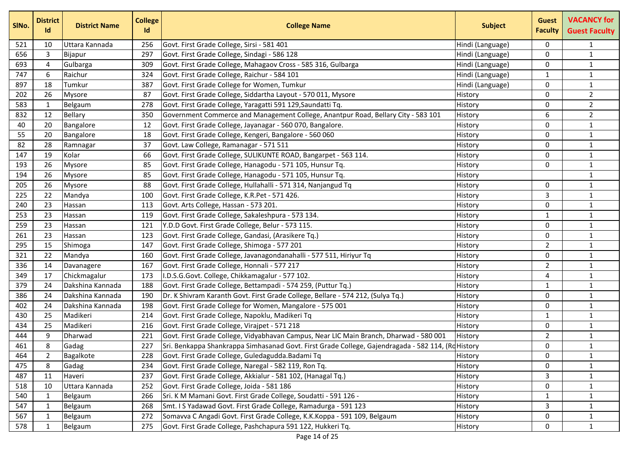| SINo. | <b>District</b><br>Id | <b>District Name</b> | <b>College</b><br>Id | <b>College Name</b>                                                                               | <b>Subject</b>   | <b>Guest</b><br><b>Faculty</b> | <b>VACANCY for</b><br><b>Guest Faculty</b> |
|-------|-----------------------|----------------------|----------------------|---------------------------------------------------------------------------------------------------|------------------|--------------------------------|--------------------------------------------|
| 521   | 10                    | Uttara Kannada       | 256                  | Govt. First Grade College, Sirsi - 581 401                                                        | Hindi (Language) | $\mathbf{0}$                   | $\mathbf{1}$                               |
| 656   | 3                     | Bijapur              | 297                  | Govt. First Grade College, Sindagi - 586 128                                                      | Hindi (Language) | 0                              | $\mathbf{1}$                               |
| 693   | 4                     | Gulbarga             | 309                  | Govt. First Grade College, Mahagaov Cross - 585 316, Gulbarga                                     | Hindi (Language) | 0                              | $\mathbf{1}$                               |
| 747   | 6                     | Raichur              | 324                  | Govt. First Grade College, Raichur - 584 101                                                      | Hindi (Language) | $\mathbf{1}$                   | $\mathbf{1}$                               |
| 897   | 18                    | Tumkur               | 387                  | Govt. First Grade College for Women, Tumkur                                                       | Hindi (Language) | 0                              | $\mathbf{1}$                               |
| 202   | 26                    | Mysore               | 87                   | Govt. First Grade College, Siddartha Layout - 570 011, Mysore                                     | History          | $\mathbf{0}$                   | $\mathbf{2}$                               |
| 583   | 1                     | Belgaum              | 278                  | Govt. First Grade College, Yaragatti 591 129, Saundatti Tq.                                       | History          | 0                              | $\overline{2}$                             |
| 832   | 12                    | <b>Bellary</b>       | 350                  | Government Commerce and Management College, Anantpur Road, Bellary City - 583 101                 | History          | 6                              | $\overline{2}$                             |
| 40    | 20                    | Bangalore            | 12                   | Govt. First Grade College, Jayanagar - 560 070, Bangalore.                                        | History          | $\Omega$                       | $\mathbf{1}$                               |
| 55    | 20                    | Bangalore            | 18                   | Govt. First Grade College, Kengeri, Bangalore - 560 060                                           | History          | $\mathbf{0}$                   | $\mathbf{1}$                               |
| 82    | 28                    | Ramnagar             | 37                   | Govt. Law College, Ramanagar - 571 511                                                            | History          | $\mathbf 0$                    | $\mathbf{1}$                               |
| 147   | 19                    | Kolar                | 66                   | Govt. First Grade College, SULIKUNTE ROAD, Bangarpet - 563 114.                                   | History          | $\mathbf 0$                    | $\mathbf{1}$                               |
| 193   | 26                    | Mysore               | 85                   | Govt. First Grade College, Hanagodu - 571 105, Hunsur Tq.                                         | History          | 0                              | $\mathbf{1}$                               |
| 194   | 26                    | Mysore               | 85                   | Govt. First Grade College, Hanagodu - 571 105, Hunsur Tq.                                         | History          |                                | $\mathbf{1}$                               |
| 205   | 26                    | Mysore               | 88                   | Govt. First Grade College, Hullahalli - 571 314, Nanjangud Tq                                     | History          | $\mathbf{0}$                   | $\mathbf{1}$                               |
| 225   | 22                    | Mandya               | 100                  | Govt. First Grade College, K.R.Pet - 571 426.                                                     | History          | 3                              | $\mathbf{1}$                               |
| 240   | 23                    | Hassan               | 113                  | Govt. Arts College, Hassan - 573 201.                                                             | History          | $\mathbf{0}$                   | $\mathbf{1}$                               |
| 253   | 23                    | Hassan               | 119                  | Govt. First Grade College, Sakaleshpura - 573 134.                                                | History          | $\mathbf{1}$                   | $\mathbf{1}$                               |
| 259   | 23                    | Hassan               | 121                  | Y.D.D Govt. First Grade College, Belur - 573 115.                                                 | History          | $\mathbf{0}$                   | $\mathbf{1}$                               |
| 261   | 23                    | Hassan               | 123                  | Govt. First Grade College, Gandasi, (Arasikere Tq.)                                               | History          | $\mathbf 0$                    | $\mathbf{1}$                               |
| 295   | 15                    | Shimoga              | 147                  | Govt. First Grade College, Shimoga - 577 201                                                      | History          | $\overline{2}$                 | $\mathbf{1}$                               |
| 321   | 22                    | Mandya               | 160                  | Govt. First Grade College, Javanagondanahalli - 577 511, Hiriyur Tq                               | History          | 0                              | $\mathbf{1}$                               |
| 336   | 14                    | Davanagere           | 167                  | Govt. First Grade College, Honnali - 577 217                                                      | History          | $\overline{2}$                 | $\mathbf{1}$                               |
| 349   | 17                    | Chickmagalur         | 173                  | I.D.S.G.Govt. College, Chikkamagalur - 577 102.                                                   | History          | 4                              | $\mathbf{1}$                               |
| 379   | 24                    | Dakshina Kannada     | 188                  | Govt. First Grade College, Bettampadi - 574 259, (Puttur Tq.)                                     | History          | 1                              | $\mathbf{1}$                               |
| 386   | 24                    | Dakshina Kannada     | 190                  | Dr. K Shivram Karanth Govt. First Grade College, Bellare - 574 212, (Sulya Tq.)                   | History          | $\mathbf{0}$                   | $\mathbf{1}$                               |
| 402   | 24                    | Dakshina Kannada     | 198                  | Govt. First Grade College for Women, Mangalore - 575 001                                          | History          | 0                              | $\mathbf{1}$                               |
| 430   | 25                    | Madikeri             | 214                  | Govt. First Grade College, Napoklu, Madikeri Tq                                                   | History          | 1                              | $\mathbf{1}$                               |
| 434   | 25                    | Madikeri             | 216                  | Govt. First Grade College, Virajpet - 571 218                                                     | History          | $\mathbf 0$                    | $\mathbf{1}$                               |
| 444   | 9                     | Dharwad              | 221                  | Govt. First Grade College, Vidyabhavan Campus, Near LIC Main Branch, Dharwad - 580 001            | History          | $\overline{2}$                 | $\mathbf{1}$                               |
| 461   | 8                     | Gadag                | 227                  | Sri. Benkappa Shankrappa Simhasanad Govt. First Grade College, Gajendragada - 582 114, (RoHistory |                  | 0                              | $\mathbf{1}$                               |
| 464   | 2                     | Bagalkote            | 228                  | Govt. First Grade College, Guledagudda. Badami Tq                                                 | History          | 0                              | $\mathbf{1}$                               |
| 475   | 8                     | Gadag                | 234                  | Govt. First Grade College, Naregal - 582 119, Ron Tq.                                             | History          | 0                              | $\mathbf{1}$                               |
| 487   | 11                    | Haveri               | 237                  | Govt. First Grade College, Akkialur - 581 102, (Hanagal Tq.)                                      | History          | 3                              | $\mathbf{1}$                               |
| 518   | 10                    | Uttara Kannada       | 252                  | Govt. First Grade College, Joida - 581 186                                                        | History          | 0                              | $\mathbf{1}$                               |
| 540   | 1                     | Belgaum              | 266                  | Sri. K M Mamani Govt. First Grade College, Soudatti - 591 126 -                                   | History          | $\mathbf{1}$                   | $\mathbf{1}$                               |
| 547   | 1                     | Belgaum              | 268                  | Smt. I S Yadawad Govt. First Grade College, Ramadurga - 591 123                                   | History          | 3                              | $\mathbf{1}$                               |
| 567   | 1                     | Belgaum              | 272                  | Somavva C Angadi Govt. First Grade College, K.K.Koppa - 591 109, Belgaum                          | History          | 0                              | $\mathbf{1}$                               |
| 578   | -1                    | Belgaum              | 275                  | Govt. First Grade College, Pashchapura 591 122, Hukkeri Tq.                                       | History          | 0                              | $\mathbf{1}$                               |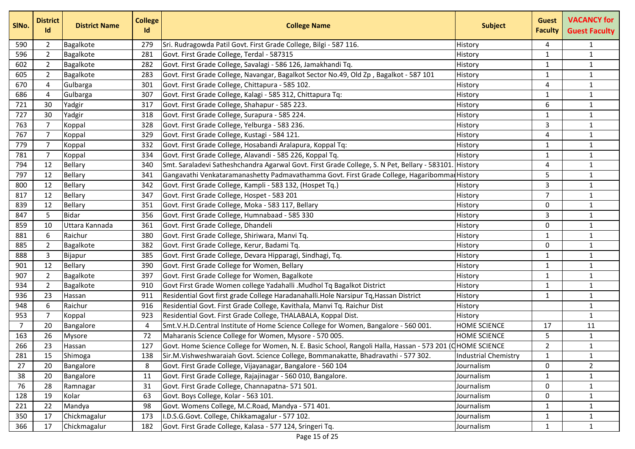| SINo.          | <b>District</b><br>Id | <b>District Name</b> | <b>College</b><br>Id | <b>College Name</b>                                                                                      | <b>Subject</b>       | <b>Guest</b><br><b>Faculty</b> | <b>VACANCY for</b><br><b>Guest Faculty</b> |
|----------------|-----------------------|----------------------|----------------------|----------------------------------------------------------------------------------------------------------|----------------------|--------------------------------|--------------------------------------------|
| 590            | 2                     | Bagalkote            | 279                  | Sri. Rudragowda Patil Govt. First Grade College, Bilgi - 587 116.                                        | History              | 4                              | $\mathbf{1}$                               |
| 596            | $\overline{2}$        | Bagalkote            | 281                  | Govt. First Grade College, Terdal - 587315                                                               | History              | $\mathbf{1}$                   | $\mathbf{1}$                               |
| 602            | $\overline{2}$        | Bagalkote            | 282                  | Govt. First Grade College, Savalagi - 586 126, Jamakhandi Tq.                                            | History              | 1                              | $\mathbf{1}$                               |
| 605            | $\overline{2}$        | Bagalkote            | 283                  | Govt. First Grade College, Navangar, Bagalkot Sector No.49, Old Zp, Bagalkot - 587 101                   | History              | $\mathbf{1}$                   | $\mathbf{1}$                               |
| 670            | $\overline{4}$        | Gulbarga             | 301                  | Govt. First Grade College, Chittapura - 585 102.                                                         | History              | 4                              | $\mathbf{1}$                               |
| 686            | $\overline{4}$        | Gulbarga             | 307                  | Govt. First Grade College, Kalagi - 585 312, Chittapura Tq:                                              | History              | $\mathbf{1}$                   | $\mathbf{1}$                               |
| 721            | 30                    | Yadgir               | 317                  | Govt. First Grade College, Shahapur - 585 223.                                                           | History              | 6                              | $\mathbf{1}$                               |
| 727            | 30                    | Yadgir               | 318                  | Govt. First Grade College, Surapura - 585 224.                                                           | History              | $\mathbf{1}$                   | $\mathbf{1}$                               |
| 763            | $\overline{7}$        | Koppal               | 328                  | Govt. First Grade College, Yelburga - 583 236.                                                           | History              | 3                              | $\mathbf{1}$                               |
| 767            | $\overline{7}$        | Koppal               | 329                  | Govt. First Grade College, Kustagi - 584 121.                                                            | History              | 4                              | $\mathbf{1}$                               |
| 779            | $\overline{7}$        | Koppal               | 332                  | Govt. First Grade College, Hosabandi Aralapura, Koppal Tq:                                               | History              | $\mathbf{1}$                   | $\mathbf{1}$                               |
| 781            | 7                     | Koppal               | 334                  | Govt. First Grade College, Alavandi - 585 226, Koppal Tq.                                                | History              | 1                              | $\mathbf{1}$                               |
| 794            | 12                    | Bellary              | 340                  | Smt. Saraladevi Satheshchandra Agarwal Govt. First Grade College, S. N Pet, Bellary - 583101             | History              | 4                              | $\mathbf{1}$                               |
| 797            | 12                    | Bellary              | 341                  | Gangavathi Venkataramanashetty Padmavathamma Govt. First Grade College, Hagaribomma                      | <b>History</b>       | 5                              | $\mathbf{1}$                               |
| 800            | 12                    | Bellary              | 342                  | Govt. First Grade College, Kampli - 583 132, (Hospet Tq.)                                                | History              | 3                              | $\mathbf{1}$                               |
| 817            | 12                    | Bellary              | 347                  | Govt. First Grade College, Hospet - 583 201                                                              | History              | $\overline{7}$                 | $\mathbf{1}$                               |
| 839            | 12                    | Bellary              | 351                  | Govt. First Grade College, Moka - 583 117, Bellary                                                       | History              | $\mathbf{0}$                   | $\mathbf{1}$                               |
| 847            | 5                     | <b>Bidar</b>         | 356                  | Govt. First Grade College, Humnabaad - 585 330                                                           | History              | 3                              | $\mathbf{1}$                               |
| 859            | 10                    | Uttara Kannada       | 361                  | Govt. First Grade College, Dhandeli                                                                      | History              | $\mathbf{0}$                   | $\mathbf{1}$                               |
| 881            | 6                     | Raichur              | 380                  | Govt. First Grade College, Shiriwara, Manvi Tq.                                                          | History              | $\mathbf{1}$                   | $\mathbf{1}$                               |
| 885            | $\overline{2}$        | Bagalkote            | 382                  | Govt. First Grade College, Kerur, Badami Tq.                                                             | History              | $\mathbf 0$                    | $\mathbf{1}$                               |
| 888            | 3                     | Bijapur              | 385                  | Govt. First Grade College, Devara Hipparagi, Sindhagi, Tq.                                               | History              | $\mathbf{1}$                   | $\mathbf{1}$                               |
| 901            | 12                    | Bellary              | 390                  | Govt. First Grade College for Women, Bellary                                                             | History              | 1                              | $\mathbf{1}$                               |
| 907            | $\overline{2}$        | Bagalkote            | 397                  | Govt. First Grade College for Women, Bagalkote                                                           | History              | 1                              | $\mathbf{1}$                               |
| 934            | $\overline{2}$        | Bagalkote            | 910                  | Govt First Grade Women college Yadahalli .Mudhol Tq Bagalkot District                                    | History              | $\mathbf{1}$                   | $\mathbf{1}$                               |
| 936            | 23                    | Hassan               | 911                  | Residential Govt first grade College Haradanahalli.Hole Narsipur Tq, Hassan District                     | History              | $\mathbf{1}$                   | $\mathbf{1}$                               |
| 948            | 6                     | Raichur              | 916                  | Residential Govt. First Grade College, Kavithala, Manvi Tq. Raichur Dist                                 | History              |                                | $\mathbf{1}$                               |
| 953            | 7                     | Koppal               | 923                  | Residential Govt. First Grade College, THALABALA, Koppal Dist.                                           | History              |                                | $\mathbf{1}$                               |
| $\overline{7}$ | 20                    | Bangalore            | 4                    | Smt.V.H.D.Central Institute of Home Science College for Women, Bangalore - 560 001.                      | <b>HOME SCIENCE</b>  | 17                             | 11                                         |
| 163            | 26                    | <b>Mysore</b>        | 72                   | Maharanis Science College for Women, Mysore - 570 005.                                                   | <b>HOME SCIENCE</b>  | 5                              | $\mathbf{1}$                               |
| 266            | 23                    | Hassan               | 127                  | Govt. Home Science College for Women, N. E. Basic School, Rangoli Halla, Hassan - 573 201 (CHOME SCIENCE |                      | $\overline{2}$                 | $\mathbf{1}$                               |
| 281            | 15                    | Shimoga              | 138                  | Sir.M.Vishweshwaraiah Govt. Science College, Bommanakatte, Bhadravathi - 577 302.                        | Industrial Chemistry | $\mathbf{1}$                   | $\mathbf{1}$                               |
| 27             | 20                    | Bangalore            | 8                    | Govt. First Grade College, Vijayanagar, Bangalore - 560 104                                              | Journalism           | 0                              | $\mathbf{2}$                               |
| 38             | 20                    | Bangalore            | 11                   | Govt. First Grade College, Rajajinagar - 560 010, Bangalore.                                             | Journalism           | $\mathbf{1}$                   | $\mathbf{1}$                               |
| 76             | 28                    | Ramnagar             | 31                   | Govt. First Grade College, Channapatna- 571 501.                                                         | Journalism           | 0                              | $\mathbf{1}$                               |
| 128            | 19                    | Kolar                | 63                   | Govt. Boys College, Kolar - 563 101.                                                                     | Journalism           | 0                              | $\mathbf{1}$                               |
| 221            | 22                    | Mandya               | 98                   | Govt. Womens College, M.C.Road, Mandya - 571 401.                                                        | Journalism           | $\mathbf{1}$                   | $\mathbf{1}$                               |
| 350            | 17                    | Chickmagalur         | 173                  | I.D.S.G.Govt. College, Chikkamagalur - 577 102.                                                          | Journalism           | $\mathbf{1}$                   | $\mathbf{1}$                               |
| 366            | 17                    | Chickmagalur         | 182                  | Govt. First Grade College, Kalasa - 577 124, Sringeri Tq.                                                | Journalism           | $\mathbf{1}$                   | $\mathbf{1}$                               |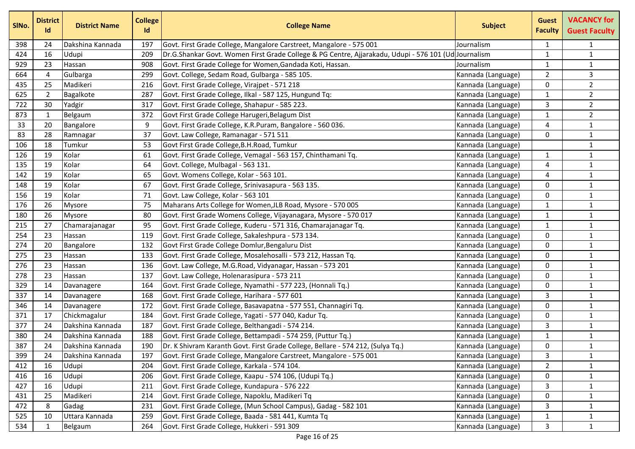| SINo. | <b>District</b><br>Id | <b>District Name</b> | <b>College</b><br>Id | <b>College Name</b>                                                                                  | <b>Subject</b>     | <b>Guest</b><br><b>Faculty</b> | <b>VACANCY for</b><br><b>Guest Faculty</b> |
|-------|-----------------------|----------------------|----------------------|------------------------------------------------------------------------------------------------------|--------------------|--------------------------------|--------------------------------------------|
| 398   | 24                    | Dakshina Kannada     | 197                  | Govt. First Grade College, Mangalore Carstreet, Mangalore - 575 001                                  | Journalism         | 1                              | $\mathbf{1}$                               |
| 424   | 16                    | Udupi                | 209                  | Dr.G.Shankar Govt. Women First Grade College & PG Centre, Ajjarakadu, Udupi - 576 101 (Ud Journalism |                    | 1                              | $\mathbf{1}$                               |
| 929   | 23                    | Hassan               | 908                  | Govt. First Grade College for Women, Gandada Koti, Hassan.                                           | Journalism         | 1                              | $\mathbf{1}$                               |
| 664   | 4                     | Gulbarga             | 299                  | Govt. College, Sedam Road, Gulbarga - 585 105.                                                       | Kannada (Language) | $\overline{2}$                 | 3                                          |
| 435   | 25                    | Madikeri             | 216                  | Govt. First Grade College, Virajpet - 571 218                                                        | Kannada (Language) | 0                              | $\overline{2}$                             |
| 625   | $\overline{2}$        | Bagalkote            | 287                  | Govt. First Grade College, Ilkal - 587 125, Hungund Tq:                                              | Kannada (Language) | $\mathbf{1}$                   | $\overline{2}$                             |
| 722   | 30                    | Yadgir               | 317                  | Govt. First Grade College, Shahapur - 585 223.                                                       | Kannada (Language) | 3                              | $\sqrt{2}$                                 |
| 873   | 1                     | Belgaum              | 372                  | Govt First Grade College Harugeri, Belagum Dist                                                      | Kannada (Language) | $\mathbf{1}$                   | $\overline{2}$                             |
| 33    | 20                    | Bangalore            | 9                    | Govt. First Grade College, K.R.Puram, Bangalore - 560 036.                                           | Kannada (Language) | 4                              | $\mathbf{1}$                               |
| 83    | 28                    | Ramnagar             | 37                   | Govt. Law College, Ramanagar - 571 511                                                               | Kannada (Language) | 0                              | $\mathbf 1$                                |
| 106   | 18                    | Tumkur               | 53                   | Govt First Grade College, B.H. Road, Tumkur                                                          | Kannada (Language) |                                | $\mathbf{1}$                               |
| 126   | 19                    | Kolar                | 61                   | Govt. First Grade College, Vemagal - 563 157, Chinthamani Tq.                                        | Kannada (Language) | $\mathbf{1}$                   | $\mathbf{1}$                               |
| 135   | 19                    | Kolar                | 64                   | Govt. College, Mulbagal - 563 131.                                                                   | Kannada (Language) | 4                              | $\mathbf 1$                                |
| 142   | 19                    | Kolar                | 65                   | Govt. Womens College, Kolar - 563 101.                                                               | Kannada (Language) | 4                              | $\mathbf{1}$                               |
| 148   | 19                    | Kolar                | 67                   | Govt. First Grade College, Srinivasapura - 563 135.                                                  | Kannada (Language) | $\mathbf 0$                    | $\mathbf{1}$                               |
| 156   | 19                    | Kolar                | 71                   | Govt. Law College, Kolar - 563 101                                                                   | Kannada (Language) | 0                              | $\mathbf{1}$                               |
| 176   | 26                    | Mysore               | 75                   | Maharans Arts College for Women, JLB Road, Mysore - 570 005                                          | Kannada (Language) | $\mathbf{1}$                   | $\mathbf{1}$                               |
| 180   | 26                    | Mysore               | 80                   | Govt. First Grade Womens College, Vijayanagara, Mysore - 570 017                                     | Kannada (Language) | $\mathbf{1}$                   | $\mathbf{1}$                               |
| 215   | 27                    | Chamarajanagar       | 95                   | Govt. First Grade College, Kuderu - 571 316, Chamarajanagar Tq.                                      | Kannada (Language) | $\mathbf{1}$                   | $\mathbf{1}$                               |
| 254   | 23                    | Hassan               | 119                  | Govt. First Grade College, Sakaleshpura - 573 134.                                                   | Kannada (Language) | 0                              | $\mathbf{1}$                               |
| 274   | 20                    | Bangalore            | 132                  | Govt First Grade College Domlur, Bengaluru Dist                                                      | Kannada (Language) | 0                              | $\mathbf{1}$                               |
| 275   | 23                    | Hassan               | 133                  | Govt. First Grade College, Mosalehosalli - 573 212, Hassan Tq.                                       | Kannada (Language) | 0                              | $\mathbf 1$                                |
| 276   | 23                    | Hassan               | 136                  | Govt. Law College, M.G.Road, Vidyanagar, Hassan - 573 201                                            | Kannada (Language) | $\mathbf 0$                    | $\mathbf{1}$                               |
| 278   | 23                    | Hassan               | 137                  | Govt. Law College, Holenarasipura - 573 211                                                          | Kannada (Language) | 0                              | $\mathbf{1}$                               |
| 329   | 14                    | Davanagere           | 164                  | Govt. First Grade College, Nyamathi - 577 223, (Honnali Tq.)                                         | Kannada (Language) | 0                              | $\mathbf 1$                                |
| 337   | 14                    | Davanagere           | 168                  | Govt. First Grade College, Harihara - 577 601                                                        | Kannada (Language) | 3                              | $\mathbf{1}$                               |
| 346   | 14                    | Davanagere           | 172                  | Govt. First Grade College, Basavapatna - 577 551, Channagiri Tq.                                     | Kannada (Language) | 0                              | $\mathbf{1}$                               |
| 371   | 17                    | Chickmagalur         | 184                  | Govt. First Grade College, Yagati - 577 040, Kadur Tq.                                               | Kannada (Language) | 0                              | $\mathbf{1}$                               |
| 377   | 24                    | Dakshina Kannada     | 187                  | Govt. First Grade College, Belthangadi - 574 214.                                                    | Kannada (Language) | 3                              | $\mathbf{1}$                               |
| 380   | 24                    | Dakshina Kannada     | 188                  | Govt. First Grade College, Bettampadi - 574 259, (Puttur Tq.)                                        | Kannada (Language) | 1                              | $\mathbf{1}$                               |
| 387   | 24                    | Dakshina Kannada     | 190                  | Dr. K Shivram Karanth Govt. First Grade College, Bellare - 574 212, (Sulya Tq.)                      | Kannada (Language) | 0                              | $\mathbf{1}$                               |
| 399   | 24                    | Dakshina Kannada     | 197                  | Govt. First Grade College, Mangalore Carstreet, Mangalore - 575 001                                  | Kannada (Language) | 3                              | $\mathbf{1}$                               |
| 412   | 16                    | Udupi                | 204                  | Govt. First Grade College, Karkala - 574 104.                                                        | Kannada (Language) | $\overline{2}$                 | $\mathbf{1}$                               |
| 416   | 16                    | Udupi                | 206                  | Govt. First Grade College, Kaapu - 574 106, (Udupi Tq.)                                              | Kannada (Language) | 0                              | $\mathbf{1}$                               |
| 427   | 16                    | Udupi                | 211                  | Govt. First Grade College, Kundapura - 576 222                                                       | Kannada (Language) | 3                              | $\mathbf{1}$                               |
| 431   | 25                    | Madikeri             | 214                  | Govt. First Grade College, Napoklu, Madikeri Tq                                                      | Kannada (Language) | 0                              | $\mathbf{1}$                               |
| 472   | 8                     | Gadag                | 231                  | Govt. First Grade College, (Mun School Campus), Gadag - 582 101                                      | Kannada (Language) | 3                              | $\mathbf{1}$                               |
| 525   | 10                    | Uttara Kannada       | 259                  | Govt. First Grade College, Baada - 581 441, Kumta Tq                                                 | Kannada (Language) | $\mathbf{1}$                   | $\mathbf{1}$                               |
| 534   | 1                     | Belgaum              | 264                  | Govt. First Grade College, Hukkeri - 591 309                                                         | Kannada (Language) | 3                              | $\mathbf{1}$                               |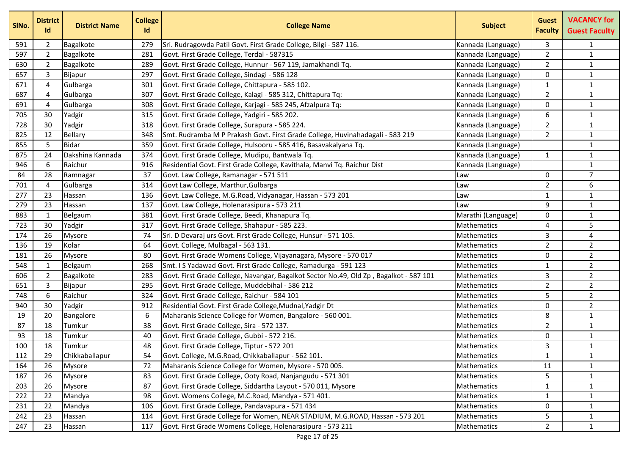| SINo. | <b>District</b><br>Id | <b>District Name</b> | <b>College</b><br>Id | <b>College Name</b>                                                                    | <b>Subject</b>     | <b>Guest</b><br><b>Faculty</b> | <b>VACANCY for</b><br><b>Guest Faculty</b> |
|-------|-----------------------|----------------------|----------------------|----------------------------------------------------------------------------------------|--------------------|--------------------------------|--------------------------------------------|
| 591   | $\overline{2}$        | Bagalkote            | 279                  | Sri. Rudragowda Patil Govt. First Grade College, Bilgi - 587 116.                      | Kannada (Language) | 3                              | $\mathbf{1}$                               |
| 597   | $\overline{2}$        | Bagalkote            | 281                  | Govt. First Grade College, Terdal - 587315                                             | Kannada (Language) | $\overline{2}$                 | $\mathbf 1$                                |
| 630   | $\overline{2}$        | Bagalkote            | 289                  | Govt. First Grade College, Hunnur - 567 119, Jamakhandi Tq.                            | Kannada (Language) | $\overline{2}$                 | $\mathbf{1}$                               |
| 657   | 3                     | Bijapur              | 297                  | Govt. First Grade College, Sindagi - 586 128                                           | Kannada (Language) | 0                              | $\mathbf{1}$                               |
| 671   | 4                     | Gulbarga             | 301                  | Govt. First Grade College, Chittapura - 585 102.                                       | Kannada (Language) | 1                              | $\mathbf{1}$                               |
| 687   | 4                     | Gulbarga             | 307                  | Govt. First Grade College, Kalagi - 585 312, Chittapura Tq:                            | Kannada (Language) | $\overline{2}$                 | $\mathbf{1}$                               |
| 691   | 4                     | Gulbarga             | 308                  | Govt. First Grade College, Karjagi - 585 245, Afzalpura Tq:                            | Kannada (Language) | 0                              | $\mathbf{1}$                               |
| 705   | 30                    | Yadgir               | 315                  | Govt. First Grade College, Yadgiri - 585 202.                                          | Kannada (Language) | 6                              | $\mathbf{1}$                               |
| 728   | 30                    | Yadgir               | 318                  | Govt. First Grade College, Surapura - 585 224.                                         | Kannada (Language) | $\overline{2}$                 | $\mathbf{1}$                               |
| 825   | 12                    | Bellary              | 348                  | Smt. Rudramba M P Prakash Govt. First Grade College, Huvinahadagali - 583 219          | Kannada (Language) | $\overline{2}$                 | $\mathbf{1}$                               |
| 855   | 5                     | <b>Bidar</b>         | 359                  | Govt. First Grade College, Hulsooru - 585 416, Basavakalyana Tq.                       | Kannada (Language) |                                | $\mathbf{1}$                               |
| 875   | 24                    | Dakshina Kannada     | 374                  | Govt. First Grade College, Mudipu, Bantwala Tq.                                        | Kannada (Language) | $\mathbf{1}$                   | $\mathbf{1}$                               |
| 946   | 6                     | Raichur              | 916                  | Residential Govt. First Grade College, Kavithala, Manvi Tq. Raichur Dist               | Kannada (Language) |                                | $\mathbf{1}$                               |
| 84    | 28                    | Ramnagar             | 37                   | Govt. Law College, Ramanagar - 571 511                                                 | Law                | $\Omega$                       | $\overline{7}$                             |
| 701   | 4                     | Gulbarga             | 314                  | Govt Law College, Marthur, Gulbarga                                                    | Law                | $\overline{2}$                 | 6                                          |
| 277   | 23                    | Hassan               | 136                  | Govt. Law College, M.G.Road, Vidyanagar, Hassan - 573 201                              | Law                | 1                              | $\mathbf{1}$                               |
| 279   | 23                    | Hassan               | 137                  | Govt. Law College, Holenarasipura - 573 211                                            | Law                | 9                              | $\mathbf{1}$                               |
| 883   | 1                     | Belgaum              | 381                  | Govt. First Grade College, Beedi, Khanapura Tq.                                        | Marathi (Language) | 0                              | $\mathbf{1}$                               |
| 723   | 30                    | Yadgir               | 317                  | Govt. First Grade College, Shahapur - 585 223.                                         | Mathematics        | 4                              | 5                                          |
| 174   | 26                    | Mysore               | 74                   | Sri. D Devaraj urs Govt. First Grade College, Hunsur - 571 105.                        | Mathematics        | $\overline{3}$                 | 4                                          |
| 136   | 19                    | Kolar                | 64                   | Govt. College, Mulbagal - 563 131.                                                     | Mathematics        | $\overline{2}$                 | $\overline{2}$                             |
| 181   | 26                    | Mysore               | 80                   | Govt. First Grade Womens College, Vijayanagara, Mysore - 570 017                       | Mathematics        | 0                              | $\overline{2}$                             |
| 548   | $\mathbf{1}$          | Belgaum              | 268                  | Smt. I S Yadawad Govt. First Grade College, Ramadurga - 591 123                        | Mathematics        | $\mathbf{1}$                   | $\overline{2}$                             |
| 606   | $\overline{2}$        | Bagalkote            | 283                  | Govt. First Grade College, Navangar, Bagalkot Sector No.49, Old Zp, Bagalkot - 587 101 | Mathematics        | 3                              | $\overline{2}$                             |
| 651   | 3                     | Bijapur              | 295                  | Govt. First Grade College, Muddebihal - 586 212                                        | Mathematics        | $\overline{2}$                 | $\overline{2}$                             |
| 748   | 6                     | Raichur              | 324                  | Govt. First Grade College, Raichur - 584 101                                           | Mathematics        | 5.                             | $\overline{2}$                             |
| 940   | 30                    | Yadgir               | 912                  | Residential Govt. First Grade College, Mudnal, Yadgir Dt                               | Mathematics        | 0                              | $\overline{2}$                             |
| 19    | 20                    | Bangalore            | 6                    | Maharanis Science College for Women, Bangalore - 560 001.                              | Mathematics        | 8                              | $\mathbf{1}$                               |
| 87    | 18                    | Tumkur               | 38                   | Govt. First Grade College, Sira - 572 137.                                             | Mathematics        | $\overline{2}$                 | $\mathbf 1$                                |
| 93    | 18                    | Tumkur               | 40                   | Govt. First Grade College, Gubbi - 572 216.                                            | Mathematics        | 0                              | $\mathbf{1}$                               |
| 100   | 18                    | Tumkur               | 48                   | Govt. First Grade College, Tiptur - 572 201                                            | Mathematics        | 3                              | $\mathbf{1}$                               |
| 112   | 29                    | Chikkaballapur       | 54                   | Govt. College, M.G.Road, Chikkaballapur - 562 101.                                     | Mathematics        | $\mathbf{1}$                   | $\mathbf{1}$                               |
| 164   | 26                    | Mysore               | 72                   | Maharanis Science College for Women, Mysore - 570 005.                                 | Mathematics        | 11                             | $\mathbf{1}$                               |
| 187   | 26                    | <b>Mysore</b>        | 83                   | Govt. First Grade College, Ooty Road, Nanjangudu - 571 301                             | Mathematics        | 5                              | $\mathbf{1}$                               |
| 203   | 26                    | Mysore               | 87                   | Govt. First Grade College, Siddartha Layout - 570 011, Mysore                          | Mathematics        | $\mathbf{1}$                   | $\mathbf{1}$                               |
| 222   | 22                    | Mandya               | 98                   | Govt. Womens College, M.C.Road, Mandya - 571 401.                                      | Mathematics        | $\mathbf{1}$                   | $\mathbf{1}$                               |
| 231   | 22                    | Mandya               | 106                  | Govt. First Grade College, Pandavapura - 571 434                                       | Mathematics        | $\Omega$                       | $\mathbf{1}$                               |
| 242   | 23                    | Hassan               | 114                  | Govt. First Grade College for Women, NEAR STADIUM, M.G.ROAD, Hassan - 573 201          | Mathematics        | 5                              | $\mathbf{1}$                               |
| 247   | 23                    | Hassan               | 117                  | Govt. First Grade Womens College, Holenarasipura - 573 211                             | Mathematics        | $\overline{2}$                 | $\mathbf{1}$                               |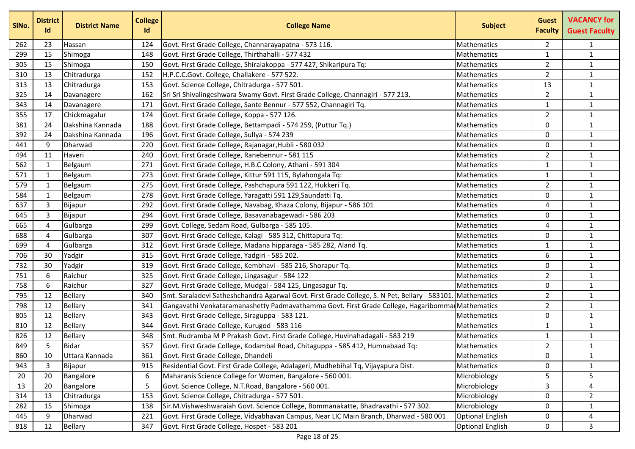| SINo. | <b>District</b><br>Id | <b>District Name</b> | <b>College</b><br>Id | <b>College Name</b>                                                                          | <b>Subject</b>          | <b>Guest</b><br><b>Faculty</b> | <b>VACANCY for</b><br><b>Guest Faculty</b> |
|-------|-----------------------|----------------------|----------------------|----------------------------------------------------------------------------------------------|-------------------------|--------------------------------|--------------------------------------------|
| 262   | 23                    | Hassan               | 124                  | Govt. First Grade College, Channarayapatna - 573 116.                                        | <b>Mathematics</b>      | $\overline{2}$                 | $\mathbf{1}$                               |
| 299   | 15                    | Shimoga              | 148                  | Govt. First Grade College, Thirthahalli - 577 432                                            | <b>Mathematics</b>      | $\mathbf{1}$                   | $\mathbf{1}$                               |
| 305   | 15                    | Shimoga              | 150                  | Govt. First Grade College, Shiralakoppa - 577 427, Shikaripura Tq:                           | <b>Mathematics</b>      | $\overline{2}$                 | $\mathbf{1}$                               |
| 310   | 13                    | Chitradurga          | 152                  | H.P.C.C.Govt. College, Challakere - 577 522.                                                 | Mathematics             | $\overline{2}$                 | $\mathbf{1}$                               |
| 313   | 13                    | Chitradurga          | 153                  | Govt. Science College, Chitradurga - 577 501.                                                | Mathematics             | 13                             | $\mathbf{1}$                               |
| 325   | 14                    | Davanagere           | 162                  | Sri Sri Shivalingeshwara Swamy Govt. First Grade College, Channagiri - 577 213.              | Mathematics             | $\overline{2}$                 | $\mathbf{1}$                               |
| 343   | 14                    | Davanagere           | 171                  | Govt. First Grade College, Sante Bennur - 577 552, Channagiri Tq.                            | Mathematics             | 1                              | $\mathbf{1}$                               |
| 355   | 17                    | Chickmagalur         | 174                  | Govt. First Grade College, Koppa - 577 126.                                                  | <b>Mathematics</b>      | $\overline{2}$                 | $\mathbf{1}$                               |
| 381   | 24                    | Dakshina Kannada     | 188                  | Govt. First Grade College, Bettampadi - 574 259, (Puttur Tq.)                                | Mathematics             | $\Omega$                       | $\mathbf{1}$                               |
| 392   | 24                    | Dakshina Kannada     | 196                  | Govt. First Grade College, Sullya - 574 239                                                  | Mathematics             | 0                              | $\mathbf{1}$                               |
| 441   | 9                     | Dharwad              | 220                  | Govt. First Grade College, Rajanagar, Hubli - 580 032                                        | <b>Mathematics</b>      | 0                              | $\mathbf{1}$                               |
| 494   | 11                    | Haveri               | 240                  | Govt. First Grade College, Ranebennur - 581 115                                              | <b>Mathematics</b>      | $\overline{2}$                 | $\mathbf 1$                                |
| 562   | 1                     | Belgaum              | 271                  | Govt. First Grade College, H.B.C Colony, Athani - 591 304                                    | Mathematics             | 1                              | $\mathbf 1$                                |
| 571   | 1                     | Belgaum              | 273                  | Govt. First Grade College, Kittur 591 115, Bylahongala Tq:                                   | Mathematics             | 1                              | $\mathbf{1}$                               |
| 579   | 1                     | Belgaum              | 275                  | Govt. First Grade College, Pashchapura 591 122, Hukkeri Tq.                                  | Mathematics             | $\overline{2}$                 | $\mathbf{1}$                               |
| 584   | $\mathbf 1$           | Belgaum              | 278                  | Govt. First Grade College, Yaragatti 591 129, Saundatti Tq.                                  | <b>Mathematics</b>      | 0                              | $\mathbf 1$                                |
| 637   | 3                     | Bijapur              | 292                  | Govt. First Grade College, Navabag, Khaza Colony, Bijapur - 586 101                          | <b>Mathematics</b>      | 4                              | $\mathbf{1}$                               |
| 645   | 3                     | Bijapur              | 294                  | Govt. First Grade College, Basavanabagewadi - 586 203                                        | Mathematics             | 0                              | $\mathbf{1}$                               |
| 665   | $\overline{4}$        | Gulbarga             | 299                  | Govt. College, Sedam Road, Gulbarga - 585 105.                                               | <b>Mathematics</b>      | 4                              | $\mathbf{1}$                               |
| 688   | $\overline{4}$        | Gulbarga             | 307                  | Govt. First Grade College, Kalagi - 585 312, Chittapura Tq:                                  | <b>Mathematics</b>      | $\Omega$                       | $\mathbf 1$                                |
| 699   | 4                     | Gulbarga             | 312                  | Govt. First Grade College, Madana hipparaga - 585 282, Aland Tq.                             | Mathematics             | 1                              | $\mathbf 1$                                |
| 706   | 30                    | Yadgir               | 315                  | Govt. First Grade College, Yadgiri - 585 202.                                                | Mathematics             | 6                              | $\mathbf{1}$                               |
| 732   | 30                    | Yadgir               | 319                  | Govt. First Grade College, Kembhavi - 585 216, Shorapur Tq.                                  | Mathematics             | $\Omega$                       | $\mathbf{1}$                               |
| 751   | 6                     | Raichur              | 325                  | Govt. First Grade College, Lingasagur - 584 122                                              | Mathematics             | $\overline{2}$                 | $\mathbf{1}$                               |
| 758   | 6                     | Raichur              | 327                  | Govt. First Grade College, Mudgal - 584 125, Lingasagur Tq.                                  | Mathematics             | 0                              | $\mathbf 1$                                |
| 795   | 12                    | <b>Bellary</b>       | 340                  | Smt. Saraladevi Satheshchandra Agarwal Govt. First Grade College, S. N Pet, Bellary - 583101 | Mathematics             | 2                              | $\mathbf{1}$                               |
| 798   | 12                    | Bellary              | 341                  | Gangavathi Venkataramanashetty Padmavathamma Govt. First Grade College, Hagaribomma          | Mathematics             | $\overline{2}$                 | $\mathbf{1}$                               |
| 805   | 12                    | Bellary              | 343                  | Govt. First Grade College, Siraguppa - 583 121.                                              | Mathematics             | 0                              | $\mathbf{1}$                               |
| 810   | 12                    | Bellary              | 344                  | Govt. First Grade College, Kurugod - 583 116                                                 | Mathematics             | 1                              | $\mathbf 1$                                |
| 826   | 12                    | Bellary              | 348                  | Smt. Rudramba M P Prakash Govt. First Grade College, Huvinahadagali - 583 219                | Mathematics             | 1                              | $\mathbf{1}$                               |
| 849   | 5                     | <b>Bidar</b>         | 357                  | Govt. First Grade College, Kodambal Road, Chitaguppa - 585 412, Humnabaad Tq:                | Mathematics             | $\mathcal{P}$                  | $\mathbf{1}$                               |
| 860   | 10                    | Uttara Kannada       | 361                  | Govt. First Grade College, Dhandeli                                                          | Mathematics             | 0                              | $\mathbf{1}$                               |
| 943   | 3                     | Bijapur              | 915                  | Residential Govt. First Grade College, Adalageri, Mudhebihal Tq, Vijayapura Dist.            | Mathematics             | 0                              | $\mathbf{1}$                               |
| 20    | 20                    | Bangalore            | 6                    | Maharanis Science College for Women, Bangalore - 560 001.                                    | Microbiology            | 5                              | 5                                          |
| 13    | 20                    | Bangalore            | 5                    | Govt. Science College, N.T.Road, Bangalore - 560 001.                                        | Microbiology            | 3                              | 4                                          |
| 314   | 13                    | Chitradurga          | 153                  | Govt. Science College, Chitradurga - 577 501.                                                | Microbiology            | 0                              | $\overline{2}$                             |
| 282   | 15                    | Shimoga              | 138                  | Sir.M.Vishweshwaraiah Govt. Science College, Bommanakatte, Bhadravathi - 577 302.            | Microbiology            | 0                              | $\mathbf{1}$                               |
| 445   | 9                     | Dharwad              | 221                  | Govt. First Grade College, Vidyabhavan Campus, Near LIC Main Branch, Dharwad - 580 001       | <b>Optional English</b> | 0                              | 4                                          |
| 818   | 12                    | Bellary              | 347                  | Govt. First Grade College, Hospet - 583 201                                                  | <b>Optional English</b> | 0                              | 3                                          |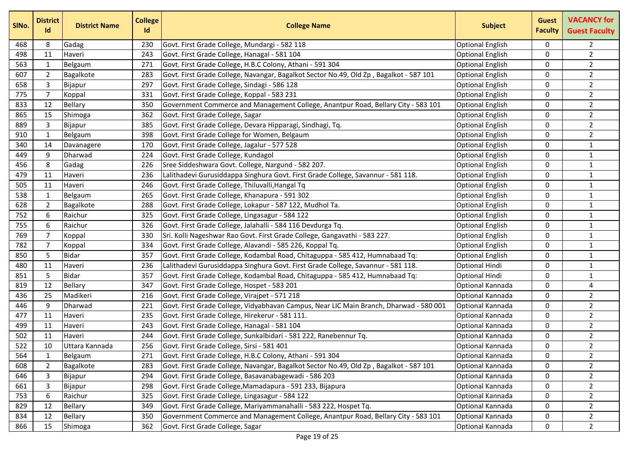| SINo. | <b>District</b><br>Id | <b>District Name</b> | <b>College</b><br>Id | <b>College Name</b>                                                                    | <b>Subject</b>          | <b>Guest</b><br><b>Faculty</b> | <b>VACANCY for</b><br><b>Guest Faculty</b> |
|-------|-----------------------|----------------------|----------------------|----------------------------------------------------------------------------------------|-------------------------|--------------------------------|--------------------------------------------|
| 468   | 8                     | Gadag                | 230                  | Govt. First Grade College, Mundargi - 582 118                                          | <b>Optional English</b> | $\Omega$                       | $\overline{2}$                             |
| 498   | 11                    | Haveri               | 243                  | Govt. First Grade College, Hanagal - 581 104                                           | <b>Optional English</b> | 0                              | $\overline{2}$                             |
| 563   | 1                     | Belgaum              | 271                  | Govt. First Grade College, H.B.C Colony, Athani - 591 304                              | <b>Optional English</b> | 0                              | $\overline{2}$                             |
| 607   | $\overline{2}$        | Bagalkote            | 283                  | Govt. First Grade College, Navangar, Bagalkot Sector No.49, Old Zp, Bagalkot - 587 101 | <b>Optional English</b> | 0                              | $\overline{2}$                             |
| 658   | $\mathsf{3}$          | Bijapur              | 297                  | Govt. First Grade College, Sindagi - 586 128                                           | <b>Optional English</b> | 0                              | $\overline{2}$                             |
| 775   | $\overline{7}$        | Koppal               | 331                  | Govt. First Grade College, Koppal - 583 231                                            | <b>Optional English</b> | 0                              | $\overline{2}$                             |
| 833   | 12                    | Bellary              | 350                  | Government Commerce and Management College, Anantpur Road, Bellary City - 583 101      | <b>Optional English</b> | 0                              | $\overline{2}$                             |
| 865   | 15                    | Shimoga              | 362                  | Govt. First Grade College, Sagar                                                       | <b>Optional English</b> | 0                              | $\overline{2}$                             |
| 889   | 3                     | Bijapur              | 385                  | Govt. First Grade College, Devara Hipparagi, Sindhagi, Tq.                             | <b>Optional English</b> | $\Omega$                       | $\overline{2}$                             |
| 910   | $\mathbf{1}$          | Belgaum              | 398                  | Govt. First Grade College for Women, Belgaum                                           | <b>Optional English</b> | $\mathbf{0}$                   | $\overline{2}$                             |
| 340   | 14                    | Davanagere           | 170                  | Govt. First Grade College, Jagalur - 577 528                                           | <b>Optional English</b> | 0                              | $\mathbf{1}$                               |
| 449   | 9                     | Dharwad              | 224                  | Govt. First Grade College, Kundagol                                                    | <b>Optional English</b> | 0                              | $\mathbf{1}$                               |
| 456   | 8                     | Gadag                | 226                  | Sree Siddeshwara Govt. College, Nargund - 582 207.                                     | <b>Optional English</b> | 0                              | $\mathbf{1}$                               |
| 479   | 11                    | Haveri               | 236                  | Lalithadevi Gurusiddappa Singhura Govt. First Grade College, Savannur - 581 118.       | <b>Optional English</b> | 0                              | $\mathbf{1}$                               |
| 505   | 11                    | Haveri               | 246                  | Govt. First Grade College, Thiluvalli, Hangal Tq                                       | <b>Optional English</b> | $\Omega$                       | $\mathbf 1$                                |
| 538   | 1                     | Belgaum              | 265                  | Govt. First Grade College, Khanapura - 591 302                                         | <b>Optional English</b> | 0                              | $\mathbf 1$                                |
| 628   | $\overline{2}$        | Bagalkote            | 288                  | Govt. First Grade College, Lokapur - 587 122, Mudhol Ta.                               | <b>Optional English</b> | 0                              | $\mathbf{1}$                               |
| 752   | 6                     | Raichur              | 325                  | Govt. First Grade College, Lingasagur - 584 122                                        | <b>Optional English</b> | $\Omega$                       | $\mathbf 1$                                |
| 755   | 6                     | Raichur              | 326                  | Govt. First Grade College, Jalahalli - 584 116 Devdurga Tq.                            | <b>Optional English</b> | 0                              | $\mathbf{1}$                               |
| 769   | 7                     | Koppal               | 330                  | Sri. Kolli Nageshwar Rao Govt. First Grade College, Gangavathi - 583 227.              | <b>Optional English</b> | 0                              | $\mathbf{1}$                               |
| 782   | 7                     | Koppal               | 334                  | Govt. First Grade College, Alavandi - 585 226, Koppal Tq.                              | <b>Optional English</b> | 0                              | $\mathbf{1}$                               |
| 850   | 5                     | <b>Bidar</b>         | 357                  | Govt. First Grade College, Kodambal Road, Chitaguppa - 585 412, Humnabaad Tq:          | <b>Optional English</b> | 0                              | $\mathbf 1$                                |
| 480   | 11                    | Haveri               | 236                  | Lalithadevi Gurusiddappa Singhura Govt. First Grade College, Savannur - 581 118.       | <b>Optional Hindi</b>   | $\Omega$                       | $\mathbf{1}$                               |
| 851   | 5                     | <b>Bidar</b>         | 357                  | Govt. First Grade College, Kodambal Road, Chitaguppa - 585 412, Humnabaad Tq:          | Optional Hindi          | $\Omega$                       | $\mathbf 1$                                |
| 819   | 12                    | Bellary              | 347                  | Govt. First Grade College, Hospet - 583 201                                            | Optional Kannada        | 0                              | 4                                          |
| 436   | 25                    | Madikeri             | 216                  | Govt. First Grade College, Virajpet - 571 218                                          | Optional Kannada        | 0                              | $\overline{2}$                             |
| 446   | 9                     | Dharwad              | 221                  | Govt. First Grade College, Vidyabhavan Campus, Near LIC Main Branch, Dharwad - 580 001 | Optional Kannada        | 0                              | $\overline{2}$                             |
| 477   | 11                    | Haveri               | 235                  | Govt. First Grade College, Hirekerur - 581 111.                                        | Optional Kannada        | 0                              | $\overline{2}$                             |
| 499   | 11                    | Haveri               | 243                  | Govt. First Grade College, Hanagal - 581 104                                           | Optional Kannada        | 0                              | $\overline{2}$                             |
| 502   | 11                    | Haveri               | 244                  | Govt. First Grade College, Sunkalbidari - 581 222, Ranebennur Tq.                      | Optional Kannada        | 0                              | $\overline{a}$                             |
| 522   | 10                    | Uttara Kannada       | 256                  | Govt. First Grade College, Sirsi - 581 401                                             | Optional Kannada        | 0                              | $\overline{2}$                             |
| 564   | 1                     | Belgaum              | 271                  | Govt. First Grade College, H.B.C Colony, Athani - 591 304                              | Optional Kannada        | 0                              | $\overline{2}$                             |
| 608   | 2                     | Bagalkote            | 283                  | Govt. First Grade College, Navangar, Bagalkot Sector No.49, Old Zp, Bagalkot - 587 101 | Optional Kannada        | 0                              | 2                                          |
| 646   | $\mathbf{3}$          | Bijapur              | 294                  | Govt. First Grade College, Basavanabagewadi - 586 203                                  | Optional Kannada        | 0                              | $\overline{2}$                             |
| 661   | 3                     | Bijapur              | 298                  | Govt. First Grade College, Mamadapura - 591 233, Bijapura                              | Optional Kannada        | 0                              | $2^{\circ}$                                |
| 753   | 6                     | Raichur              | 325                  | Govt. First Grade College, Lingasagur - 584 122                                        | Optional Kannada        | $\mathbf{0}$                   | $\overline{2}$                             |
| 829   | 12                    | <b>Bellary</b>       | 349                  | Govt. First Grade College, Mariyammanahalli - 583 222, Hospet Tq.                      | Optional Kannada        | 0                              | $\overline{2}$                             |
| 834   | 12                    | Bellary              | 350                  | Government Commerce and Management College, Anantpur Road, Bellary City - 583 101      | Optional Kannada        | 0                              | $\overline{a}$                             |
| 866   | 15                    | Shimoga              | 362                  | Govt. First Grade College, Sagar                                                       | Optional Kannada        | 0                              | $2^{\circ}$                                |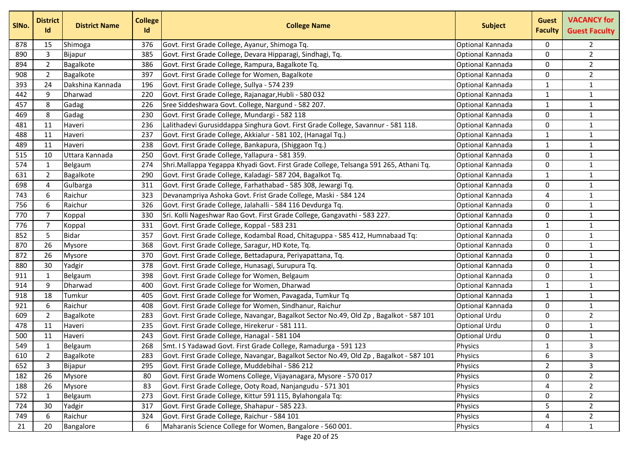| SINo. | <b>District</b><br>Id | <b>District Name</b> | <b>College</b><br>Id | <b>College Name</b>                                                                    | <b>Subject</b>       | <b>Guest</b><br><b>Faculty</b> | <b>VACANCY for</b><br><b>Guest Faculty</b> |
|-------|-----------------------|----------------------|----------------------|----------------------------------------------------------------------------------------|----------------------|--------------------------------|--------------------------------------------|
| 878   | 15                    | Shimoga              | 376                  | Govt. First Grade College, Ayanur, Shimoga Tq.                                         | Optional Kannada     | $\mathbf{0}$                   | $\overline{2}$                             |
| 890   | 3                     | Bijapur              | 385                  | Govt. First Grade College, Devara Hipparagi, Sindhagi, Tq.                             | Optional Kannada     | 0                              | $\overline{2}$                             |
| 894   | $\overline{2}$        | Bagalkote            | 386                  | Govt. First Grade College, Rampura, Bagalkote Tq.                                      | Optional Kannada     | 0                              | $\overline{2}$                             |
| 908   | $\overline{2}$        | Bagalkote            | 397                  | Govt. First Grade College for Women, Bagalkote                                         | Optional Kannada     | $\mathbf{0}$                   | $\overline{2}$                             |
| 393   | 24                    | Dakshina Kannada     | 196                  | Govt. First Grade College, Sullya - 574 239                                            | Optional Kannada     | 1                              | $\mathbf{1}$                               |
| 442   | 9                     | Dharwad              | 220                  | Govt. First Grade College, Rajanagar, Hubli - 580 032                                  | Optional Kannada     | 1                              | $\mathbf 1$                                |
| 457   | 8                     | Gadag                | 226                  | Sree Siddeshwara Govt. College, Nargund - 582 207.                                     | Optional Kannada     | 1                              | $\mathbf 1$                                |
| 469   | 8                     | Gadag                | 230                  | Govt. First Grade College, Mundargi - 582 118                                          | Optional Kannada     | 0                              | $\mathbf{1}$                               |
| 481   | 11                    | Haveri               | 236                  | Lalithadevi Gurusiddappa Singhura Govt. First Grade College, Savannur - 581 118.       | Optional Kannada     | $\Omega$                       | $\mathbf 1$                                |
| 488   | 11                    | Haveri               | 237                  | Govt. First Grade College, Akkialur - 581 102, (Hanagal Tq.)                           | Optional Kannada     | $\mathbf{1}$                   | $\mathbf{1}$                               |
| 489   | 11                    | Haveri               | 238                  | Govt. First Grade College, Bankapura, (Shiggaon Tq.)                                   | Optional Kannada     | 1                              | $\mathbf{1}$                               |
| 515   | 10                    | Uttara Kannada       | 250                  | Govt. First Grade College, Yallapura - 581 359.                                        | Optional Kannada     | 0                              | $\mathbf{1}$                               |
| 574   | $\mathbf 1$           | Belgaum              | 274                  | Shri.Mallappa Yegappa Khyadi Govt. First Grade College, Telsanga 591 265, Athani Tq.   | Optional Kannada     | 0                              | $\mathbf{1}$                               |
| 631   | $\overline{2}$        | Bagalkote            | 290                  | Govt. First Grade College, Kaladagi- 587 204, Bagalkot Tq.                             | Optional Kannada     | 1                              | $\mathbf{1}$                               |
| 698   | 4                     | Gulbarga             | 311                  | Govt. First Grade College, Farhathabad - 585 308, Jewargi Tq.                          | Optional Kannada     | $\Omega$                       | $\mathbf 1$                                |
| 743   | 6                     | Raichur              | 323                  | Devanampriya Ashoka Govt. Frist Grade College, Maski - 584 124                         | Optional Kannada     | 4                              | $\mathbf 1$                                |
| 756   | 6                     | Raichur              | 326                  | Govt. First Grade College, Jalahalli - 584 116 Devdurga Tq.                            | Optional Kannada     | 0                              | $\mathbf{1}$                               |
| 770   | $\overline{7}$        | Koppal               | 330                  | Sri. Kolli Nageshwar Rao Govt. First Grade College, Gangavathi - 583 227.              | Optional Kannada     | $\Omega$                       | $\mathbf 1$                                |
| 776   | 7                     | Koppal               | 331                  | Govt. First Grade College, Koppal - 583 231                                            | Optional Kannada     | 1                              | $\mathbf{1}$                               |
| 852   | 5                     | <b>Bidar</b>         | 357                  | Govt. First Grade College, Kodambal Road, Chitaguppa - 585 412, Humnabaad Tq:          | Optional Kannada     | 0                              | $\mathbf{1}$                               |
| 870   | 26                    | Mysore               | 368                  | Govt. First Grade College, Saragur, HD Kote, Tq.                                       | Optional Kannada     | 0                              | $\mathbf{1}$                               |
| 872   | 26                    | Mysore               | 370                  | Govt. First Grade College, Bettadapura, Periyapattana, Tq.                             | Optional Kannada     | $\mathbf{0}$                   | $\mathbf 1$                                |
| 880   | 30                    | Yadgir               | 378                  | Govt. First Grade College, Hunasagi, Surupura Tq.                                      | Optional Kannada     | $\mathbf{0}$                   | $\mathbf{1}$                               |
| 911   | 1                     | Belgaum              | 398                  | Govt. First Grade College for Women, Belgaum                                           | Optional Kannada     | $\mathbf{0}$                   | $\mathbf 1$                                |
| 914   | 9                     | Dharwad              | 400                  | Govt. First Grade College for Women, Dharwad                                           | Optional Kannada     | 1                              | $\mathbf 1$                                |
| 918   | 18                    | Tumkur               | 405                  | Govt. First Grade College for Women, Pavagada, Tumkur Tq                               | Optional Kannada     | 1                              | $\mathbf{1}$                               |
| 921   | 6                     | Raichur              | 408                  | Govt. First Grade College for Women, Sindhanur, Raichur                                | Optional Kannada     | $\Omega$                       | $\mathbf 1$                                |
| 609   | $\overline{2}$        | Bagalkote            | 283                  | Govt. First Grade College, Navangar, Bagalkot Sector No.49, Old Zp, Bagalkot - 587 101 | <b>Optional Urdu</b> | $\Omega$                       | $\overline{2}$                             |
| 478   | 11                    | Haveri               | 235                  | Govt. First Grade College, Hirekerur - 581 111.                                        | <b>Optional Urdu</b> | 0                              | $\mathbf{1}$                               |
| 500   | 11                    | Haveri               | 243                  | Govt. First Grade College, Hanagal - 581 104                                           | <b>Optional Urdu</b> | 0                              | $\mathbf{1}$                               |
| 549   | $\mathbf{1}$          | Belgaum              | 268                  | Smt. I S Yadawad Govt. First Grade College, Ramadurga - 591 123                        | Physics              | $\mathbf{1}$                   | 3                                          |
| 610   | $\overline{2}$        | Bagalkote            | 283                  | Govt. First Grade College, Navangar, Bagalkot Sector No.49, Old Zp, Bagalkot - 587 101 | Physics              | 6                              | 3                                          |
| 652   | 3                     | Bijapur              | 295                  | Govt. First Grade College, Muddebihal - 586 212                                        | Physics              | $\overline{2}$                 | 3                                          |
| 182   | 26                    | Mysore               | 80                   | Govt. First Grade Womens College, Vijayanagara, Mysore - 570 017                       | Physics              | 0                              | $\overline{2}$                             |
| 188   | 26                    | <b>Mysore</b>        | 83                   | Govt. First Grade College, Ooty Road, Nanjangudu - 571 301                             | Physics              | 4                              | $2^{\circ}$                                |
| 572   | 1                     | Belgaum              | 273                  | Govt. First Grade College, Kittur 591 115, Bylahongala Tq:                             | Physics              | 0                              | $\overline{2}$                             |
| 724   | 30                    | Yadgir               | 317                  | Govt. First Grade College, Shahapur - 585 223.                                         | Physics              | 5                              | $\overline{2}$                             |
| 749   | 6                     | Raichur              | 324                  | Govt. First Grade College, Raichur - 584 101                                           | Physics              | 4                              | $\overline{a}$                             |
| 21    | 20                    | Bangalore            | 6                    | Maharanis Science College for Women, Bangalore - 560 001.                              | Physics              | 4                              | $\mathbf{1}$                               |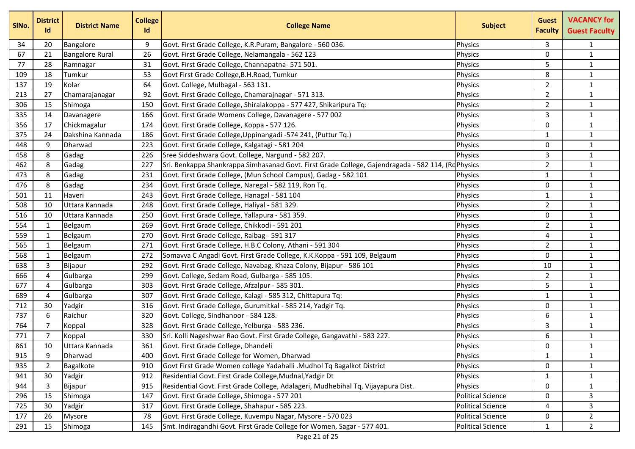| SINo. | <b>District</b><br>Id | <b>District Name</b>   | <b>College</b><br>Id | <b>College Name</b>                                                                               | <b>Subject</b>           | <b>Guest</b><br><b>Faculty</b> | <b>VACANCY for</b><br><b>Guest Faculty</b> |
|-------|-----------------------|------------------------|----------------------|---------------------------------------------------------------------------------------------------|--------------------------|--------------------------------|--------------------------------------------|
| 34    | 20                    | Bangalore              | 9                    | Govt. First Grade College, K.R.Puram, Bangalore - 560 036.                                        | <b>Physics</b>           | 3                              | $\mathbf{1}$                               |
| 67    | 21                    | <b>Bangalore Rural</b> | 26                   | Govt. First Grade College, Nelamangala - 562 123                                                  | Physics                  | 0                              | $\mathbf{1}$                               |
| 77    | 28                    | Ramnagar               | 31                   | Govt. First Grade College, Channapatna- 571 501.                                                  | Physics                  | 5                              | $\mathbf{1}$                               |
| 109   | 18                    | Tumkur                 | 53                   | Govt First Grade College, B.H. Road, Tumkur                                                       | Physics                  | 8                              | $\mathbf{1}$                               |
| 137   | 19                    | Kolar                  | 64                   | Govt. College, Mulbagal - 563 131.                                                                | Physics                  | $\overline{2}$                 | $\mathbf{1}$                               |
| 213   | 27                    | Chamarajanagar         | 92                   | Govt. First Grade College, Chamarajnagar - 571 313.                                               | Physics                  | $\overline{2}$                 | $\mathbf{1}$                               |
| 306   | 15                    | Shimoga                | 150                  | Govt. First Grade College, Shiralakoppa - 577 427, Shikaripura Tq:                                | Physics                  | $\overline{2}$                 | $\mathbf{1}$                               |
| 335   | 14                    | Davanagere             | 166                  | Govt. First Grade Womens College, Davanagere - 577 002                                            | Physics                  | 3                              | $\mathbf{1}$                               |
| 356   | 17                    | Chickmagalur           | 174                  | Govt. First Grade College, Koppa - 577 126.                                                       | Physics                  | 0                              | $\mathbf{1}$                               |
| 375   | 24                    | Dakshina Kannada       | 186                  | Govt. First Grade College, Uppinangadi -574 241, (Puttur Tq.)                                     | Physics                  | $\mathbf{1}$                   | $\mathbf{1}$                               |
| 448   | 9                     | Dharwad                | 223                  | Govt. First Grade College, Kalgatagi - 581 204                                                    | Physics                  | 0                              | $\mathbf{1}$                               |
| 458   | 8                     | Gadag                  | 226                  | Sree Siddeshwara Govt. College, Nargund - 582 207.                                                | Physics                  | 3                              | $\mathbf{1}$                               |
| 462   | 8                     | Gadag                  | 227                  | Sri. Benkappa Shankrappa Simhasanad Govt. First Grade College, Gajendragada - 582 114, (RdPhysics |                          | $\overline{2}$                 | $\mathbf{1}$                               |
| 473   | 8                     | Gadag                  | 231                  | Govt. First Grade College, (Mun School Campus), Gadag - 582 101                                   | <b>Physics</b>           | 1                              | $\mathbf{1}$                               |
| 476   | 8                     | Gadag                  | 234                  | Govt. First Grade College, Naregal - 582 119, Ron Tq.                                             | Physics                  | 0                              | $\mathbf{1}$                               |
| 501   | 11                    | Haveri                 | 243                  | Govt. First Grade College, Hanagal - 581 104                                                      | Physics                  | 1                              | $\mathbf{1}$                               |
| 508   | 10                    | Uttara Kannada         | 248                  | Govt. First Grade College, Haliyal - 581 329.                                                     | Physics                  | $\overline{2}$                 | $\mathbf{1}$                               |
| 516   | 10                    | Uttara Kannada         | 250                  | Govt. First Grade College, Yallapura - 581 359.                                                   | Physics                  | 0                              | $\mathbf{1}$                               |
| 554   | 1                     | Belgaum                | 269                  | Govt. First Grade College, Chikkodi - 591 201                                                     | Physics                  | $\overline{2}$                 | $\mathbf{1}$                               |
| 559   | 1                     | Belgaum                | 270                  | Govt. First Grade College, Raibag - 591 317                                                       | Physics                  | 4                              | $\mathbf{1}$                               |
| 565   | $\mathbf{1}$          | Belgaum                | 271                  | Govt. First Grade College, H.B.C Colony, Athani - 591 304                                         | Physics                  | $\overline{2}$                 | $\mathbf{1}$                               |
| 568   | $\mathbf{1}$          | Belgaum                | 272                  | Somavva C Angadi Govt. First Grade College, K.K.Koppa - 591 109, Belgaum                          | Physics                  | 0                              | $\mathbf{1}$                               |
| 638   | $\mathbf{3}$          | Bijapur                | 292                  | Govt. First Grade College, Navabag, Khaza Colony, Bijapur - 586 101                               | Physics                  | 10                             | $\mathbf{1}$                               |
| 666   | 4                     | Gulbarga               | 299                  | Govt. College, Sedam Road, Gulbarga - 585 105.                                                    | Physics                  | $\overline{2}$                 | $\mathbf{1}$                               |
| 677   | 4                     | Gulbarga               | 303                  | Govt. First Grade College, Afzalpur - 585 301.                                                    | Physics                  | 5                              | $\mathbf{1}$                               |
| 689   | 4                     | Gulbarga               | 307                  | Govt. First Grade College, Kalagi - 585 312, Chittapura Tq:                                       | Physics                  | $\mathbf{1}$                   | $\mathbf{1}$                               |
| 712   | 30                    | Yadgir                 | 316                  | Govt. First Grade College, Gurumitkal - 585 214, Yadgir Tq.                                       | Physics                  | $\mathbf 0$                    | $\mathbf{1}$                               |
| 737   | 6                     | Raichur                | 320                  | Govt. College, Sindhanoor - 584 128.                                                              | Physics                  | 6                              | $\mathbf{1}$                               |
| 764   | $\overline{7}$        | Koppal                 | 328                  | Govt. First Grade College, Yelburga - 583 236.                                                    | Physics                  | 3                              | $\mathbf{1}$                               |
| 771   | 7                     | Koppal                 | 330                  | Sri. Kolli Nageshwar Rao Govt. First Grade College, Gangavathi - 583 227.                         | Physics                  | 6                              | $\mathbf{1}$                               |
| 861   | 10                    | Uttara Kannada         | 361                  | Govt. First Grade College, Dhandeli                                                               | Physics                  | $\mathbf 0$                    | $\mathbf{1}$                               |
| 915   | 9                     | Dharwad                | 400                  | Govt. First Grade College for Women, Dharwad                                                      | Physics                  | $\mathbf{1}$                   | $\mathbf{1}$                               |
| 935   | 2                     | Bagalkote              | 910                  | Govt First Grade Women college Yadahalli .Mudhol Tq Bagalkot District                             | Physics                  | 0                              | $\mathbf{1}$                               |
| 941   | 30                    | Yadgir                 | 912                  | Residential Govt. First Grade College, Mudnal, Yadgir Dt                                          | Physics                  | $\mathbf{1}$                   | $\mathbf{1}$                               |
| 944   | 3                     | Bijapur                | 915                  | Residential Govt. First Grade College, Adalageri, Mudhebihal Tq, Vijayapura Dist.                 | Physics                  | $\mathbf 0$                    | $\mathbf{1}$                               |
| 296   | 15                    | Shimoga                | 147                  | Govt. First Grade College, Shimoga - 577 201                                                      | <b>Political Science</b> | 0                              | 3                                          |
| 725   | 30                    | Yadgir                 | 317                  | Govt. First Grade College, Shahapur - 585 223.                                                    | <b>Political Science</b> | 4                              | 3                                          |
| 177   | 26                    | Mysore                 | 78                   | Govt. First Grade College, Kuvempu Nagar, Mysore - 570 023                                        | <b>Political Science</b> | 0                              | $\overline{2}$                             |
| 291   | 15                    | Shimoga                | 145                  | Smt. Indiragandhi Govt. First Grade College for Women, Sagar - 577 401.                           | <b>Political Science</b> | $\mathbf{1}$                   | $\overline{2}$                             |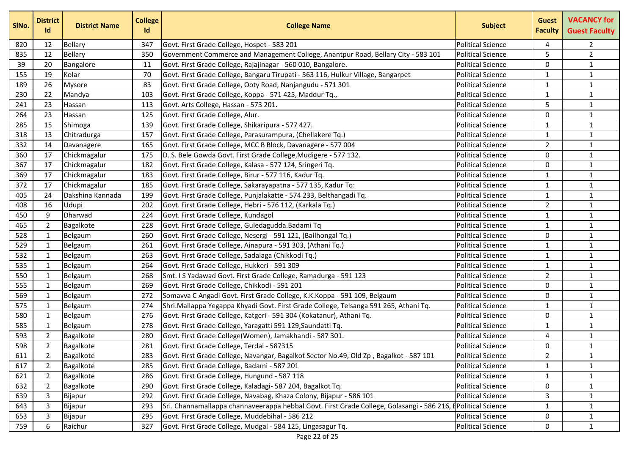| SINo. | <b>District</b><br><b>Id</b> | <b>District Name</b> | <b>College</b><br><b>Id</b> | <b>College Name</b>                                                                       | <b>Subject</b>            | <b>Guest</b><br><b>Faculty</b> | <b>VACANCY for</b><br><b>Guest Faculty</b> |
|-------|------------------------------|----------------------|-----------------------------|-------------------------------------------------------------------------------------------|---------------------------|--------------------------------|--------------------------------------------|
| 820   | 12                           | Bellary              | 347                         | Govt. First Grade College, Hospet - 583 201                                               | <b>Political Science</b>  | 4                              | $\overline{2}$                             |
| 835   | 12                           | <b>Bellary</b>       | 350                         | Government Commerce and Management College, Anantpur Road, Bellary City - 583 101         | <b>Political Science</b>  | 5                              | $\overline{2}$                             |
| 39    | 20                           | Bangalore            | 11                          | Govt. First Grade College, Rajajinagar - 560 010, Bangalore.                              | <b>Political Science</b>  | $\mathbf 0$                    | $\mathbf{1}$                               |
| 155   | 19                           | Kolar                | 70                          | Govt. First Grade College, Bangaru Tirupati - 563 116, Hulkur Village, Bangarpet          | <b>Political Science</b>  | $\mathbf{1}$                   | $\mathbf{1}$                               |
| 189   | 26                           | Mysore               | 83                          | Govt. First Grade College, Ooty Road, Nanjangudu - 571 301                                | <b>Political Science</b>  | 1                              | $\mathbf{1}$                               |
| 230   | 22                           | Mandya               | 103                         | Govt. First Grade College, Koppa - 571 425, Maddur Tq.,                                   | <b>Political Science</b>  | $\mathbf{1}$                   | $\mathbf{1}$                               |
| 241   | 23                           | Hassan               | 113                         | Govt. Arts College, Hassan - 573 201.                                                     | <b>Political Science</b>  | 5                              | $\mathbf{1}$                               |
| 264   | 23                           | Hassan               | 125                         | Govt. First Grade College, Alur.                                                          | <b>Political Science</b>  | 0                              | $\mathbf{1}$                               |
| 285   | 15                           | Shimoga              | 139                         | Govt. First Grade College, Shikaripura - 577 427.                                         | <b>Political Science</b>  | $\mathbf{1}$                   | $\mathbf{1}$                               |
| 318   | 13                           | Chitradurga          | 157                         | Govt. First Grade College, Parasurampura, (Chellakere Tq.)                                | <b>Political Science</b>  | $\mathbf{1}$                   | $\mathbf{1}$                               |
| 332   | 14                           | Davanagere           | 165                         | Govt. First Grade College, MCC B Block, Davanagere - 577 004                              | <b>Political Science</b>  | $\overline{2}$                 | $\mathbf 1$                                |
| 360   | 17                           | Chickmagalur         | 175                         | D. S. Bele Gowda Govt. First Grade College, Mudigere - 577 132.                           | <b>Political Science</b>  | $\Omega$                       | $\mathbf{1}$                               |
| 367   | 17                           | Chickmagalur         | 182                         | Govt. First Grade College, Kalasa - 577 124, Sringeri Tq.                                 | <b>Political Science</b>  | 0                              | $\mathbf{1}$                               |
| 369   | 17                           | Chickmagalur         | 183                         | Govt. First Grade College, Birur - 577 116, Kadur Tq.                                     | <b>Political Science</b>  | $\mathbf{1}$                   | $\mathbf{1}$                               |
| 372   | 17                           | Chickmagalur         | 185                         | Govt. First Grade College, Sakarayapatna - 577 135, Kadur Tq:                             | <b>Political Science</b>  | $\mathbf{1}$                   | $\mathbf{1}$                               |
| 405   | 24                           | Dakshina Kannada     | 199                         | Govt. First Grade College, Punjalakatte - 574 233, Belthangadi Tq.                        | <b>Political Science</b>  | 1                              | $\mathbf{1}$                               |
| 408   | 16                           | Udupi                | 202                         | Govt. First Grade College, Hebri - 576 112, (Karkala Tq.)                                 | <b>Political Science</b>  | $\overline{2}$                 | $\mathbf{1}$                               |
| 450   | 9                            | Dharwad              | 224                         | Govt. First Grade College, Kundagol                                                       | <b>Political Science</b>  | 1                              | $\mathbf{1}$                               |
| 465   | $\overline{2}$               | Bagalkote            | 228                         | Govt. First Grade College, Guledagudda. Badami Tq                                         | <b>Political Science</b>  | $\mathbf{1}$                   | $\mathbf{1}$                               |
| 528   | 1                            | Belgaum              | 260                         | Govt. First Grade College, Nesergi - 591 121, (Bailhongal Tq.)                            | <b>Political Science</b>  | $\mathbf 0$                    | $\mathbf 1$                                |
| 529   | 1                            | Belgaum              | 261                         | Govt. First Grade College, Ainapura - 591 303, (Athani Tq.)                               | <b>Political Science</b>  | $\mathbf{1}$                   | $\mathbf{1}$                               |
| 532   | 1                            | Belgaum              | 263                         | Govt. First Grade College, Sadalaga (Chikkodi Tq.)                                        | <b>Political Science</b>  | $\mathbf{1}$                   | $\mathbf{1}$                               |
| 535   | 1                            | Belgaum              | 264                         | Govt. First Grade College, Hukkeri - 591 309                                              | <b>Political Science</b>  | 1                              | $\mathbf{1}$                               |
| 550   | $\mathbf{1}$                 | Belgaum              | 268                         | Smt. I S Yadawad Govt. First Grade College, Ramadurga - 591 123                           | <b>Political Science</b>  | $\overline{2}$                 | $\mathbf{1}$                               |
| 555   | $\mathbf{1}$                 | Belgaum              | 269                         | Govt. First Grade College, Chikkodi - 591 201                                             | <b>Political Science</b>  | 0                              | $\mathbf{1}$                               |
| 569   | 1                            | Belgaum              | 272                         | Somavva C Angadi Govt. First Grade College, K.K.Koppa - 591 109, Belgaum                  | <b>Political Science</b>  | 0                              | $\mathbf{1}$                               |
| 575   | $\mathbf{1}$                 | Belgaum              | 274                         | Shri.Mallappa Yegappa Khyadi Govt. First Grade College, Telsanga 591 265, Athani Tq.      | <b>Political Science</b>  | $\mathbf{1}$                   | $\mathbf{1}$                               |
| 580   | $\mathbf{1}$                 | Belgaum              | 276                         | Govt. First Grade College, Katgeri - 591 304 (Kokatanur), Athani Tq.                      | <b>Political Science</b>  | $\mathbf{0}$                   | $\mathbf{1}$                               |
| 585   | $\mathbf{1}$                 | Belgaum              | 278                         | Govt. First Grade College, Yaragatti 591 129, Saundatti Tq.                               | <b>Political Science</b>  | $\mathbf{1}$                   | $\mathbf 1$                                |
| 593   | 2                            | Bagalkote            | 280                         | Govt. First Grade College(Women), Jamakhandi - 587 301.                                   | <b>Political Science</b>  | 4                              | $\mathbf{1}$                               |
| 598   | 2                            | Bagalkote            | 281                         | Govt. First Grade College, Terdal - 587315                                                | <b>Political Science</b>  | 0                              | $\mathbf{1}$                               |
| 611   | 2                            | Bagalkote            | 283                         | Govt. First Grade College, Navangar, Bagalkot Sector No.49, Old Zp, Bagalkot - 587 101    | <b>Political Science</b>  | $2^{\circ}$                    | $\mathbf{1}$                               |
| 617   | 2                            | Bagalkote            | 285                         | Govt. First Grade College, Badami - 587 201                                               | <b>Political Science</b>  | 1                              | $\mathbf{1}$                               |
| 621   | $\overline{2}$               | Bagalkote            | 286                         | Govt. First Grade College, Hungund - 587 118                                              | <b>Political Science</b>  | $\mathbf{1}$                   | $\mathbf{1}$                               |
| 632   | 2                            | Bagalkote            | 290                         | Govt. First Grade College, Kaladagi- 587 204, Bagalkot Tq.                                | <b>Political Science</b>  | 0                              | $\mathbf{1}$                               |
| 639   | 3                            | Bijapur              | 292                         | Govt. First Grade College, Navabag, Khaza Colony, Bijapur - 586 101                       | <b>Political Science</b>  | 3                              | $\mathbf{1}$                               |
| 643   | 3                            | Bijapur              | 293                         | Sri. Channamallappa channaveerappa hebbal Govt. First Grade College, Golasangi - 586 216, | <b>FPolitical Science</b> | $\mathbf{1}$                   | $\mathbf{1}$                               |
| 653   | 3                            | Bijapur              | 295                         | Govt. First Grade College, Muddebihal - 586 212                                           | <b>Political Science</b>  | 0                              | $\mathbf{1}$                               |
| 759   | 6                            | Raichur              | 327                         | Govt. First Grade College, Mudgal - 584 125, Lingasagur Tq.                               | <b>Political Science</b>  | 0                              | $\mathbf{1}$                               |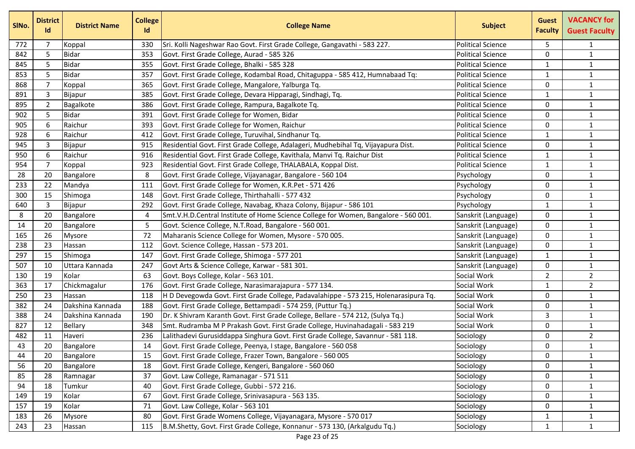| SINo. | <b>District</b><br>Id | <b>District Name</b> | <b>College</b><br>Id | <b>College Name</b>                                                                  | <b>Subject</b>           | <b>Guest</b><br><b>Faculty</b> | <b>VACANCY for</b><br><b>Guest Faculty</b> |
|-------|-----------------------|----------------------|----------------------|--------------------------------------------------------------------------------------|--------------------------|--------------------------------|--------------------------------------------|
| 772   | 7                     | Koppal               | 330                  | Sri. Kolli Nageshwar Rao Govt. First Grade College, Gangavathi - 583 227.            | <b>Political Science</b> | 5.                             | $\mathbf{1}$                               |
| 842   | 5                     | <b>Bidar</b>         | 353                  | Govt. First Grade College, Aurad - 585 326                                           | <b>Political Science</b> | $\mathbf{0}$                   | $\mathbf{1}$                               |
| 845   | 5                     | <b>Bidar</b>         | 355                  | Govt. First Grade College, Bhalki - 585 328                                          | <b>Political Science</b> | 1                              | $\mathbf{1}$                               |
| 853   | 5                     | <b>Bidar</b>         | 357                  | Govt. First Grade College, Kodambal Road, Chitaguppa - 585 412, Humnabaad Tq:        | <b>Political Science</b> | 1                              | $\mathbf{1}$                               |
| 868   | $\overline{7}$        | Koppal               | 365                  | Govt. First Grade College, Mangalore, Yalburga Tq.                                   | <b>Political Science</b> | $\mathbf{0}$                   | $\mathbf{1}$                               |
| 891   | 3                     | Bijapur              | 385                  | Govt. First Grade College, Devara Hipparagi, Sindhagi, Tq.                           | <b>Political Science</b> | $\mathbf{1}$                   | $\mathbf{1}$                               |
| 895   | $\overline{2}$        | Bagalkote            | 386                  | Govt. First Grade College, Rampura, Bagalkote Tq.                                    | <b>Political Science</b> | 0                              | $\mathbf{1}$                               |
| 902   | 5                     | <b>Bidar</b>         | 391                  | Govt. First Grade College for Women, Bidar                                           | <b>Political Science</b> | $\Omega$                       | $\mathbf{1}$                               |
| 905   | 6                     | Raichur              | 393                  | Govt. First Grade College for Women, Raichur                                         | <b>Political Science</b> | $\Omega$                       | $\mathbf{1}$                               |
| 928   | 6                     | Raichur              | 412                  | Govt. First Grade College, Turuvihal, Sindhanur Tq.                                  | <b>Political Science</b> | 1                              | $\mathbf{1}$                               |
| 945   | 3                     | Bijapur              | 915                  | Residential Govt. First Grade College, Adalageri, Mudhebihal Tq, Vijayapura Dist.    | <b>Political Science</b> | $\mathbf{0}$                   | $\mathbf{1}$                               |
| 950   | 6                     | Raichur              | 916                  | Residential Govt. First Grade College, Kavithala, Manvi Tq. Raichur Dist             | <b>Political Science</b> | $\mathbf{1}$                   | $\mathbf{1}$                               |
| 954   | 7                     | Koppal               | 923                  | Residential Govt. First Grade College, THALABALA, Koppal Dist.                       | <b>Political Science</b> | 1                              | $\mathbf{1}$                               |
| 28    | 20                    | Bangalore            | 8                    | Govt. First Grade College, Vijayanagar, Bangalore - 560 104                          | Psychology               | $\Omega$                       | $\mathbf{1}$                               |
| 233   | 22                    | Mandya               | 111                  | Govt. First Grade College for Women, K.R.Pet - 571 426                               | Psychology               | $\mathbf{0}$                   | $\mathbf{1}$                               |
| 300   | 15                    | Shimoga              | 148                  | Govt. First Grade College, Thirthahalli - 577 432                                    | Psychology               | $\Omega$                       | $\mathbf{1}$                               |
| 640   | 3                     | Bijapur              | 292                  | Govt. First Grade College, Navabag, Khaza Colony, Bijapur - 586 101                  | Psychology               | $\mathbf{1}$                   | $\mathbf{1}$                               |
| 8     | 20                    | Bangalore            | 4                    | Smt.V.H.D.Central Institute of Home Science College for Women, Bangalore - 560 001.  | Sanskrit (Language)      | 0                              | $\mathbf{1}$                               |
| 14    | 20                    | Bangalore            | 5                    | Govt. Science College, N.T.Road, Bangalore - 560 001.                                | Sanskrit (Language)      | $\Omega$                       | $\mathbf{1}$                               |
| 165   | 26                    | Mysore               | 72                   | Maharanis Science College for Women, Mysore - 570 005.                               | Sanskrit (Language)      | $\mathbf 0$                    | $\mathbf{1}$                               |
| 238   | 23                    | Hassan               | 112                  | Govt. Science College, Hassan - 573 201.                                             | Sanskrit (Language)      | $\Omega$                       | $\mathbf{1}$                               |
| 297   | 15                    | Shimoga              | 147                  | Govt. First Grade College, Shimoga - 577 201                                         | Sanskrit (Language)      | $\mathbf{1}$                   | $\mathbf{1}$                               |
| 507   | 10                    | Uttara Kannada       | 247                  | Govt Arts & Science College, Karwar - 581 301.                                       | Sanskrit (Language)      | 0                              | $\mathbf{1}$                               |
| 130   | 19                    | Kolar                | 63                   | Govt. Boys College, Kolar - 563 101.                                                 | Social Work              | $\overline{2}$                 | $\overline{2}$                             |
| 363   | 17                    | Chickmagalur         | 176                  | Govt. First Grade College, Narasimarajapura - 577 134.                               | Social Work              | 1                              | $\overline{2}$                             |
| 250   | 23                    | Hassan               | 118                  | H D Devegowda Govt. First Grade College, Padavalahippe - 573 215, Holenarasipura Tq. | Social Work              | $\mathbf{0}$                   | $\mathbf{1}$                               |
| 382   | 24                    | Dakshina Kannada     | 188                  | Govt. First Grade College, Bettampadi - 574 259, (Puttur Tq.)                        | Social Work              | $\mathbf{0}$                   | $\mathbf{1}$                               |
| 388   | 24                    | Dakshina Kannada     | 190                  | Dr. K Shivram Karanth Govt. First Grade College, Bellare - 574 212, (Sulya Tq.)      | Social Work              | 3                              | $\mathbf{1}$                               |
| 827   | 12                    | Bellary              | 348                  | Smt. Rudramba M P Prakash Govt. First Grade College, Huvinahadagali - 583 219        | Social Work              | $\mathbf 0$                    | $\mathbf 1$                                |
| 482   | 11                    | Haveri               | 236                  | Lalithadevi Gurusiddappa Singhura Govt. First Grade College, Savannur - 581 118.     | Sociology                | 0                              | $\overline{2}$                             |
| 43    | 20                    | Bangalore            | 14                   | Govt. First Grade College, Peenya, I stage, Bangalore - 560 058                      | Sociology                | $\Omega$                       | $\mathbf{1}$                               |
| 44    | 20                    | Bangalore            | 15                   | Govt. First Grade College, Frazer Town, Bangalore - 560 005                          | Sociology                | 0                              | $\mathbf{1}$                               |
| 56    | 20                    | Bangalore            | 18                   | Govt. First Grade College, Kengeri, Bangalore - 560 060                              | Sociology                | 0                              | $\mathbf{1}$                               |
| 85    | 28                    | Ramnagar             | 37                   | Govt. Law College, Ramanagar - 571 511                                               | Sociology                | 0                              | $\mathbf{1}$                               |
| 94    | 18                    | Tumkur               | 40                   | Govt. First Grade College, Gubbi - 572 216.                                          | Sociology                | 0                              | $\mathbf{1}$                               |
| 149   | 19                    | Kolar                | 67                   | Govt. First Grade College, Srinivasapura - 563 135.                                  | Sociology                | 0                              | $\mathbf{1}$                               |
| 157   | 19                    | Kolar                | 71                   | Govt. Law College, Kolar - 563 101                                                   | Sociology                | $\Omega$                       | $\mathbf{1}$                               |
| 183   | 26                    | <b>Mysore</b>        | 80                   | Govt. First Grade Womens College, Vijayanagara, Mysore - 570 017                     | Sociology                | $\mathbf{1}$                   | $\mathbf{1}$                               |
| 243   | 23                    | Hassan               | 115                  | B.M.Shetty, Govt. First Grade College, Konnanur - 573 130, (Arkalgudu Tq.)           | Sociology                | $\mathbf{1}$                   | $\mathbf{1}$                               |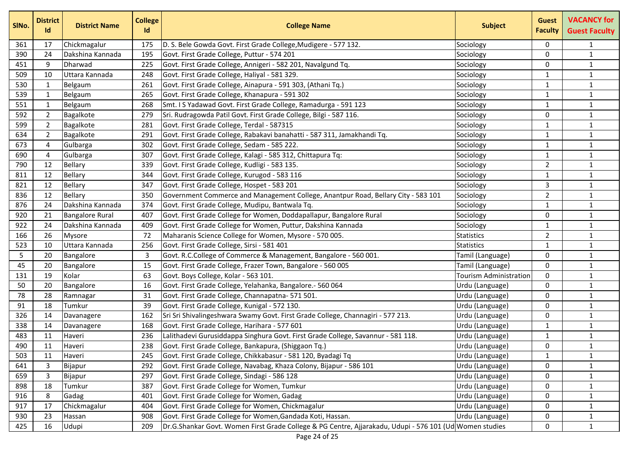| SINo. | <b>District</b><br>Id | <b>District Name</b>   | <b>College</b><br><b>Id</b> | <b>College Name</b>                                                                                     | <b>Subject</b>         | <b>Guest</b><br><b>Faculty</b> | <b>VACANCY for</b><br><b>Guest Faculty</b> |
|-------|-----------------------|------------------------|-----------------------------|---------------------------------------------------------------------------------------------------------|------------------------|--------------------------------|--------------------------------------------|
| 361   | 17                    | Chickmagalur           | 175                         | D. S. Bele Gowda Govt. First Grade College, Mudigere - 577 132.                                         | Sociology              | $\mathbf{0}$                   | $\mathbf{1}$                               |
| 390   | 24                    | Dakshina Kannada       | 195                         | Govt. First Grade College, Puttur - 574 201                                                             | Sociology              | $\mathbf{0}$                   | $\mathbf{1}$                               |
| 451   | 9                     | Dharwad                | 225                         | Govt. First Grade College, Annigeri - 582 201, Navalgund Tq.                                            | Sociology              | $\mathbf 0$                    | $\mathbf{1}$                               |
| 509   | 10                    | Uttara Kannada         | 248                         | Govt. First Grade College, Haliyal - 581 329.                                                           | Sociology              | 1                              | $\mathbf{1}$                               |
| 530   | 1                     | Belgaum                | 261                         | Govt. First Grade College, Ainapura - 591 303, (Athani Tq.)                                             | Sociology              | 1                              | $\mathbf{1}$                               |
| 539   | $\mathbf{1}$          | Belgaum                | 265                         | Govt. First Grade College, Khanapura - 591 302                                                          | Sociology              | 1                              | $\mathbf{1}$                               |
| 551   | $\mathbf{1}$          | Belgaum                | 268                         | Smt. I S Yadawad Govt. First Grade College, Ramadurga - 591 123                                         | Sociology              | 1                              | $\mathbf{1}$                               |
| 592   | 2                     | Bagalkote              | 279                         | Sri. Rudragowda Patil Govt. First Grade College, Bilgi - 587 116.                                       | Sociology              | $\mathbf 0$                    | $\mathbf{1}$                               |
| 599   | 2                     | Bagalkote              | 281                         | Govt. First Grade College, Terdal - 587315                                                              | Sociology              | 1                              | $\mathbf{1}$                               |
| 634   | $\overline{2}$        | Bagalkote              | 291                         | Govt. First Grade College, Rabakavi banahatti - 587 311, Jamakhandi Tq.                                 | Sociology              | 1                              | $\mathbf{1}$                               |
| 673   | 4                     | Gulbarga               | 302                         | Govt. First Grade College, Sedam - 585 222.                                                             | Sociology              | $\mathbf{1}$                   | $\mathbf 1$                                |
| 690   | 4                     | Gulbarga               | 307                         | Govt. First Grade College, Kalagi - 585 312, Chittapura Tq:                                             | Sociology              | $\mathbf{1}$                   | $\mathbf{1}$                               |
| 790   | 12                    | Bellary                | 339                         | Govt. First Grade College, Kudligi - 583 135.                                                           | Sociology              | $\overline{2}$                 | $\mathbf{1}$                               |
| 811   | 12                    | Bellary                | 344                         | Govt. First Grade College, Kurugod - 583 116                                                            | Sociology              | 1                              | $\mathbf{1}$                               |
| 821   | 12                    | Bellary                | 347                         | Govt. First Grade College, Hospet - 583 201                                                             | Sociology              | 3                              | $\mathbf{1}$                               |
| 836   | 12                    | <b>Bellary</b>         | 350                         | Government Commerce and Management College, Anantpur Road, Bellary City - 583 101                       | Sociology              | $\overline{2}$                 | $\mathbf{1}$                               |
| 876   | 24                    | Dakshina Kannada       | 374                         | Govt. First Grade College, Mudipu, Bantwala Tq.                                                         | Sociology              | $\mathbf{1}$                   | $\mathbf{1}$                               |
| 920   | 21                    | <b>Bangalore Rural</b> | 407                         | Govt. First Grade College for Women, Doddapallapur, Bangalore Rural                                     | Sociology              | 0                              | $\mathbf{1}$                               |
| 922   | 24                    | Dakshina Kannada       | 409                         | Govt. First Grade College for Women, Puttur, Dakshina Kannada                                           | Sociology              | $\mathbf{1}$                   | $\mathbf{1}$                               |
| 166   | 26                    | Mysore                 | 72                          | Maharanis Science College for Women, Mysore - 570 005.                                                  | <b>Statistics</b>      | $\overline{2}$                 | $\mathbf{1}$                               |
| 523   | 10                    | Uttara Kannada         | 256                         | Govt. First Grade College, Sirsi - 581 401                                                              | <b>Statistics</b>      | 1                              | $\mathbf{1}$                               |
| 5     | 20                    | Bangalore              | 3                           | Govt. R.C.College of Commerce & Management, Bangalore - 560 001.                                        | Tamil (Language)       | 0                              | $\mathbf{1}$                               |
| 45    | 20                    | Bangalore              | 15                          | Govt. First Grade College, Frazer Town, Bangalore - 560 005                                             | Tamil (Language)       | 0                              | $\mathbf{1}$                               |
| 131   | 19                    | Kolar                  | 63                          | Govt. Boys College, Kolar - 563 101.                                                                    | Tourism Administration | $\mathbf{0}$                   | $\mathbf{1}$                               |
| 50    | 20                    | Bangalore              | 16                          | Govt. First Grade College, Yelahanka, Bangalore.- 560 064                                               | Urdu (Language)        | 0                              | $\mathbf{1}$                               |
| 78    | 28                    | Ramnagar               | 31                          | Govt. First Grade College, Channapatna- 571 501.                                                        | Urdu (Language)        | 0                              | $\mathbf{1}$                               |
| 91    | 18                    | Tumkur                 | 39                          | Govt. First Grade College, Kunigal - 572 130.                                                           | Urdu (Language)        | 0                              | $\mathbf{1}$                               |
| 326   | 14                    | Davanagere             | 162                         | Sri Sri Shivalingeshwara Swamy Govt. First Grade College, Channagiri - 577 213.                         | Urdu (Language)        | $\mathbf{0}$                   | $\mathbf{1}$                               |
| 338   | 14                    | Davanagere             | 168                         | Govt. First Grade College, Harihara - 577 601                                                           | Urdu (Language)        | 1                              | $\mathbf 1$                                |
| 483   | 11                    | Haveri                 | 236                         | Lalithadevi Gurusiddappa Singhura Govt. First Grade College, Savannur - 581 118.                        | Urdu (Language)        | $\mathbf{1}$                   | $\mathbf{1}$                               |
| 490   | 11                    | Haveri                 | 238                         | Govt. First Grade College, Bankapura, (Shiggaon Tq.)                                                    | Urdu (Language)        | 0                              | $\mathbf{1}$                               |
| 503   | 11                    | Haveri                 | 245                         | Govt. First Grade College, Chikkabasur - 581 120, Byadagi Tq                                            | Urdu (Language)        | $\mathbf{1}$                   | $\mathbf{1}$                               |
| 641   | 3                     | Bijapur                | 292                         | Govt. First Grade College, Navabag, Khaza Colony, Bijapur - 586 101                                     | Urdu (Language)        | 0                              | $\mathbf{1}$                               |
| 659   | 3                     | Bijapur                | 297                         | Govt. First Grade College, Sindagi - 586 128                                                            | Urdu (Language)        | 0                              | $\mathbf{1}$                               |
| 898   | 18                    | Tumkur                 | 387                         | Govt. First Grade College for Women, Tumkur                                                             | Urdu (Language)        | 0                              | $\mathbf{1}$                               |
| 916   | 8                     | Gadag                  | 401                         | Govt. First Grade College for Women, Gadag                                                              | Urdu (Language)        | 0                              | $\mathbf{1}$                               |
| 917   | 17                    | Chickmagalur           | 404                         | Govt. First Grade College for Women, Chickmagalur                                                       | Urdu (Language)        | $\Omega$                       | $\mathbf{1}$                               |
| 930   | 23                    | Hassan                 | 908                         | Govt. First Grade College for Women, Gandada Koti, Hassan.                                              | Urdu (Language)        | 0                              | $\mathbf{1}$                               |
| 425   | 16                    | Udupi                  | 209                         | Dr.G.Shankar Govt. Women First Grade College & PG Centre, Ajjarakadu, Udupi - 576 101 (Ud Women studies |                        | 0                              | $\mathbf{1}$                               |